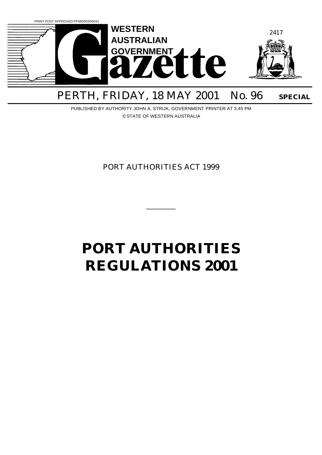

# PERTH, FRIDAY, 18 MAY 2001 No. 96 SPECIAL

PUBLISHED BY AUTHORITY JOHN A. STRIJK, GOVERNMENT PRINTER AT 3.45 PM © STATE OF WESTERN AUSTRALIA

PORT AUTHORITIES ACT 1999

\_\_\_\_\_\_\_\_\_

# **PORT AUTHORITIES REGULATIONS 2001**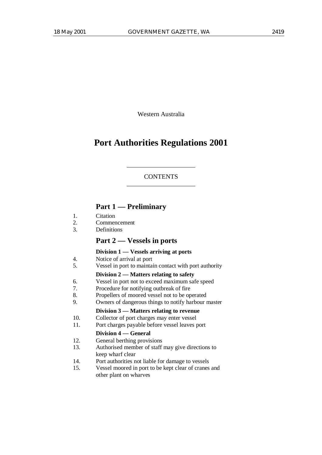Western Australia

# **Port Authorities Regulations 2001**

#### **CONTENTS**

# **Part 1 — Preliminary**

- 1. Citation<br>2. Commer
- 2. Commencement
- 3. Definitions

# **Part 2 — Vessels in ports**

#### **Division 1 — Vessels arriving at ports**

- 4. Notice of arrival at port
- 5. Vessel in port to maintain contact with port authority

#### **Division 2 — Matters relating to safety**

- 6. Vessel in port not to exceed maximum safe speed
- 7. Procedure for notifying outbreak of fire
- 8. Propellers of moored vessel not to be operated
- 9. Owners of dangerous things to notify harbour master

#### **Division 3 — Matters relating to revenue**

- 10. Collector of port charges may enter vessel
- 11. Port charges payable before vessel leaves port

#### **Division 4 — General**

- 12. General berthing provisions
- 13. Authorised member of staff may give directions to keep wharf clear
- 14. Port authorities not liable for damage to vessels
- 15. Vessel moored in port to be kept clear of cranes and other plant on wharves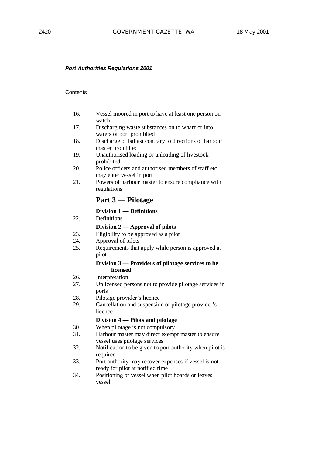# **Contents**

| 16. | Vessel moored in port to have at least one person on<br>watch                            |
|-----|------------------------------------------------------------------------------------------|
| 17. | Discharging waste substances on to wharf or into<br>waters of port prohibited            |
| 18. | Discharge of ballast contrary to directions of harbour<br>master prohibited              |
| 19. | Unauthorised loading or unloading of livestock<br>prohibited                             |
| 20. | Police officers and authorised members of staff etc.<br>may enter vessel in port         |
| 21. | Powers of harbour master to ensure compliance with<br>regulations                        |
|     |                                                                                          |
|     | Part 3 — Pilotage                                                                        |
|     | Division 1 — Definitions                                                                 |
| 22. | Definitions                                                                              |
|     | Division 2 — Approval of pilots                                                          |
| 23. | Eligibility to be approved as a pilot                                                    |
| 24. | Approval of pilots                                                                       |
| 25. | Requirements that apply while person is approved as<br>pilot                             |
|     | Division 3 — Providers of pilotage services to be                                        |
|     | licensed                                                                                 |
| 26. | Interpretation                                                                           |
| 27. | Unlicensed persons not to provide pilotage services in<br>ports                          |
| 28. | Pilotage provider's licence                                                              |
| 29. | Cancellation and suspension of pilotage provider's<br>licence                            |
|     | Division 4 – Pilots and pilotage                                                         |
| 30. | When pilotage is not compulsory                                                          |
| 31. | Harbour master may direct exempt master to ensure<br>vessel uses pilotage services       |
| 32. | Notification to be given to port authority when pilot is<br>required                     |
| 33. | Port authority may recover expenses if vessel is not<br>ready for pilot at notified time |
| 34. | Positioning of vessel when pilot boards or leaves<br>vessel                              |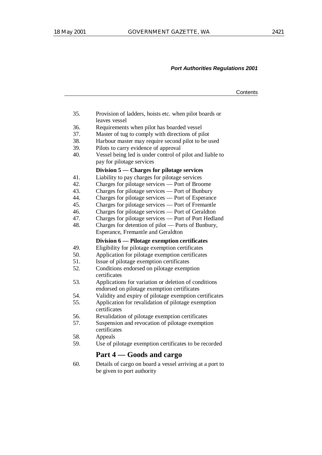|     |                                                                                                                                      | Contents |
|-----|--------------------------------------------------------------------------------------------------------------------------------------|----------|
|     |                                                                                                                                      |          |
| 35. | Provision of ladders, hoists etc. when pilot boards or<br>leaves vessel                                                              |          |
| 36. | Requirements when pilot has boarded vessel                                                                                           |          |
| 37. | Master of tug to comply with directions of pilot                                                                                     |          |
| 38. | Harbour master may require second pilot to be used                                                                                   |          |
| 39. | Pilots to carry evidence of approval                                                                                                 |          |
| 40. | Vessel being led is under control of pilot and liable to<br>pay for pilotage services                                                |          |
|     | Division 5 — Charges for pilotage services                                                                                           |          |
| 41. | Liability to pay charges for pilotage services                                                                                       |          |
| 42. | Charges for pilotage services — Port of Broome                                                                                       |          |
| 43. | Charges for photoge services<br>Charges for pilotage services — Port of Bunbury<br>Charges for pilotage services — Port of Esperance |          |
| 44. |                                                                                                                                      |          |
| 45. | Charges for pilotage services - Port of Fremantle                                                                                    |          |
| 46. | Charges for pilotage services - Port of Geraldton                                                                                    |          |
| 47. | Charges for pilotage services — Port of Port Hedland                                                                                 |          |
| 48. | Charges for detention of pilot — Ports of Bunbury,                                                                                   |          |
|     | Esperance, Fremantle and Geraldton                                                                                                   |          |
|     | Division 6 — Pilotage exemption certificates                                                                                         |          |
| 49. | Eligibility for pilotage exemption certificates                                                                                      |          |
| 50. | Application for pilotage exemption certificates                                                                                      |          |
| 51. | Issue of pilotage exemption certificates                                                                                             |          |
| 52. | Conditions endorsed on pilotage exemption                                                                                            |          |
|     | certificates                                                                                                                         |          |
| 53. | Applications for variation or deletion of conditions                                                                                 |          |
|     | endorsed on pilotage exemption certificates                                                                                          |          |
| 54. | Validity and expiry of pilotage exemption certificates                                                                               |          |
| 55. | Application for revalidation of pilotage exemption<br>certificates                                                                   |          |
| 56. | Revalidation of pilotage exemption certificates                                                                                      |          |
| 57. | Suspension and revocation of pilotage exemption<br>certificates                                                                      |          |
| 58. | Appeals                                                                                                                              |          |
| 59. | Use of pilotage exemption certificates to be recorded                                                                                |          |
|     | Part 4 – Goods and cargo                                                                                                             |          |
| 60. | Details of cargo on board a vessel arriving at a port to                                                                             |          |
|     | be given to port authority                                                                                                           |          |
|     |                                                                                                                                      |          |
|     |                                                                                                                                      |          |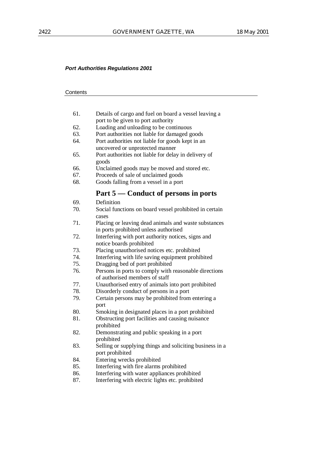# **Contents**

| 61. | Details of cargo and fuel on board a vessel leaving a                          |
|-----|--------------------------------------------------------------------------------|
|     | port to be given to port authority                                             |
| 62. | Loading and unloading to be continuous                                         |
| 63. | Port authorities not liable for damaged goods                                  |
| 64. | Port authorities not liable for goods kept in an                               |
|     | uncovered or unprotected manner                                                |
| 65. | Port authorities not liable for delay in delivery of<br>goods                  |
| 66. | Unclaimed goods may be moved and stored etc.                                   |
| 67. | Proceeds of sale of unclaimed goods                                            |
| 68. | Goods falling from a vessel in a port                                          |
|     | Part 5 — Conduct of persons in ports                                           |
| 69. | Definition                                                                     |
| 70. | Social functions on board vessel prohibited in certain<br>cases                |
| 71. | Placing or leaving dead animals and waste substances                           |
|     | in ports prohibited unless authorised                                          |
| 72. | Interfering with port authority notices, signs and<br>notice boards prohibited |
| 73. | Placing unauthorised notices etc. prohibited                                   |
| 74. | Interfering with life saving equipment prohibited                              |
| 75. | Dragging bed of port prohibited                                                |
| 76. | Persons in ports to comply with reasonable directions                          |
|     | of authorised members of staff                                                 |
| 77. | Unauthorised entry of animals into port prohibited                             |
| 78. | Disorderly conduct of persons in a port                                        |
| 79. | Certain persons may be prohibited from entering a                              |
|     | port                                                                           |
| 80. | Smoking in designated places in a port prohibited                              |
| 81. | Obstructing port facilities and causing nuisance<br>prohibited                 |
| 82. | Demonstrating and public speaking in a port                                    |
|     | prohibited                                                                     |
| 83. | Selling or supplying things and soliciting business in a<br>port prohibited    |
| 84. | Entering wrecks prohibited                                                     |
| 85. | Interfering with fire alarms prohibited                                        |
| 86. | Interfering with water appliances prohibited                                   |
|     |                                                                                |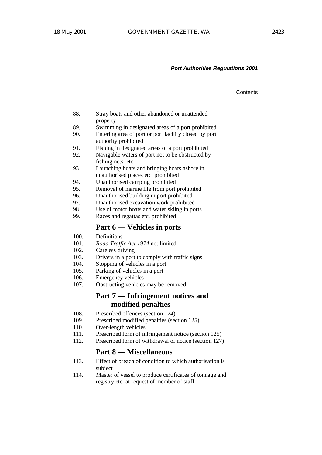- 88. Stray boats and other abandoned or unattended property
- 89. Swimming in designated areas of a port prohibited
- 90. Entering area of port or port facility closed by port authority prohibited
- 91. Fishing in designated areas of a port prohibited
- 92. Navigable waters of port not to be obstructed by fishing nets etc.
- 93. Launching boats and bringing boats ashore in unauthorised places etc. prohibited
- 94. Unauthorised camping prohibited
- 95. Removal of marine life from port prohibited
- 
- 96. Unauthorised building in port prohibited<br>97. Unauthorised excavation work prohibited Unauthorised excavation work prohibited
- 98. Use of motor boats and water skiing in ports
- 99. Races and regattas etc. prohibited

# **Part 6 — Vehicles in ports**

- 100. Definitions
- 101. *Road Traffic Act 1974* not limited
- 102. Careless driving
- 103. Drivers in a port to comply with traffic signs
- 104. Stopping of vehicles in a port
- 105. Parking of vehicles in a port
- 106. Emergency vehicles
- 107. Obstructing vehicles may be removed

# **Part 7 — Infringement notices and modified penalties**

- 108. Prescribed offences (section 124)
- 109. Prescribed modified penalties (section 125)
- 110. Over-length vehicles
- 111. Prescribed form of infringement notice (section 125)
- 112. Prescribed form of withdrawal of notice (section 127)

# **Part 8 — Miscellaneous**

- 113. Effect of breach of condition to which authorisation is subject
- 114. Master of vessel to produce certificates of tonnage and registry etc. at request of member of staff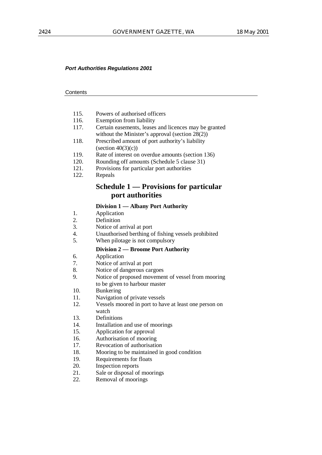#### **Contents**

- 115. Powers of authorised officers
- 116. Exemption from liability
- 117. Certain easements, leases and licences may be granted without the Minister's approval (section 28(2))
- 118. Prescribed amount of port authority's liability  $\text{(section 40(3)(c))}$
- 119. Rate of interest on overdue amounts (section 136)
- 120. Rounding off amounts (Schedule 5 clause 31)
- 121. Provisions for particular port authorities
- 122. Repeals

# **Schedule 1 — Provisions for particular port authorities**

#### **Division 1 — Albany Port Authority**

- 1. Application
- 2. Definition
- 3. Notice of arrival at port
- 4. Unauthorised berthing of fishing vessels prohibited
- 5. When pilotage is not compulsory

#### **Division 2 — Broome Port Authority**

- 6. Application<br>7. Notice of an
- Notice of arrival at port
- 8. Notice of dangerous cargoes
- 9. Notice of proposed movement of vessel from mooring
- to be given to harbour master
- 10. Bunkering
- 11. Navigation of private vessels
- 12. Vessels moored in port to have at least one person on watch
- 13. Definitions
- 14. Installation and use of moorings
- 15. Application for approval
- 16. Authorisation of mooring
- 17. Revocation of authorisation
- 18. Mooring to be maintained in good condition
- 19. Requirements for floats
- 20. Inspection reports
- 21. Sale or disposal of moorings
- 22. Removal of moorings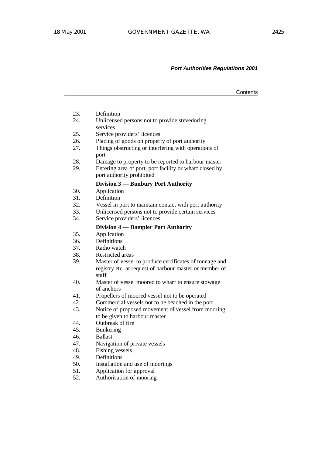|     |                                                                                                                             | Contents |
|-----|-----------------------------------------------------------------------------------------------------------------------------|----------|
|     |                                                                                                                             |          |
| 23. | Definition                                                                                                                  |          |
| 24. | Unlicensed persons not to provide stevedoring<br>services                                                                   |          |
| 25. | Service providers' licences                                                                                                 |          |
| 26. | Placing of goods on property of port authority                                                                              |          |
| 27. | Things obstructing or interfering with operations of<br>port                                                                |          |
| 28. | Damage to property to be reported to harbour master                                                                         |          |
| 29. | Entering area of port, port facility or wharf closed by<br>port authority prohibited                                        |          |
|     | Division 3 — Bunbury Port Authority                                                                                         |          |
| 30. | Application                                                                                                                 |          |
| 31. | Definition                                                                                                                  |          |
| 32. | Vessel in port to maintain contact with port authority                                                                      |          |
| 33. | Unlicensed persons not to provide certain services                                                                          |          |
| 34. | Service providers' licences                                                                                                 |          |
|     | Division 4 — Dampier Port Authority                                                                                         |          |
| 35. | Application                                                                                                                 |          |
| 36. | Definitions                                                                                                                 |          |
| 37. | Radio watch                                                                                                                 |          |
| 38. | Restricted areas                                                                                                            |          |
| 39. | Master of vessel to produce certificates of tonnage and<br>registry etc. at request of harbour master or member of<br>staff |          |
| 40. | Master of vessel moored to wharf to ensure stowage<br>of anchors                                                            |          |
| 41. | Propellers of moored vessel not to be operated                                                                              |          |
| 42. | Commercial vessels not to be beached in the port                                                                            |          |
| 43. | Notice of proposed movement of vessel from mooring                                                                          |          |
|     | to be given to harbour master                                                                                               |          |
| 44. | Outbreak of fire                                                                                                            |          |
| 45. | <b>Bunkering</b>                                                                                                            |          |
| 46. | <b>Ballast</b>                                                                                                              |          |
| 47. | Navigation of private vessels                                                                                               |          |
| 48. | Fishing vessels                                                                                                             |          |
| 49. | Definitions                                                                                                                 |          |
| 50. | Installation and use of moorings                                                                                            |          |
| 51. | Application for approval                                                                                                    |          |
| 52. | Authorisation of mooring                                                                                                    |          |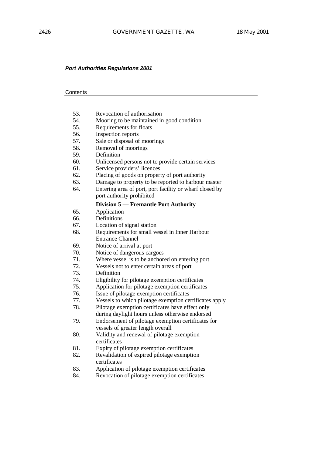# **Contents**

| 53. | Revocation of authorisation                             |
|-----|---------------------------------------------------------|
| 54. | Mooring to be maintained in good condition              |
| 55. | Requirements for floats                                 |
| 56. | Inspection reports                                      |
| 57. | Sale or disposal of moorings                            |
| 58. | Removal of moorings                                     |
| 59. | Definition                                              |
| 60. | Unlicensed persons not to provide certain services      |
| 61. | Service providers' licences                             |
| 62. | Placing of goods on property of port authority          |
| 63. | Damage to property to be reported to harbour master     |
| 64. | Entering area of port, port facility or wharf closed by |
|     | port authority prohibited                               |
|     | <b>Division 5 – Fremantle Port Authority</b>            |
| 65. | Application                                             |
| 66. | Definitions                                             |
| 67. | Location of signal station                              |
| 68. | Requirements for small vessel in Inner Harbour          |
|     | <b>Entrance Channel</b>                                 |
| 69. | Notice of arrival at port                               |
| 70. | Notice of dangerous cargoes                             |
| 71. | Where vessel is to be anchored on entering port         |
| 72. | Vessels not to enter certain areas of port              |
| 73. | Definition                                              |
| 74. | Eligibility for pilotage exemption certificates         |
| 75. | Application for pilotage exemption certificates         |
| 76. | Issue of pilotage exemption certificates                |
| 77. | Vessels to which pilotage exemption certificates apply  |
| 78. | Pilotage exemption certificates have effect only        |
|     | during daylight hours unless otherwise endorsed         |
| 79. | Endorsement of pilotage exemption certificates for      |
|     | vessels of greater length overall                       |
| 80. | Validity and renewal of pilotage exemption              |
|     | certificates                                            |
| 81. | Expiry of pilotage exemption certificates               |
| 82. | Revalidation of expired pilotage exemption              |
|     | certificates                                            |
| 83. | Application of pilotage exemption certificates          |
| 84. | Revocation of pilotage exemption certificates           |
|     |                                                         |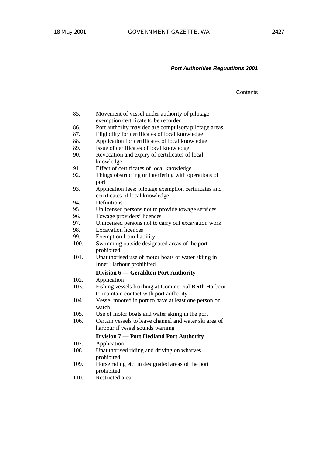|      |                                                                                                 | Contents |
|------|-------------------------------------------------------------------------------------------------|----------|
|      |                                                                                                 |          |
| 85.  | Movement of vessel under authority of pilotage<br>exemption certificate to be recorded          |          |
| 86.  | Port authority may declare compulsory pilotage areas                                            |          |
| 87.  | Eligibility for certificates of local knowledge                                                 |          |
| 88.  | Application for certificates of local knowledge                                                 |          |
| 89.  | Issue of certificates of local knowledge                                                        |          |
| 90.  | Revocation and expiry of certificates of local<br>knowledge                                     |          |
| 91.  | Effect of certificates of local knowledge                                                       |          |
| 92.  | Things obstructing or interfering with operations of<br>port                                    |          |
| 93.  | Application fees: pilotage exemption certificates and<br>certificates of local knowledge        |          |
| 94.  | Definitions                                                                                     |          |
| 95.  | Unlicensed persons not to provide towage services                                               |          |
| 96.  | Towage providers' licences                                                                      |          |
| 97.  | Unlicensed persons not to carry out excavation work                                             |          |
| 98.  | <b>Excavation licences</b>                                                                      |          |
| 99.  | Exemption from liability                                                                        |          |
| 100. | Swimming outside designated areas of the port<br>prohibited                                     |          |
| 101. | Unauthorised use of motor boats or water skiing in<br>Inner Harbour prohibited                  |          |
|      | Division 6 — Geraldton Port Authority                                                           |          |
| 102. | Application                                                                                     |          |
| 103. | Fishing vessels berthing at Commercial Berth Harbour<br>to maintain contact with port authority |          |
| 104. | Vessel moored in port to have at least one person on<br>watch                                   |          |
| 105. | Use of motor boats and water skiing in the port                                                 |          |
| 106. | Certain vessels to leave channel and water ski area of<br>harbour if vessel sounds warning      |          |
|      |                                                                                                 |          |
|      | Division 7 — Port Hedland Port Authority                                                        |          |
| 107. | Application                                                                                     |          |
| 108. | Unauthorised riding and driving on wharves<br>prohibited                                        |          |
| 109. | Horse riding etc. in designated areas of the port<br>prohibited                                 |          |

110. Restricted area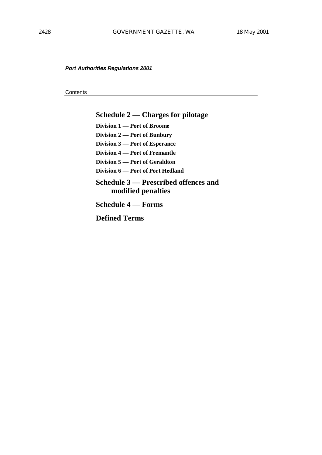**Contents** 

# **Schedule 2 — Charges for pilotage**

**Division 1 — Port of Broome**

**Division 2 — Port of Bunbury**

**Division 3 — Port of Esperance**

**Division 4 — Port of Fremantle**

**Division 5 — Port of Geraldton**

**Division 6 — Port of Port Hedland**

# **Schedule 3 — Prescribed offences and modified penalties**

**Schedule 4 — Forms**

**Defined Terms**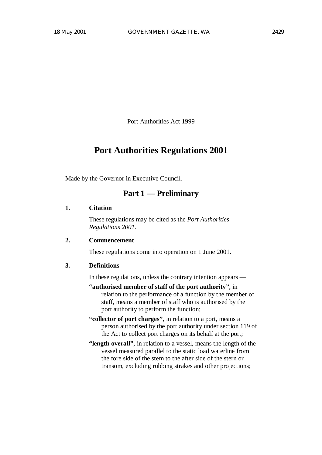Port Authorities Act 1999

# **Port Authorities Regulations 2001**

Made by the Governor in Executive Council.

# **Part 1 — Preliminary**

#### **1. Citation**

These regulations may be cited as the *Port Authorities Regulations 2001.*

# **2. Commencement**

These regulations come into operation on 1 June 2001.

#### **3. Definitions**

In these regulations, unless the contrary intention appears —

- **"authorised member of staff of the port authority"**, in relation to the performance of a function by the member of staff, means a member of staff who is authorised by the port authority to perform the function;
- **"collector of port charges"**, in relation to a port, means a person authorised by the port authority under section 119 of the Act to collect port charges on its behalf at the port;
- **"length overall"**, in relation to a vessel, means the length of the vessel measured parallel to the static load waterline from the fore side of the stem to the after side of the stern or transom, excluding rubbing strakes and other projections;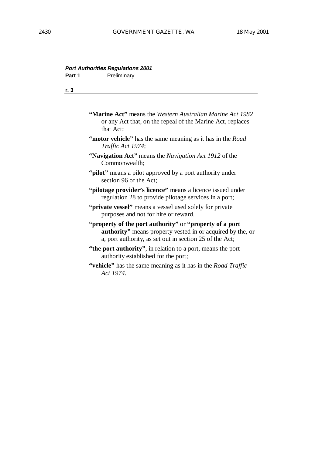#### **Port Authorities Regulations 2001 Part 1** Prelimina

| art i |  |  | Preliminary |  |
|-------|--|--|-------------|--|
|       |  |  |             |  |

**r. 3**

|           | <b>"Marine Act"</b> means the Western Australian Marine Act 1982 |
|-----------|------------------------------------------------------------------|
|           | or any Act that, on the repeal of the Marine Act, replaces       |
| that Act; |                                                                  |

- **"motor vehicle"** has the same meaning as it has in the *Road Traffic Act 1974*;
- **"Navigation Act"** means the *Navigation Act 1912* of the Commonwealth;
- "**pilot**" means a pilot approved by a port authority under section 96 of the Act;
- **"pilotage provider's licence"** means a licence issued under regulation 28 to provide pilotage services in a port;
- **"private vessel"** means a vessel used solely for private purposes and not for hire or reward.
- **"property of the port authority"** or **"property of a port authority"** means property vested in or acquired by the, or a, port authority, as set out in section 25 of the Act;
- **"the port authority"**, in relation to a port, means the port authority established for the port;
- **"vehicle"** has the same meaning as it has in the *Road Traffic Act 1974*.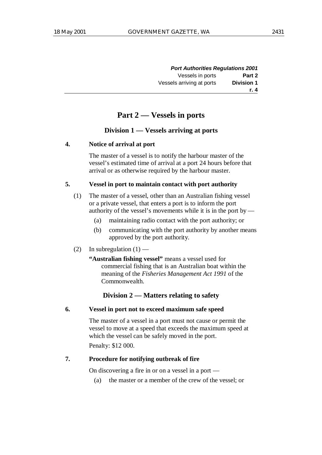| <b>Port Authorities Regulations 2001</b> |                           |
|------------------------------------------|---------------------------|
| Part 2                                   | Vessels in ports          |
| <b>Division 1</b>                        | Vessels arriving at ports |
| r. 4                                     |                           |

# **Part 2 — Vessels in ports**

#### **Division 1 — Vessels arriving at ports**

#### **4. Notice of arrival at port**

The master of a vessel is to notify the harbour master of the vessel's estimated time of arrival at a port 24 hours before that arrival or as otherwise required by the harbour master.

#### **5. Vessel in port to maintain contact with port authority**

- (1) The master of a vessel, other than an Australian fishing vessel or a private vessel, that enters a port is to inform the port authority of the vessel's movements while it is in the port by —
	- (a) maintaining radio contact with the port authority; or
	- (b) communicating with the port authority by another means approved by the port authority.
- (2) In subregulation  $(1)$  —

**"Australian fishing vessel"** means a vessel used for commercial fishing that is an Australian boat within the meaning of the *Fisheries Management Act 1991* of the Commonwealth.

# **Division 2 — Matters relating to safety**

#### **6. Vessel in port not to exceed maximum safe speed**

The master of a vessel in a port must not cause or permit the vessel to move at a speed that exceeds the maximum speed at which the vessel can be safely moved in the port.

Penalty: \$12 000.

# **7. Procedure for notifying outbreak of fire**

On discovering a fire in or on a vessel in a port —

(a) the master or a member of the crew of the vessel; or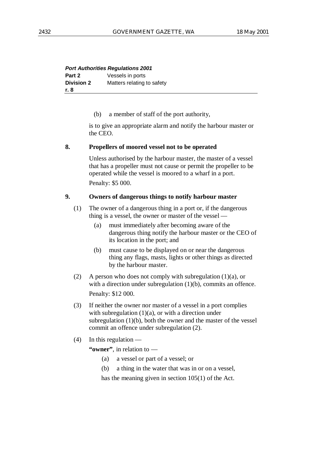| <b>Port Authorities Regulations 2001</b> |                            |
|------------------------------------------|----------------------------|
| Part 2                                   | Vessels in ports           |
| <b>Division 2</b>                        | Matters relating to safety |
| r. 8                                     |                            |

(b) a member of staff of the port authority,

is to give an appropriate alarm and notify the harbour master or the CEO.

#### **8. Propellers of moored vessel not to be operated**

Unless authorised by the harbour master, the master of a vessel that has a propeller must not cause or permit the propeller to be operated while the vessel is moored to a wharf in a port.

Penalty: \$5 000.

# **9. Owners of dangerous things to notify harbour master**

(1) The owner of a dangerous thing in a port or, if the dangerous thing is a vessel, the owner or master of the vessel —

- (a) must immediately after becoming aware of the dangerous thing notify the harbour master or the CEO of its location in the port; and
- (b) must cause to be displayed on or near the dangerous thing any flags, masts, lights or other things as directed by the harbour master.
- (2) A person who does not comply with subregulation  $(1)(a)$ , or with a direction under subregulation (1)(b), commits an offence. Penalty: \$12 000.
- (3) If neither the owner nor master of a vessel in a port complies with subregulation  $(1)(a)$ , or with a direction under subregulation (1)(b), both the owner and the master of the vessel commit an offence under subregulation (2).
- $(4)$  In this regulation —

**"owner"**, in relation to —

- (a) a vessel or part of a vessel; or
- (b) a thing in the water that was in or on a vessel,

has the meaning given in section 105(1) of the Act.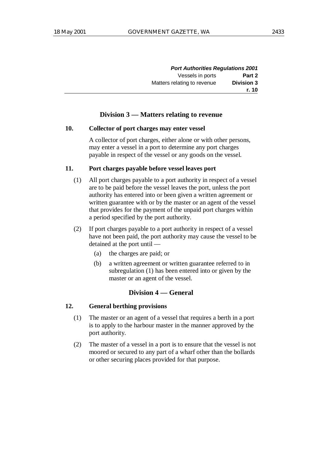| <b>Port Authorities Regulations 2001</b> |                             |
|------------------------------------------|-----------------------------|
| Part 2<br>Vessels in ports               |                             |
| <b>Division 3</b>                        | Matters relating to revenue |
| r. 10                                    |                             |

# **Division 3 — Matters relating to revenue**

#### **10. Collector of port charges may enter vessel**

A collector of port charges, either alone or with other persons, may enter a vessel in a port to determine any port charges payable in respect of the vessel or any goods on the vessel.

## **11. Port charges payable before vessel leaves port**

- (1) All port charges payable to a port authority in respect of a vessel are to be paid before the vessel leaves the port, unless the port authority has entered into or been given a written agreement or written guarantee with or by the master or an agent of the vessel that provides for the payment of the unpaid port charges within a period specified by the port authority.
- (2) If port charges payable to a port authority in respect of a vessel have not been paid, the port authority may cause the vessel to be detained at the port until —
	- (a) the charges are paid; or
	- (b) a written agreement or written guarantee referred to in subregulation (1) has been entered into or given by the master or an agent of the vessel.

# **Division 4 — General**

# **12. General berthing provisions**

- (1) The master or an agent of a vessel that requires a berth in a port is to apply to the harbour master in the manner approved by the port authority.
- (2) The master of a vessel in a port is to ensure that the vessel is not moored or secured to any part of a wharf other than the bollards or other securing places provided for that purpose.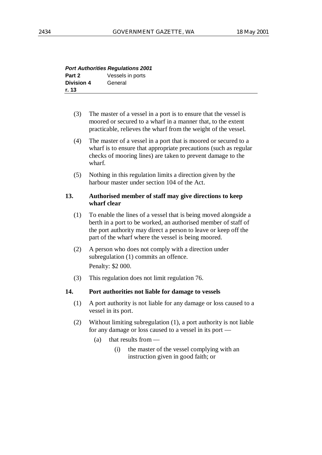| <b>Port Authorities Regulations 2001</b> |                  |
|------------------------------------------|------------------|
| Part 2                                   | Vessels in ports |
| <b>Division 4</b>                        | General          |
| r. 13                                    |                  |

- (3) The master of a vessel in a port is to ensure that the vessel is moored or secured to a wharf in a manner that, to the extent practicable, relieves the wharf from the weight of the vessel.
- (4) The master of a vessel in a port that is moored or secured to a wharf is to ensure that appropriate precautions (such as regular checks of mooring lines) are taken to prevent damage to the wharf.
- (5) Nothing in this regulation limits a direction given by the harbour master under section 104 of the Act.

#### **13. Authorised member of staff may give directions to keep wharf clear**

- (1) To enable the lines of a vessel that is being moved alongside a berth in a port to be worked, an authorised member of staff of the port authority may direct a person to leave or keep off the part of the wharf where the vessel is being moored.
- (2) A person who does not comply with a direction under subregulation (1) commits an offence. Penalty: \$2 000.
- (3) This regulation does not limit regulation 76.

#### **14. Port authorities not liable for damage to vessels**

- (1) A port authority is not liable for any damage or loss caused to a vessel in its port.
- (2) Without limiting subregulation (1), a port authority is not liable for any damage or loss caused to a vessel in its port —
	- (a) that results from  $-$ 
		- (i) the master of the vessel complying with an instruction given in good faith; or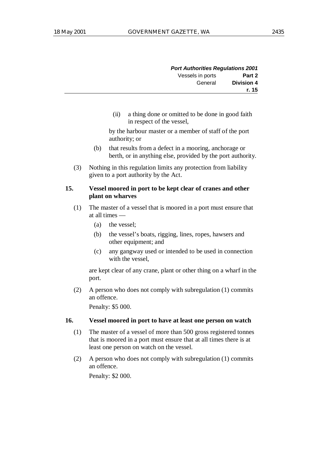| <b>Port Authorities Regulations 2001</b> |                  |
|------------------------------------------|------------------|
| Part 2                                   | Vessels in ports |
| <b>Division 4</b>                        | General          |
| r. 15                                    |                  |

(ii) a thing done or omitted to be done in good faith in respect of the vessel,

by the harbour master or a member of staff of the port authority; or

- (b) that results from a defect in a mooring, anchorage or berth, or in anything else, provided by the port authority.
- (3) Nothing in this regulation limits any protection from liability given to a port authority by the Act.

# **15. Vessel moored in port to be kept clear of cranes and other plant on wharves**

- (1) The master of a vessel that is moored in a port must ensure that at all times —
	- (a) the vessel;
	- (b) the vessel's boats, rigging, lines, ropes, hawsers and other equipment; and
	- (c) any gangway used or intended to be used in connection with the vessel,

are kept clear of any crane, plant or other thing on a wharf in the port.

(2) A person who does not comply with subregulation (1) commits an offence.

Penalty: \$5 000.

# **16. Vessel moored in port to have at least one person on watch**

- (1) The master of a vessel of more than 500 gross registered tonnes that is moored in a port must ensure that at all times there is at least one person on watch on the vessel.
- (2) A person who does not comply with subregulation (1) commits an offence.

Penalty: \$2 000.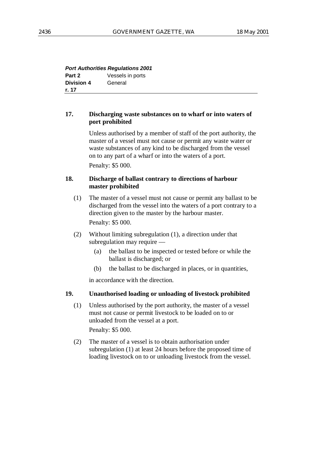| <b>Port Authorities Regulations 2001</b> |                  |
|------------------------------------------|------------------|
| Part 2                                   | Vessels in ports |
| <b>Division 4</b>                        | General          |
| r. 17                                    |                  |

# **17. Discharging waste substances on to wharf or into waters of port prohibited**

Unless authorised by a member of staff of the port authority, the master of a vessel must not cause or permit any waste water or waste substances of any kind to be discharged from the vessel on to any part of a wharf or into the waters of a port. Penalty: \$5 000.

# **18. Discharge of ballast contrary to directions of harbour master prohibited**

(1) The master of a vessel must not cause or permit any ballast to be discharged from the vessel into the waters of a port contrary to a direction given to the master by the harbour master.

Penalty: \$5 000.

- (2) Without limiting subregulation (1), a direction under that subregulation may require —
	- (a) the ballast to be inspected or tested before or while the ballast is discharged; or
	- (b) the ballast to be discharged in places, or in quantities,

in accordance with the direction.

# **19. Unauthorised loading or unloading of livestock prohibited**

(1) Unless authorised by the port authority, the master of a vessel must not cause or permit livestock to be loaded on to or unloaded from the vessel at a port. Penalty: \$5 000.

(2) The master of a vessel is to obtain authorisation under subregulation (1) at least 24 hours before the proposed time of loading livestock on to or unloading livestock from the vessel.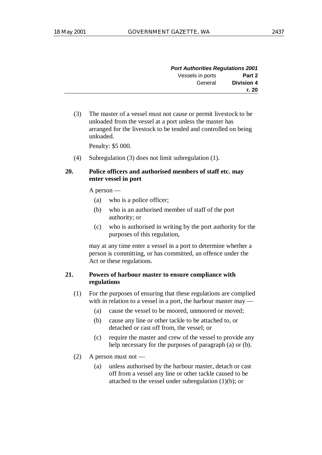| <b>Port Authorities Regulations 2001</b> |                  |
|------------------------------------------|------------------|
| Part 2                                   | Vessels in ports |
| <b>Division 4</b>                        | General          |
| r. 20                                    |                  |

(3) The master of a vessel must not cause or permit livestock to be unloaded from the vessel at a port unless the master has arranged for the livestock to be tended and controlled on being unloaded.

Penalty: \$5 000.

(4) Subregulation (3) does not limit subregulation (1).

## **20. Police officers and authorised members of staff etc. may enter vessel in port**

A person —

- (a) who is a police officer;
- (b) who is an authorised member of staff of the port authority; or
- (c) who is authorised in writing by the port authority for the purposes of this regulation,

may at any time enter a vessel in a port to determine whether a person is committing, or has committed, an offence under the Act or these regulations.

#### **21. Powers of harbour master to ensure compliance with regulations**

- (1) For the purposes of ensuring that these regulations are complied with in relation to a vessel in a port, the harbour master may —
	- (a) cause the vessel to be moored, unmoored or moved;
	- (b) cause any line or other tackle to be attached to, or detached or cast off from, the vessel; or
	- (c) require the master and crew of the vessel to provide any help necessary for the purposes of paragraph (a) or (b).
- (2) A person must not
	- (a) unless authorised by the harbour master, detach or cast off from a vessel any line or other tackle caused to be attached to the vessel under subregulation (1)(b); or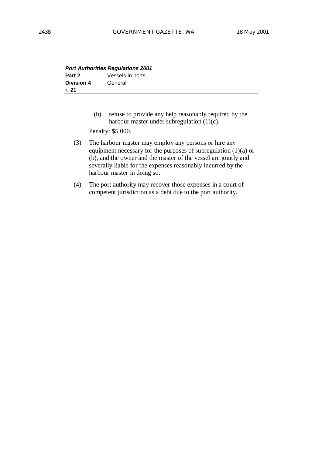| <b>Port Authorities Regulations 2001</b> |                  |
|------------------------------------------|------------------|
| Part 2                                   | Vessels in ports |
| <b>Division 4</b>                        | General          |
| r. 21                                    |                  |

(b) refuse to provide any help reasonably required by the harbour master under subregulation (1)(c).

Penalty: \$5 000.

- (3) The harbour master may employ any persons or hire any equipment necessary for the purposes of subregulation (1)(a) or (b), and the owner and the master of the vessel are jointly and severally liable for the expenses reasonably incurred by the harbour master in doing so.
- (4) The port authority may recover those expenses in a court of competent jurisdiction as a debt due to the port authority.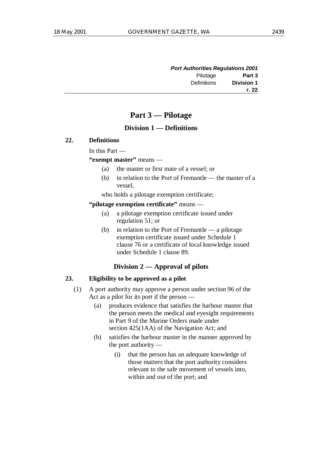| <b>Port Authorities Regulations 2001</b> |             |
|------------------------------------------|-------------|
| Part 3                                   | Pilotage    |
| <b>Division 1</b>                        | Definitions |
| r. 22                                    |             |

# **Part 3 — Pilotage**

# **Division 1 — Definitions**

#### **22. Definitions**

In this Part —

**"exempt master"** means —

- (a) the master or first mate of a vessel; or
- (b) in relation to the Port of Fremantle the master of a vessel,
- who holds a pilotage exemption certificate;

#### **"pilotage exemption certificate"** means —

- (a) a pilotage exemption certificate issued under regulation 51; or
- (b) in relation to the Port of Fremantle a pilotage exemption certificate issued under Schedule 1 clause 76 or a certificate of local knowledge issued under Schedule 1 clause 89.

# **Division 2 — Approval of pilots**

# **23. Eligibility to be approved as a pilot**

- (1) A port authority may approve a person under section 96 of the Act as a pilot for its port if the person —
	- (a) produces evidence that satisfies the harbour master that the person meets the medical and eyesight requirements in Part 9 of the Marine Orders made under section 425(1AA) of the Navigation Act; and
	- (b) satisfies the harbour master in the manner approved by the port authority —
		- (i) that the person has an adequate knowledge of those matters that the port authority considers relevant to the safe movement of vessels into, within and out of the port; and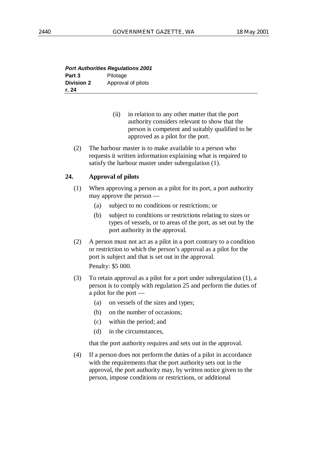| <b>Port Authorities Regulations 2001</b> |                    |
|------------------------------------------|--------------------|
| Part 3                                   | Pilotage           |
| <b>Division 2</b>                        | Approval of pilots |
| r. 24                                    |                    |

- (ii) in relation to any other matter that the port authority considers relevant to show that the person is competent and suitably qualified to be approved as a pilot for the port.
- (2) The harbour master is to make available to a person who requests it written information explaining what is required to satisfy the harbour master under subregulation (1).

#### **24. Approval of pilots**

- (1) When approving a person as a pilot for its port, a port authority may approve the person —
	- (a) subject to no conditions or restrictions; or
	- (b) subject to conditions or restrictions relating to sizes or types of vessels, or to areas of the port, as set out by the port authority in the approval.
- (2) A person must not act as a pilot in a port contrary to a condition or restriction to which the person's approval as a pilot for the port is subject and that is set out in the approval. Penalty: \$5 000.
- (3) To retain approval as a pilot for a port under subregulation (1), a person is to comply with regulation 25 and perform the duties of a pilot for the port —
	- (a) on vessels of the sizes and types;
	- (b) on the number of occasions;
	- (c) within the period; and
	- (d) in the circumstances,

that the port authority requires and sets out in the approval.

(4) If a person does not perform the duties of a pilot in accordance with the requirements that the port authority sets out in the approval, the port authority may, by written notice given to the person, impose conditions or restrictions, or additional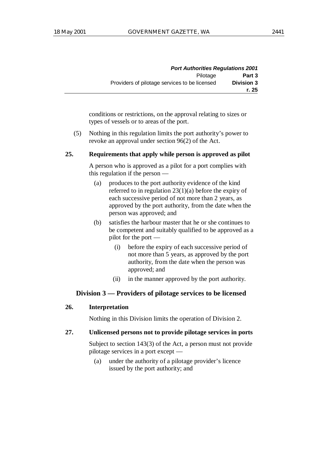| <b>Port Authorities Regulations 2001</b> |                                               |
|------------------------------------------|-----------------------------------------------|
| Part 3                                   | Pilotage                                      |
| <b>Division 3</b>                        | Providers of pilotage services to be licensed |
| r. 25                                    |                                               |

conditions or restrictions, on the approval relating to sizes or types of vessels or to areas of the port.

(5) Nothing in this regulation limits the port authority's power to revoke an approval under section 96(2) of the Act.

#### **25. Requirements that apply while person is approved as pilot**

A person who is approved as a pilot for a port complies with this regulation if the person —

- (a) produces to the port authority evidence of the kind referred to in regulation  $23(1)(a)$  before the expiry of each successive period of not more than 2 years, as approved by the port authority, from the date when the person was approved; and
- (b) satisfies the harbour master that he or she continues to be competent and suitably qualified to be approved as a pilot for the port —
	- (i) before the expiry of each successive period of not more than 5 years, as approved by the port authority, from the date when the person was approved; and
	- (ii) in the manner approved by the port authority.

## **Division 3 — Providers of pilotage services to be licensed**

# **26. Interpretation**

Nothing in this Division limits the operation of Division 2.

#### **27. Unlicensed persons not to provide pilotage services in ports**

Subject to section 143(3) of the Act, a person must not provide pilotage services in a port except —

(a) under the authority of a pilotage provider's licence issued by the port authority; and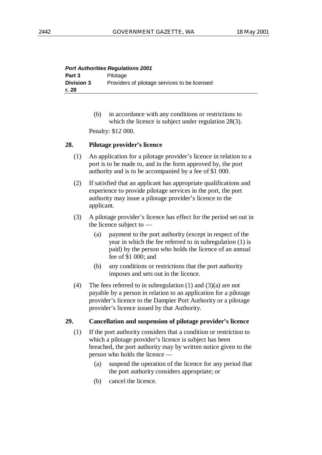| <b>Port Authorities Regulations 2001</b> |                                               |
|------------------------------------------|-----------------------------------------------|
| Part 3                                   | Pilotage                                      |
| <b>Division 3</b>                        | Providers of pilotage services to be licensed |
| r. 28                                    |                                               |

(b) in accordance with any conditions or restrictions to which the licence is subject under regulation 28(3).

Penalty: \$12 000.

# **28. Pilotage provider's licence**

- (1) An application for a pilotage provider's licence in relation to a port is to be made to, and in the form approved by, the port authority and is to be accompanied by a fee of \$1 000.
- (2) If satisfied that an applicant has appropriate qualifications and experience to provide pilotage services in the port, the port authority may issue a pilotage provider's licence to the applicant.
- (3) A pilotage provider's licence has effect for the period set out in the licence subject to —
	- (a) payment to the port authority (except in respect of the year in which the fee referred to in subregulation (1) is paid) by the person who holds the licence of an annual fee of \$1 000; and
	- (b) any conditions or restrictions that the port authority imposes and sets out in the licence.
- (4) The fees referred to in subregulation (1) and  $(3)(a)$  are not payable by a person in relation to an application for a pilotage provider's licence to the Dampier Port Authority or a pilotage provider's licence issued by that Authority.

#### **29. Cancellation and suspension of pilotage provider's licence**

- (1) If the port authority considers that a condition or restriction to which a pilotage provider's licence is subject has been breached, the port authority may by written notice given to the person who holds the licence —
	- (a) suspend the operation of the licence for any period that the port authority considers appropriate; or
	- (b) cancel the licence.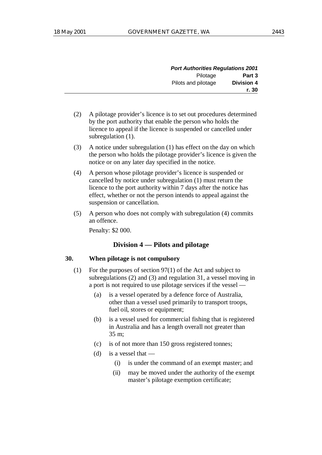| <b>Port Authorities Regulations 2001</b> |                     |
|------------------------------------------|---------------------|
| Part 3                                   | Pilotage            |
| <b>Division 4</b>                        | Pilots and pilotage |
| r. 30                                    |                     |

- (2) A pilotage provider's licence is to set out procedures determined by the port authority that enable the person who holds the licence to appeal if the licence is suspended or cancelled under subregulation  $(1)$ .
- (3) A notice under subregulation (1) has effect on the day on which the person who holds the pilotage provider's licence is given the notice or on any later day specified in the notice.
- (4) A person whose pilotage provider's licence is suspended or cancelled by notice under subregulation (1) must return the licence to the port authority within 7 days after the notice has effect, whether or not the person intends to appeal against the suspension or cancellation.
- (5) A person who does not comply with subregulation (4) commits an offence.

Penalty: \$2 000.

# **Division 4 — Pilots and pilotage**

# **30. When pilotage is not compulsory**

- (1) For the purposes of section 97(1) of the Act and subject to subregulations (2) and (3) and regulation 31, a vessel moving in a port is not required to use pilotage services if the vessel —
	- (a) is a vessel operated by a defence force of Australia, other than a vessel used primarily to transport troops, fuel oil, stores or equipment;
	- (b) is a vessel used for commercial fishing that is registered in Australia and has a length overall not greater than 35 m;
	- (c) is of not more than 150 gross registered tonnes;
	- (d) is a vessel that  $-$ 
		- (i) is under the command of an exempt master; and
		- (ii) may be moved under the authority of the exempt master's pilotage exemption certificate;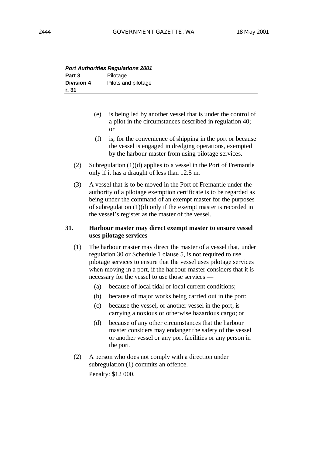|                   | <b>Port Authorities Regulations 2001</b> |
|-------------------|------------------------------------------|
| Part 3            | Pilotage                                 |
| <b>Division 4</b> | Pilots and pilotage                      |
| r. 31             |                                          |

- (e) is being led by another vessel that is under the control of a pilot in the circumstances described in regulation 40; or
- (f) is, for the convenience of shipping in the port or because the vessel is engaged in dredging operations, exempted by the harbour master from using pilotage services.
- (2) Subregulation (1)(d) applies to a vessel in the Port of Fremantle only if it has a draught of less than 12.5 m.
- (3) A vessel that is to be moved in the Port of Fremantle under the authority of a pilotage exemption certificate is to be regarded as being under the command of an exempt master for the purposes of subregulation (1)(d) only if the exempt master is recorded in the vessel's register as the master of the vessel.

# **31. Harbour master may direct exempt master to ensure vessel uses pilotage services**

- (1) The harbour master may direct the master of a vessel that, under regulation 30 or Schedule 1 clause 5, is not required to use pilotage services to ensure that the vessel uses pilotage services when moving in a port, if the harbour master considers that it is necessary for the vessel to use those services —
	- (a) because of local tidal or local current conditions;
	- (b) because of major works being carried out in the port;
	- (c) because the vessel, or another vessel in the port, is carrying a noxious or otherwise hazardous cargo; or
	- (d) because of any other circumstances that the harbour master considers may endanger the safety of the vessel or another vessel or any port facilities or any person in the port.
- (2) A person who does not comply with a direction under subregulation (1) commits an offence. Penalty: \$12 000.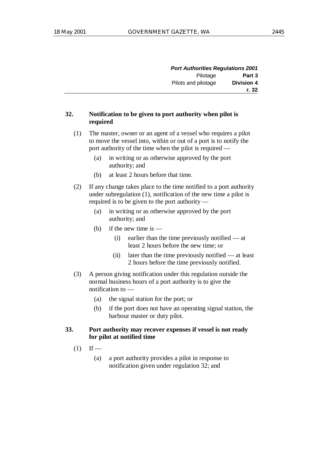| <b>Port Authorities Regulations 2001</b> |                     |
|------------------------------------------|---------------------|
| Part 3                                   | Pilotage            |
| <b>Division 4</b>                        | Pilots and pilotage |
| r. 32                                    |                     |

## **32. Notification to be given to port authority when pilot is required**

- (1) The master, owner or an agent of a vessel who requires a pilot to move the vessel into, within or out of a port is to notify the port authority of the time when the pilot is required —
	- (a) in writing or as otherwise approved by the port authority; and
	- (b) at least 2 hours before that time.
- (2) If any change takes place to the time notified to a port authority under subregulation (1), notification of the new time a pilot is required is to be given to the port authority —
	- (a) in writing or as otherwise approved by the port authority; and
	- (b) if the new time is  $-$ 
		- (i) earlier than the time previously notified at least 2 hours before the new time; or
		- (ii) later than the time previously notified at least 2 hours before the time previously notified.
- (3) A person giving notification under this regulation outside the normal business hours of a port authority is to give the notification to —
	- (a) the signal station for the port; or
	- (b) if the port does not have an operating signal station, the harbour master or duty pilot.

# **33. Port authority may recover expenses if vessel is not ready for pilot at notified time**

- $(1)$  If
	- (a) a port authority provides a pilot in response to notification given under regulation 32; and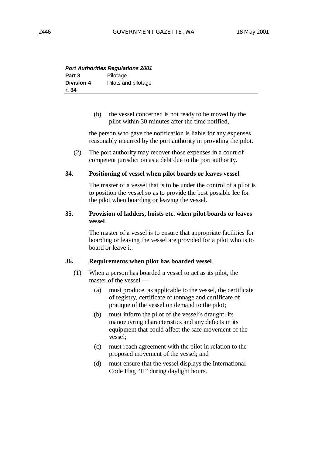| <b>Port Authorities Regulations 2001</b> |                     |  |
|------------------------------------------|---------------------|--|
| Part 3                                   | Pilotage            |  |
| <b>Division 4</b>                        | Pilots and pilotage |  |
| r. 34                                    |                     |  |

(b) the vessel concerned is not ready to be moved by the pilot within 30 minutes after the time notified,

the person who gave the notification is liable for any expenses reasonably incurred by the port authority in providing the pilot.

(2) The port authority may recover those expenses in a court of competent jurisdiction as a debt due to the port authority.

#### **34. Positioning of vessel when pilot boards or leaves vessel**

The master of a vessel that is to be under the control of a pilot is to position the vessel so as to provide the best possible lee for the pilot when boarding or leaving the vessel.

### **35. Provision of ladders, hoists etc. when pilot boards or leaves vessel**

The master of a vessel is to ensure that appropriate facilities for boarding or leaving the vessel are provided for a pilot who is to board or leave it.

#### **36. Requirements when pilot has boarded vessel**

- (1) When a person has boarded a vessel to act as its pilot, the master of the vessel —
	- (a) must produce, as applicable to the vessel, the certificate of registry, certificate of tonnage and certificate of pratique of the vessel on demand to the pilot;
	- (b) must inform the pilot of the vessel's draught, its manoeuvring characteristics and any defects in its equipment that could affect the safe movement of the vessel;
	- (c) must reach agreement with the pilot in relation to the proposed movement of the vessel; and
	- (d) must ensure that the vessel displays the International Code Flag "H" during daylight hours.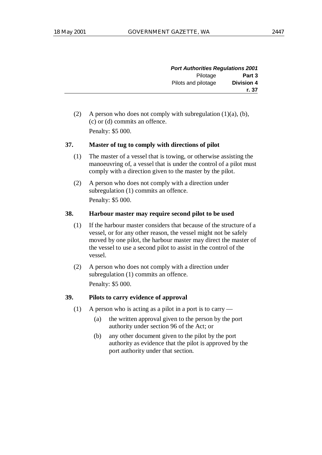| <b>Port Authorities Regulations 2001</b> |                     |
|------------------------------------------|---------------------|
| Part 3                                   | Pilotage            |
| <b>Division 4</b>                        | Pilots and pilotage |
| r. 37                                    |                     |

(2) A person who does not comply with subregulation  $(1)(a)$ ,  $(b)$ , (c) or (d) commits an offence. Penalty: \$5 000.

# **37. Master of tug to comply with directions of pilot**

- (1) The master of a vessel that is towing, or otherwise assisting the manoeuvring of, a vessel that is under the control of a pilot must comply with a direction given to the master by the pilot.
- (2) A person who does not comply with a direction under subregulation (1) commits an offence. Penalty: \$5 000.

#### **38. Harbour master may require second pilot to be used**

- (1) If the harbour master considers that because of the structure of a vessel, or for any other reason, the vessel might not be safely moved by one pilot, the harbour master may direct the master of the vessel to use a second pilot to assist in the control of the vessel.
- (2) A person who does not comply with a direction under subregulation (1) commits an offence. Penalty: \$5 000.

### **39. Pilots to carry evidence of approval**

- (1) A person who is acting as a pilot in a port is to carry
	- (a) the written approval given to the person by the port authority under section 96 of the Act; or
	- (b) any other document given to the pilot by the port authority as evidence that the pilot is approved by the port authority under that section.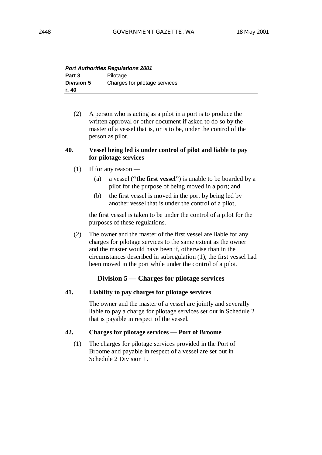| <b>Port Authorities Regulations 2001</b> |                               |
|------------------------------------------|-------------------------------|
| Part 3                                   | Pilotage                      |
| <b>Division 5</b>                        | Charges for pilotage services |
| r. 40                                    |                               |

(2) A person who is acting as a pilot in a port is to produce the written approval or other document if asked to do so by the master of a vessel that is, or is to be, under the control of the person as pilot.

#### **40. Vessel being led is under control of pilot and liable to pay for pilotage services**

- (1) If for any reason
	- (a) a vessel (**"the first vessel"**) is unable to be boarded by a pilot for the purpose of being moved in a port; and
	- (b) the first vessel is moved in the port by being led by another vessel that is under the control of a pilot,

the first vessel is taken to be under the control of a pilot for the purposes of these regulations.

(2) The owner and the master of the first vessel are liable for any charges for pilotage services to the same extent as the owner and the master would have been if, otherwise than in the circumstances described in subregulation (1), the first vessel had been moved in the port while under the control of a pilot.

# **Division 5 — Charges for pilotage services**

#### **41. Liability to pay charges for pilotage services**

The owner and the master of a vessel are jointly and severally liable to pay a charge for pilotage services set out in Schedule 2 that is payable in respect of the vessel.

#### **42. Charges for pilotage services — Port of Broome**

(1) The charges for pilotage services provided in the Port of Broome and payable in respect of a vessel are set out in Schedule 2 Division 1.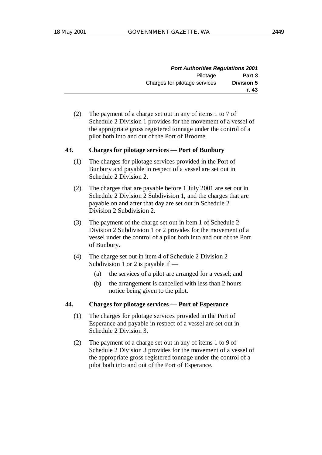|            | <b>Port Authorities Regulations 2001</b> |                               |
|------------|------------------------------------------|-------------------------------|
| Part 3     | Pilotage                                 |                               |
| Division 5 |                                          | Charges for pilotage services |
| r. 43      |                                          |                               |

(2) The payment of a charge set out in any of items 1 to 7 of Schedule 2 Division 1 provides for the movement of a vessel of the appropriate gross registered tonnage under the control of a pilot both into and out of the Port of Broome.

#### **43. Charges for pilotage services — Port of Bunbury**

- (1) The charges for pilotage services provided in the Port of Bunbury and payable in respect of a vessel are set out in Schedule 2 Division 2.
- (2) The charges that are payable before 1 July 2001 are set out in Schedule 2 Division 2 Subdivision 1, and the charges that are payable on and after that day are set out in Schedule 2 Division 2 Subdivision 2.
- (3) The payment of the charge set out in item 1 of Schedule 2 Division 2 Subdivision 1 or 2 provides for the movement of a vessel under the control of a pilot both into and out of the Port of Bunbury.
- (4) The charge set out in item 4 of Schedule 2 Division 2 Subdivision 1 or 2 is payable if —
	- (a) the services of a pilot are arranged for a vessel; and
	- (b) the arrangement is cancelled with less than 2 hours notice being given to the pilot.

# **44. Charges for pilotage services — Port of Esperance**

- (1) The charges for pilotage services provided in the Port of Esperance and payable in respect of a vessel are set out in Schedule 2 Division 3.
- (2) The payment of a charge set out in any of items 1 to 9 of Schedule 2 Division 3 provides for the movement of a vessel of the appropriate gross registered tonnage under the control of a pilot both into and out of the Port of Esperance.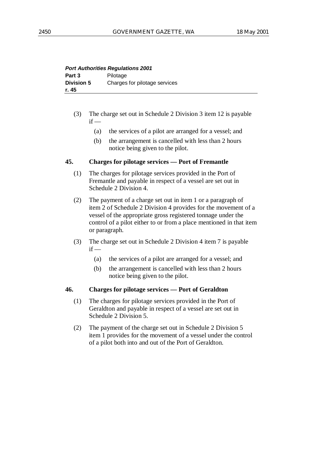| <b>Port Authorities Regulations 2001</b> |                               |
|------------------------------------------|-------------------------------|
| Part 3                                   | Pilotage                      |
| <b>Division 5</b>                        | Charges for pilotage services |
| r. 45                                    |                               |

- (3) The charge set out in Schedule 2 Division 3 item 12 is payable  $if -$ 
	- (a) the services of a pilot are arranged for a vessel; and
	- (b) the arrangement is cancelled with less than 2 hours notice being given to the pilot.

#### **45. Charges for pilotage services — Port of Fremantle**

- (1) The charges for pilotage services provided in the Port of Fremantle and payable in respect of a vessel are set out in Schedule 2 Division 4.
- (2) The payment of a charge set out in item 1 or a paragraph of item 2 of Schedule 2 Division 4 provides for the movement of a vessel of the appropriate gross registered tonnage under the control of a pilot either to or from a place mentioned in that item or paragraph.
- (3) The charge set out in Schedule 2 Division 4 item 7 is payable  $if -$ 
	- (a) the services of a pilot are arranged for a vessel; and
	- (b) the arrangement is cancelled with less than 2 hours notice being given to the pilot.

#### **46. Charges for pilotage services — Port of Geraldton**

- (1) The charges for pilotage services provided in the Port of Geraldton and payable in respect of a vessel are set out in Schedule 2 Division 5.
- (2) The payment of the charge set out in Schedule 2 Division 5 item 1 provides for the movement of a vessel under the control of a pilot both into and out of the Port of Geraldton.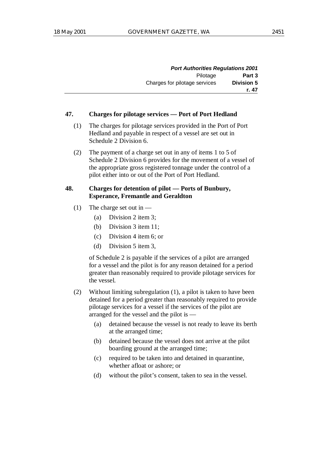| <b>Port Authorities Regulations 2001</b> |                               |
|------------------------------------------|-------------------------------|
| Part 3                                   | Pilotage                      |
| <b>Division 5</b>                        | Charges for pilotage services |
| r. 47                                    |                               |

#### **47. Charges for pilotage services — Port of Port Hedland**

- (1) The charges for pilotage services provided in the Port of Port Hedland and payable in respect of a vessel are set out in Schedule 2 Division 6.
- (2) The payment of a charge set out in any of items 1 to 5 of Schedule 2 Division 6 provides for the movement of a vessel of the appropriate gross registered tonnage under the control of a pilot either into or out of the Port of Port Hedland.

# **48. Charges for detention of pilot — Ports of Bunbury, Esperance, Fremantle and Geraldton**

- (1) The charge set out in
	- (a) Division 2 item 3;
	- (b) Division 3 item 11;
	- (c) Division 4 item 6; or
	- (d) Division 5 item 3,

of Schedule 2 is payable if the services of a pilot are arranged for a vessel and the pilot is for any reason detained for a period greater than reasonably required to provide pilotage services for the vessel.

- (2) Without limiting subregulation (1), a pilot is taken to have been detained for a period greater than reasonably required to provide pilotage services for a vessel if the services of the pilot are arranged for the vessel and the pilot is —
	- (a) detained because the vessel is not ready to leave its berth at the arranged time;
	- (b) detained because the vessel does not arrive at the pilot boarding ground at the arranged time;
	- (c) required to be taken into and detained in quarantine, whether afloat or ashore; or
	- (d) without the pilot's consent, taken to sea in the vessel.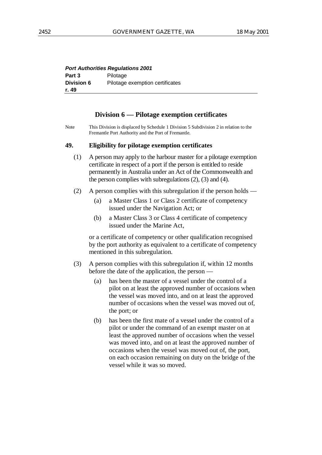| <b>Port Authorities Regulations 2001</b> |                                 |
|------------------------------------------|---------------------------------|
| Part 3                                   | Pilotage                        |
| <b>Division 6</b>                        | Pilotage exemption certificates |
| r. 49                                    |                                 |

# **Division 6 — Pilotage exemption certificates**

Note This Division is displaced by Schedule 1 Division 5 Subdivision 2 in relation to the Fremantle Port Authority and the Port of Fremantle.

#### **49. Eligibility for pilotage exemption certificates**

- (1) A person may apply to the harbour master for a pilotage exemption certificate in respect of a port if the person is entitled to reside permanently in Australia under an Act of the Commonwealth and the person complies with subregulations (2), (3) and (4).
- (2) A person complies with this subregulation if the person holds
	- (a) a Master Class 1 or Class 2 certificate of competency issued under the Navigation Act; or
	- (b) a Master Class 3 or Class 4 certificate of competency issued under the Marine Act,

or a certificate of competency or other qualification recognised by the port authority as equivalent to a certificate of competency mentioned in this subregulation.

- (3) A person complies with this subregulation if, within 12 months before the date of the application, the person —
	- (a) has been the master of a vessel under the control of a pilot on at least the approved number of occasions when the vessel was moved into, and on at least the approved number of occasions when the vessel was moved out of, the port; or
	- (b) has been the first mate of a vessel under the control of a pilot or under the command of an exempt master on at least the approved number of occasions when the vessel was moved into, and on at least the approved number of occasions when the vessel was moved out of, the port, on each occasion remaining on duty on the bridge of the vessel while it was so moved.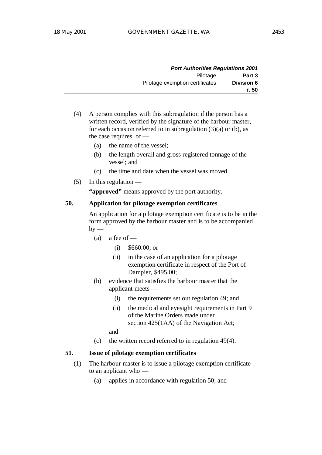| <b>Port Authorities Regulations 2001</b> |                                 |
|------------------------------------------|---------------------------------|
| Part 3                                   | Pilotage                        |
| Division 6                               | Pilotage exemption certificates |
| r. 50                                    |                                 |

- (4) A person complies with this subregulation if the person has a written record, verified by the signature of the harbour master, for each occasion referred to in subregulation  $(3)(a)$  or  $(b)$ , as the case requires, of —
	- (a) the name of the vessel;
	- (b) the length overall and gross registered tonnage of the vessel; and
	- (c) the time and date when the vessel was moved.
- (5) In this regulation —

**"approved"** means approved by the port authority.

## **50. Application for pilotage exemption certificates**

An application for a pilotage exemption certificate is to be in the form approved by the harbour master and is to be accompanied  $bv$  —

- (a) a fee of  $-$ 
	- (i) \$660.00; or
	- (ii) in the case of an application for a pilotage exemption certificate in respect of the Port of Dampier, \$495.00;
- (b) evidence that satisfies the harbour master that the applicant meets —
	- (i) the requirements set out regulation 49; and
	- (ii) the medical and eyesight requirements in Part 9 of the Marine Orders made under section 425(1AA) of the Navigation Act;

and

(c) the written record referred to in regulation 49(4).

# **51. Issue of pilotage exemption certificates**

- (1) The harbour master is to issue a pilotage exemption certificate to an applicant who —
	- (a) applies in accordance with regulation 50; and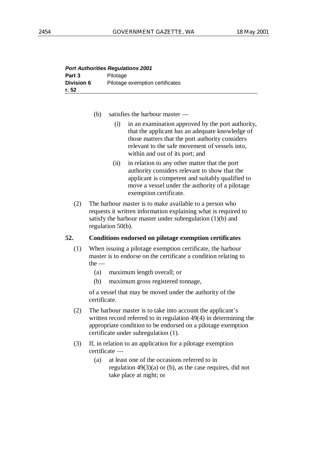| <b>Port Authorities Regulations 2001</b> |                                 |  |
|------------------------------------------|---------------------------------|--|
| Part 3                                   | Pilotage                        |  |
| <b>Division 6</b>                        | Pilotage exemption certificates |  |
| r. 52                                    |                                 |  |

- (b) satisfies the harbour master
	- (i) in an examination approved by the port authority, that the applicant has an adequate knowledge of those matters that the port authority considers relevant to the safe movement of vessels into, within and out of its port; and
	- (ii) in relation to any other matter that the port authority considers relevant to show that the applicant is competent and suitably qualified to move a vessel under the authority of a pilotage exemption certificate.
- (2) The harbour master is to make available to a person who requests it written information explaining what is required to satisfy the harbour master under subregulation (1)(b) and regulation 50(b).

#### **52. Conditions endorsed on pilotage exemption certificates**

- (1) When issuing a pilotage exemption certificate, the harbour master is to endorse on the certificate a condition relating to  $the -$ 
	- (a) maximum length overall; or
	- (b) maximum gross registered tonnage,

of a vessel that may be moved under the authority of the certificate.

- (2) The harbour master is to take into account the applicant's written record referred to in regulation 49(4) in determining the appropriate condition to be endorsed on a pilotage exemption certificate under subregulation (1).
- (3) If, in relation to an application for a pilotage exemption certificate —
	- (a) at least one of the occasions referred to in regulation  $49(3)(a)$  or (b), as the case requires, did not take place at night; or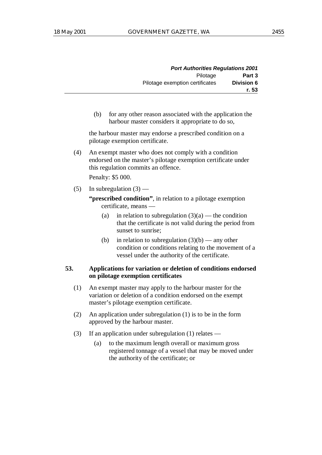|            | <b>Port Authorities Regulations 2001</b> |
|------------|------------------------------------------|
| Part 3     | Pilotage                                 |
| Division 6 | Pilotage exemption certificates          |
| r. 53      |                                          |

(b) for any other reason associated with the application the harbour master considers it appropriate to do so,

the harbour master may endorse a prescribed condition on a pilotage exemption certificate.

(4) An exempt master who does not comply with a condition endorsed on the master's pilotage exemption certificate under this regulation commits an offence.

Penalty: \$5 000.

(5) In subregulation  $(3)$  —

**"prescribed condition"**, in relation to a pilotage exemption certificate, means —

- (a) in relation to subregulation  $(3)(a)$  the condition that the certificate is not valid during the period from sunset to sunrise;
- (b) in relation to subregulation  $(3)(b)$  any other condition or conditions relating to the movement of a vessel under the authority of the certificate.

## **53. Applications for variation or deletion of conditions endorsed on pilotage exemption certificates**

- (1) An exempt master may apply to the harbour master for the variation or deletion of a condition endorsed on the exempt master's pilotage exemption certificate.
- (2) An application under subregulation (1) is to be in the form approved by the harbour master.
- (3) If an application under subregulation (1) relates
	- (a) to the maximum length overall or maximum gross registered tonnage of a vessel that may be moved under the authority of the certificate; or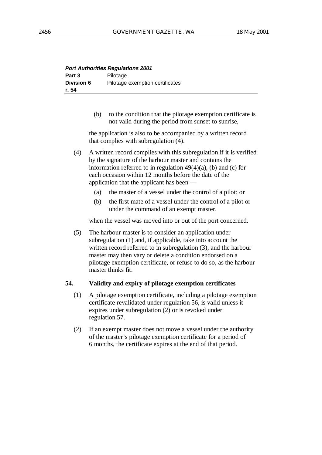| <b>Port Authorities Regulations 2001</b> |                                 |  |
|------------------------------------------|---------------------------------|--|
| Part 3                                   | Pilotage                        |  |
| <b>Division 6</b>                        | Pilotage exemption certificates |  |
| r. 54                                    |                                 |  |

(b) to the condition that the pilotage exemption certificate is not valid during the period from sunset to sunrise,

the application is also to be accompanied by a written record that complies with subregulation (4).

(4) A written record complies with this subregulation if it is verified by the signature of the harbour master and contains the information referred to in regulation  $49(4)(a)$ , (b) and (c) for each occasion within 12 months before the date of the application that the applicant has been —

- (a) the master of a vessel under the control of a pilot; or
- (b) the first mate of a vessel under the control of a pilot or under the command of an exempt master,

when the vessel was moved into or out of the port concerned.

(5) The harbour master is to consider an application under subregulation (1) and, if applicable, take into account the written record referred to in subregulation (3), and the harbour master may then vary or delete a condition endorsed on a pilotage exemption certificate, or refuse to do so, as the harbour master thinks fit.

# **54. Validity and expiry of pilotage exemption certificates**

- (1) A pilotage exemption certificate, including a pilotage exemption certificate revalidated under regulation 56, is valid unless it expires under subregulation (2) or is revoked under regulation 57.
- (2) If an exempt master does not move a vessel under the authority of the master's pilotage exemption certificate for a period of 6 months, the certificate expires at the end of that period.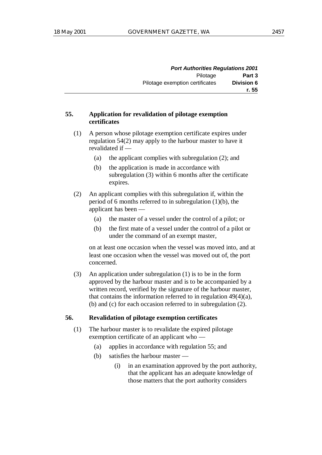|            | <b>Port Authorities Regulations 2001</b> |
|------------|------------------------------------------|
| Part 3     | Pilotage                                 |
| Division 6 | Pilotage exemption certificates          |
| r. 55      |                                          |

# **55. Application for revalidation of pilotage exemption certificates**

- (1) A person whose pilotage exemption certificate expires under regulation 54(2) may apply to the harbour master to have it revalidated if —
	- (a) the applicant complies with subregulation (2); and
	- (b) the application is made in accordance with subregulation (3) within 6 months after the certificate expires.
- (2) An applicant complies with this subregulation if, within the period of 6 months referred to in subregulation (1)(b), the applicant has been —
	- (a) the master of a vessel under the control of a pilot; or
	- (b) the first mate of a vessel under the control of a pilot or under the command of an exempt master,

on at least one occasion when the vessel was moved into, and at least one occasion when the vessel was moved out of, the port concerned.

(3) An application under subregulation (1) is to be in the form approved by the harbour master and is to be accompanied by a written record, verified by the signature of the harbour master, that contains the information referred to in regulation 49(4)(a), (b) and (c) for each occasion referred to in subregulation (2).

### **56. Revalidation of pilotage exemption certificates**

- (1) The harbour master is to revalidate the expired pilotage exemption certificate of an applicant who —
	- (a) applies in accordance with regulation 55; and
	- (b) satisfies the harbour master
		- (i) in an examination approved by the port authority, that the applicant has an adequate knowledge of those matters that the port authority considers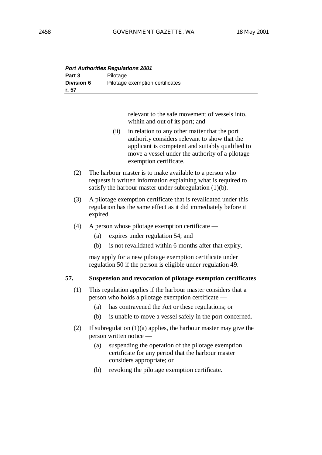| <b>Port Authorities Regulations 2001</b> |                                 |  |
|------------------------------------------|---------------------------------|--|
| Part 3                                   | Pilotage                        |  |
| <b>Division 6</b>                        | Pilotage exemption certificates |  |
| r. 57                                    |                                 |  |

relevant to the safe movement of vessels into, within and out of its port; and

- (ii) in relation to any other matter that the port authority considers relevant to show that the applicant is competent and suitably qualified to move a vessel under the authority of a pilotage exemption certificate.
- (2) The harbour master is to make available to a person who requests it written information explaining what is required to satisfy the harbour master under subregulation  $(1)(b)$ .
- (3) A pilotage exemption certificate that is revalidated under this regulation has the same effect as it did immediately before it expired.
- (4) A person whose pilotage exemption certificate
	- (a) expires under regulation 54; and
	- (b) is not revalidated within 6 months after that expiry,

may apply for a new pilotage exemption certificate under regulation 50 if the person is eligible under regulation 49.

# **57. Suspension and revocation of pilotage exemption certificates**

- (1) This regulation applies if the harbour master considers that a person who holds a pilotage exemption certificate —
	- (a) has contravened the Act or these regulations; or
	- (b) is unable to move a vessel safely in the port concerned.
- (2) If subregulation (1)(a) applies, the harbour master may give the person written notice —
	- (a) suspending the operation of the pilotage exemption certificate for any period that the harbour master considers appropriate; or
	- (b) revoking the pilotage exemption certificate.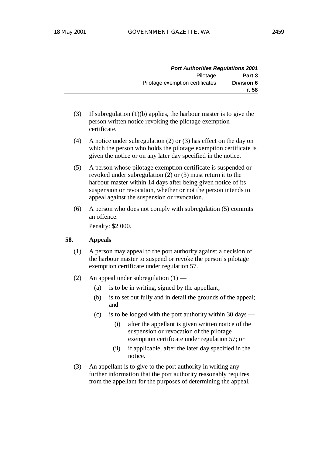|            | <b>Port Authorities Regulations 2001</b> |
|------------|------------------------------------------|
| Part 3     | Pilotage                                 |
| Division 6 | Pilotage exemption certificates          |
| r. 58      |                                          |

- (3) If subregulation (1)(b) applies, the harbour master is to give the person written notice revoking the pilotage exemption certificate.
- (4) A notice under subregulation (2) or (3) has effect on the day on which the person who holds the pilotage exemption certificate is given the notice or on any later day specified in the notice.
- (5) A person whose pilotage exemption certificate is suspended or revoked under subregulation (2) or (3) must return it to the harbour master within 14 days after being given notice of its suspension or revocation, whether or not the person intends to appeal against the suspension or revocation.
- (6) A person who does not comply with subregulation (5) commits an offence.

Penalty: \$2 000.

# **58. Appeals**

- (1) A person may appeal to the port authority against a decision of the harbour master to suspend or revoke the person's pilotage exemption certificate under regulation 57.
- (2) An appeal under subregulation (1)
	- (a) is to be in writing, signed by the appellant;
	- (b) is to set out fully and in detail the grounds of the appeal; and
	- (c) is to be lodged with the port authority within 30 days
		- (i) after the appellant is given written notice of the suspension or revocation of the pilotage exemption certificate under regulation 57; or
		- (ii) if applicable, after the later day specified in the notice.
- (3) An appellant is to give to the port authority in writing any further information that the port authority reasonably requires from the appellant for the purposes of determining the appeal.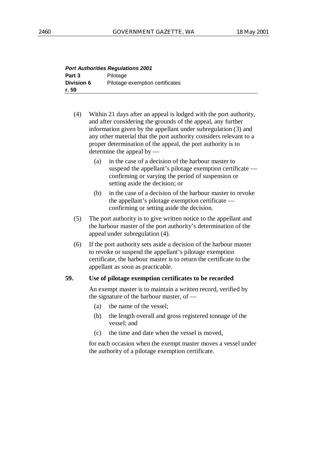| <b>Port Authorities Regulations 2001</b> |                                 |  |
|------------------------------------------|---------------------------------|--|
| Part 3                                   | Pilotage                        |  |
| <b>Division 6</b>                        | Pilotage exemption certificates |  |
| r. 59                                    |                                 |  |

- (4) Within 21 days after an appeal is lodged with the port authority, and after considering the grounds of the appeal, any further information given by the appellant under subregulation (3) and any other material that the port authority considers relevant to a proper determination of the appeal, the port authority is to determine the appeal by —
	- (a) in the case of a decision of the harbour master to suspend the appellant's pilotage exemption certificate confirming or varying the period of suspension or setting aside the decision; or
	- (b) in the case of a decision of the harbour master to revoke the appellant's pilotage exemption certificate confirming or setting aside the decision.
- (5) The port authority is to give written notice to the appellant and the harbour master of the port authority's determination of the appeal under subregulation (4).
- (6) If the port authority sets aside a decision of the harbour master to revoke or suspend the appellant's pilotage exemption certificate, the harbour master is to return the certificate to the appellant as soon as practicable.

# **59. Use of pilotage exemption certificates to be recorded**

An exempt master is to maintain a written record, verified by the signature of the harbour master, of —

- (a) the name of the vessel;
- (b) the length overall and gross registered tonnage of the vessel; and
- (c) the time and date when the vessel is moved,

for each occasion when the exempt master moves a vessel under the authority of a pilotage exemption certificate.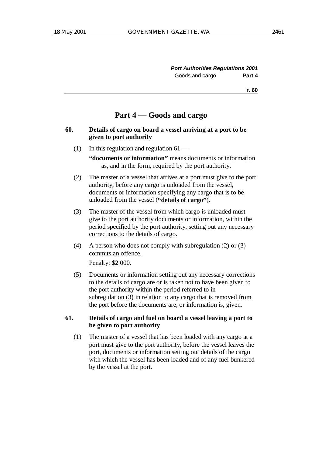# **Part 4 — Goods and cargo**

- **60. Details of cargo on board a vessel arriving at a port to be given to port authority**
	- (1) In this regulation and regulation  $61 -$

**"documents or information"** means documents or information as, and in the form, required by the port authority.

- (2) The master of a vessel that arrives at a port must give to the port authority, before any cargo is unloaded from the vessel, documents or information specifying any cargo that is to be unloaded from the vessel (**"details of cargo"**).
- (3) The master of the vessel from which cargo is unloaded must give to the port authority documents or information, within the period specified by the port authority, setting out any necessary corrections to the details of cargo.
- (4) A person who does not comply with subregulation (2) or (3) commits an offence.

Penalty: \$2 000.

(5) Documents or information setting out any necessary corrections to the details of cargo are or is taken not to have been given to the port authority within the period referred to in subregulation (3) in relation to any cargo that is removed from the port before the documents are, or information is, given.

# **61. Details of cargo and fuel on board a vessel leaving a port to be given to port authority**

(1) The master of a vessel that has been loaded with any cargo at a port must give to the port authority, before the vessel leaves the port, documents or information setting out details of the cargo with which the vessel has been loaded and of any fuel bunkered by the vessel at the port.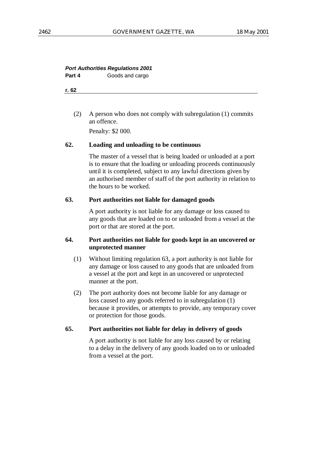# **Port Authorities Regulations 2001**

**Part 4** Goods and cargo

**r. 62**

(2) A person who does not comply with subregulation (1) commits an offence.

Penalty: \$2 000.

# **62. Loading and unloading to be continuous**

The master of a vessel that is being loaded or unloaded at a port is to ensure that the loading or unloading proceeds continuously until it is completed, subject to any lawful directions given by an authorised member of staff of the port authority in relation to the hours to be worked.

# **63. Port authorities not liable for damaged goods**

A port authority is not liable for any damage or loss caused to any goods that are loaded on to or unloaded from a vessel at the port or that are stored at the port.

# **64. Port authorities not liable for goods kept in an uncovered or unprotected manner**

- (1) Without limiting regulation 63, a port authority is not liable for any damage or loss caused to any goods that are unloaded from a vessel at the port and kept in an uncovered or unprotected manner at the port.
- (2) The port authority does not become liable for any damage or loss caused to any goods referred to in subregulation (1) because it provides, or attempts to provide, any temporary cover or protection for those goods.

# **65. Port authorities not liable for delay in delivery of goods**

A port authority is not liable for any loss caused by or relating to a delay in the delivery of any goods loaded on to or unloaded from a vessel at the port.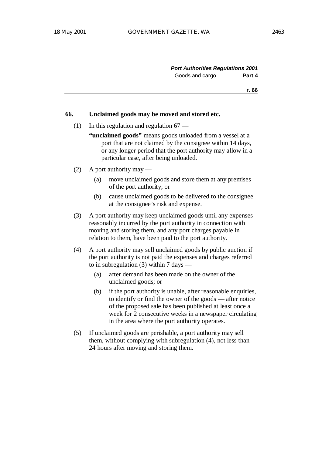#### **66. Unclaimed goods may be moved and stored etc.**

- (1) In this regulation and regulation  $67 -$ 
	- "unclaimed goods" means goods unloaded from a vessel at a port that are not claimed by the consignee within 14 days, or any longer period that the port authority may allow in a particular case, after being unloaded.
- (2) A port authority may
	- (a) move unclaimed goods and store them at any premises of the port authority; or
	- (b) cause unclaimed goods to be delivered to the consignee at the consignee's risk and expense.
- (3) A port authority may keep unclaimed goods until any expenses reasonably incurred by the port authority in connection with moving and storing them, and any port charges payable in relation to them, have been paid to the port authority.
- (4) A port authority may sell unclaimed goods by public auction if the port authority is not paid the expenses and charges referred to in subregulation  $(3)$  within 7 days —
	- (a) after demand has been made on the owner of the unclaimed goods; or
	- (b) if the port authority is unable, after reasonable enquiries, to identify or find the owner of the goods — after notice of the proposed sale has been published at least once a week for 2 consecutive weeks in a newspaper circulating in the area where the port authority operates.
- (5) If unclaimed goods are perishable, a port authority may sell them, without complying with subregulation (4), not less than 24 hours after moving and storing them.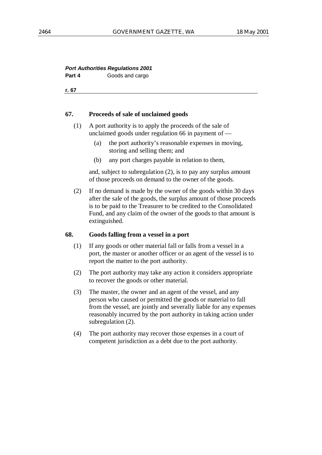#### **Port Authorities Regulations 2001 Part 4** Goods and cargo

**r. 67**

#### **67. Proceeds of sale of unclaimed goods**

- (1) A port authority is to apply the proceeds of the sale of unclaimed goods under regulation 66 in payment of —
	- (a) the port authority's reasonable expenses in moving, storing and selling them; and
	- (b) any port charges payable in relation to them,

and, subject to subregulation (2), is to pay any surplus amount of those proceeds on demand to the owner of the goods.

(2) If no demand is made by the owner of the goods within 30 days after the sale of the goods, the surplus amount of those proceeds is to be paid to the Treasurer to be credited to the Consolidated Fund, and any claim of the owner of the goods to that amount is extinguished.

#### **68. Goods falling from a vessel in a port**

- (1) If any goods or other material fall or falls from a vessel in a port, the master or another officer or an agent of the vessel is to report the matter to the port authority.
- (2) The port authority may take any action it considers appropriate to recover the goods or other material.
- (3) The master, the owner and an agent of the vessel, and any person who caused or permitted the goods or material to fall from the vessel, are jointly and severally liable for any expenses reasonably incurred by the port authority in taking action under subregulation (2).
- (4) The port authority may recover those expenses in a court of competent jurisdiction as a debt due to the port authority.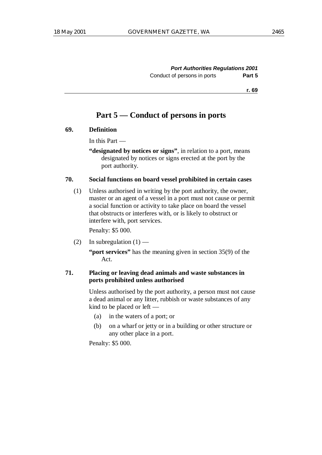# **Part 5 — Conduct of persons in ports**

## **69. Definition**

In this Part —

**"designated by notices or signs"**, in relation to a port, means designated by notices or signs erected at the port by the port authority.

#### **70. Social functions on board vessel prohibited in certain cases**

(1) Unless authorised in writing by the port authority, the owner, master or an agent of a vessel in a port must not cause or permit a social function or activity to take place on board the vessel that obstructs or interferes with, or is likely to obstruct or interfere with, port services.

Penalty: \$5 000.

(2) In subregulation  $(1)$  —

**"port services"** has the meaning given in section 35(9) of the Act.

# **71. Placing or leaving dead animals and waste substances in ports prohibited unless authorised**

Unless authorised by the port authority, a person must not cause a dead animal or any litter, rubbish or waste substances of any kind to be placed or left —

- (a) in the waters of a port; or
- (b) on a wharf or jetty or in a building or other structure or any other place in a port.

Penalty: \$5 000.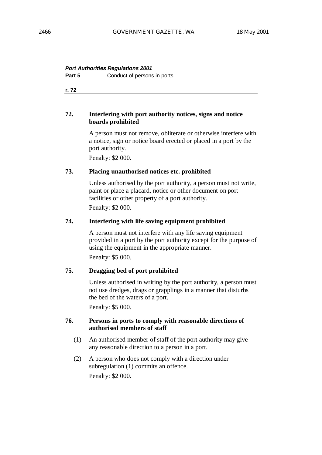# **Port Authorities Regulations 2001**

**Part 5** Conduct of persons in ports

**r. 72**

# **72. Interfering with port authority notices, signs and notice boards prohibited**

A person must not remove, obliterate or otherwise interfere with a notice, sign or notice board erected or placed in a port by the port authority.

Penalty: \$2 000.

#### **73. Placing unauthorised notices etc. prohibited**

Unless authorised by the port authority, a person must not write, paint or place a placard, notice or other document on port facilities or other property of a port authority.

Penalty: \$2 000.

#### **74. Interfering with life saving equipment prohibited**

A person must not interfere with any life saving equipment provided in a port by the port authority except for the purpose of using the equipment in the appropriate manner. Penalty: \$5 000.

# **75. Dragging bed of port prohibited**

Unless authorised in writing by the port authority, a person must not use dredges, drags or grapplings in a manner that disturbs the bed of the waters of a port.

Penalty: \$5 000.

#### **76. Persons in ports to comply with reasonable directions of authorised members of staff**

- (1) An authorised member of staff of the port authority may give any reasonable direction to a person in a port.
- (2) A person who does not comply with a direction under subregulation (1) commits an offence. Penalty: \$2 000.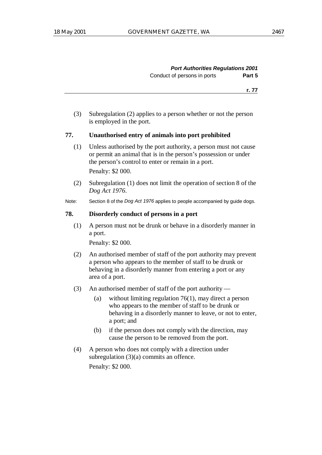**Port Authorities Regulations 2001** Conduct of persons in ports **Part 5**

**r. 77**

(3) Subregulation (2) applies to a person whether or not the person is employed in the port.

#### **77. Unauthorised entry of animals into port prohibited**

- (1) Unless authorised by the port authority, a person must not cause or permit an animal that is in the person's possession or under the person's control to enter or remain in a port. Penalty: \$2 000.
- (2) Subregulation (1) does not limit the operation of section 8 of the *Dog Act 1976*.
- Note: Section 8 of the *Dog Act 1976* applies to people accompanied by guide dogs.

#### **78. Disorderly conduct of persons in a port**

(1) A person must not be drunk or behave in a disorderly manner in a port.

Penalty: \$2 000.

- (2) An authorised member of staff of the port authority may prevent a person who appears to the member of staff to be drunk or behaving in a disorderly manner from entering a port or any area of a port.
- (3) An authorised member of staff of the port authority
	- (a) without limiting regulation 76(1), may direct a person who appears to the member of staff to be drunk or behaving in a disorderly manner to leave, or not to enter, a port; and
	- (b) if the person does not comply with the direction, may cause the person to be removed from the port.
- (4) A person who does not comply with a direction under subregulation (3)(a) commits an offence.

Penalty: \$2 000.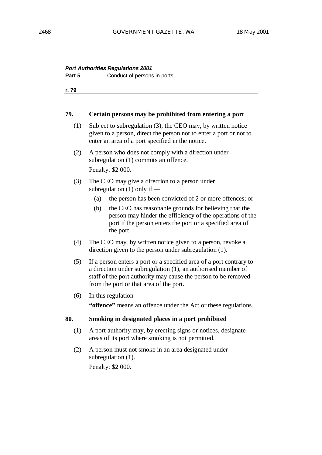# **Port Authorities Regulations 2001**

**Part 5** Conduct of persons in ports

**r. 79**

#### **79. Certain persons may be prohibited from entering a port**

- (1) Subject to subregulation (3), the CEO may, by written notice given to a person, direct the person not to enter a port or not to enter an area of a port specified in the notice.
- (2) A person who does not comply with a direction under subregulation (1) commits an offence. Penalty: \$2 000.
- (3) The CEO may give a direction to a person under subregulation (1) only if —
	- (a) the person has been convicted of 2 or more offences; or
	- (b) the CEO has reasonable grounds for believing that the person may hinder the efficiency of the operations of the port if the person enters the port or a specified area of the port.
- (4) The CEO may, by written notice given to a person, revoke a direction given to the person under subregulation (1).
- (5) If a person enters a port or a specified area of a port contrary to a direction under subregulation (1), an authorised member of staff of the port authority may cause the person to be removed from the port or that area of the port.
- $(6)$  In this regulation —

**"offence"** means an offence under the Act or these regulations.

# **80. Smoking in designated places in a port prohibited**

- (1) A port authority may, by erecting signs or notices, designate areas of its port where smoking is not permitted.
- (2) A person must not smoke in an area designated under subregulation  $(1)$ . Penalty: \$2 000.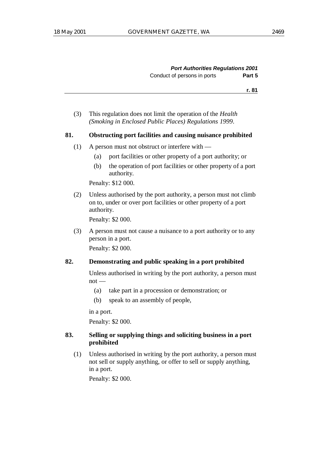(3) This regulation does not limit the operation of the *Health (Smoking in Enclosed Public Places) Regulations 1999*.

#### **81. Obstructing port facilities and causing nuisance prohibited**

- (1) A person must not obstruct or interfere with
	- (a) port facilities or other property of a port authority; or
	- (b) the operation of port facilities or other property of a port authority.

Penalty: \$12 000.

(2) Unless authorised by the port authority, a person must not climb on to, under or over port facilities or other property of a port authority.

Penalty: \$2 000.

(3) A person must not cause a nuisance to a port authority or to any person in a port.

Penalty: \$2 000.

#### **82. Demonstrating and public speaking in a port prohibited**

Unless authorised in writing by the port authority, a person must  $not -$ 

- (a) take part in a procession or demonstration; or
- (b) speak to an assembly of people,

in a port.

Penalty: \$2 000.

# **83. Selling or supplying things and soliciting business in a port prohibited**

(1) Unless authorised in writing by the port authority, a person must not sell or supply anything, or offer to sell or supply anything, in a port.

Penalty: \$2 000.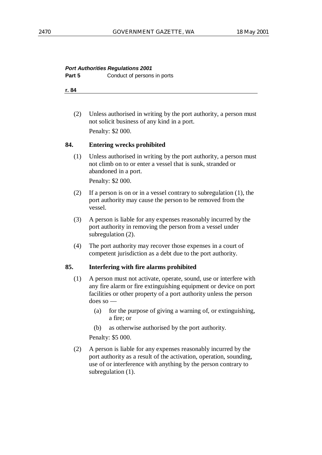#### **Port Authorities Regulations 2001**

**Part 5** Conduct of persons in ports

**r. 84**

(2) Unless authorised in writing by the port authority, a person must not solicit business of any kind in a port. Penalty: \$2 000.

# **84. Entering wrecks prohibited**

(1) Unless authorised in writing by the port authority, a person must not climb on to or enter a vessel that is sunk, stranded or abandoned in a port.

Penalty: \$2 000.

- (2) If a person is on or in a vessel contrary to subregulation (1), the port authority may cause the person to be removed from the vessel.
- (3) A person is liable for any expenses reasonably incurred by the port authority in removing the person from a vessel under subregulation (2).
- (4) The port authority may recover those expenses in a court of competent jurisdiction as a debt due to the port authority.

# **85. Interfering with fire alarms prohibited**

- (1) A person must not activate, operate, sound, use or interfere with any fire alarm or fire extinguishing equipment or device on port facilities or other property of a port authority unless the person does so —
	- (a) for the purpose of giving a warning of, or extinguishing, a fire; or
	- (b) as otherwise authorised by the port authority.

Penalty: \$5 000.

(2) A person is liable for any expenses reasonably incurred by the port authority as a result of the activation, operation, sounding, use of or interference with anything by the person contrary to subregulation (1).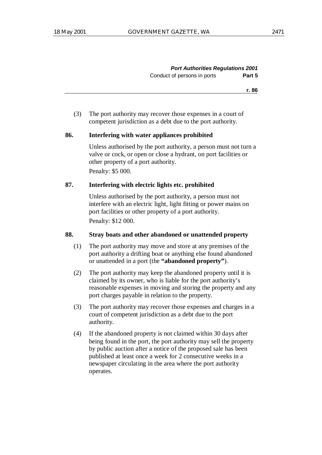**Port Authorities Regulations 2001** Conduct of persons in ports **Part 5**

**r. 86**

(3) The port authority may recover those expenses in a court of competent jurisdiction as a debt due to the port authority.

#### **86. Interfering with water appliances prohibited**

Unless authorised by the port authority, a person must not turn a valve or cock, or open or close a hydrant, on port facilities or other property of a port authority. Penalty: \$5 000.

## **87. Interfering with electric lights etc. prohibited**

Unless authorised by the port authority, a person must not interfere with an electric light, light fitting or power mains on port facilities or other property of a port authority.

Penalty: \$12 000.

# **88. Stray boats and other abandoned or unattended property**

- (1) The port authority may move and store at any premises of the port authority a drifting boat or anything else found abandoned or unattended in a port (the **"abandoned property"**).
- (2) The port authority may keep the abandoned property until it is claimed by its owner, who is liable for the port authority's reasonable expenses in moving and storing the property and any port charges payable in relation to the property.
- (3) The port authority may recover those expenses and charges in a court of competent jurisdiction as a debt due to the port authority.
- (4) If the abandoned property is not claimed within 30 days after being found in the port, the port authority may sell the property by public auction after a notice of the proposed sale has been published at least once a week for 2 consecutive weeks in a newspaper circulating in the area where the port authority operates.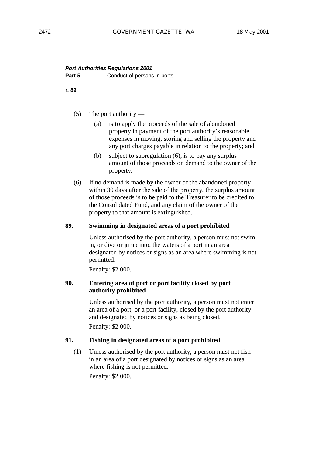# **Port Authorities Regulations 2001 Part 5** Conduct of persons in ports

**r. 89**

- (5) The port authority
	- (a) is to apply the proceeds of the sale of abandoned property in payment of the port authority's reasonable expenses in moving, storing and selling the property and any port charges payable in relation to the property; and
	- (b) subject to subregulation (6), is to pay any surplus amount of those proceeds on demand to the owner of the property.
- (6) If no demand is made by the owner of the abandoned property within 30 days after the sale of the property, the surplus amount of those proceeds is to be paid to the Treasurer to be credited to the Consolidated Fund, and any claim of the owner of the property to that amount is extinguished.

#### **89. Swimming in designated areas of a port prohibited**

Unless authorised by the port authority, a person must not swim in, or dive or jump into, the waters of a port in an area designated by notices or signs as an area where swimming is not permitted.

Penalty: \$2 000.

# **90. Entering area of port or port facility closed by port authority prohibited**

Unless authorised by the port authority, a person must not enter an area of a port, or a port facility, closed by the port authority and designated by notices or signs as being closed. Penalty: \$2 000.

# **91. Fishing in designated areas of a port prohibited**

(1) Unless authorised by the port authority, a person must not fish in an area of a port designated by notices or signs as an area where fishing is not permitted.

Penalty: \$2 000.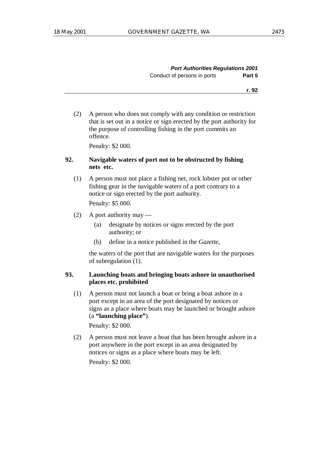| <b>Port Authorities Regulations 2001</b> |        |
|------------------------------------------|--------|
| Conduct of persons in ports              | Part 5 |

(2) A person who does not comply with any condition or restriction that is set out in a notice or sign erected by the port authority for the purpose of controlling fishing in the port commits an offence.

Penalty: \$2 000.

# **92. Navigable waters of port not to be obstructed by fishing nets etc.**

(1) A person must not place a fishing net, rock lobster pot or other fishing gear in the navigable waters of a port contrary to a notice or sign erected by the port authority.

Penalty: \$5 000.

- (2) A port authority may
	- (a) designate by notices or signs erected by the port authority; or
	- (b) define in a notice published in the *Gazette*,

the waters of the port that are navigable waters for the purposes of subregulation (1).

# **93. Launching boats and bringing boats ashore in unauthorised places etc. prohibited**

(1) A person must not launch a boat or bring a boat ashore in a port except in an area of the port designated by notices or signs as a place where boats may be launched or brought ashore (a **"launching place"**).

Penalty: \$2 000.

(2) A person must not leave a boat that has been brought ashore in a port anywhere in the port except in an area designated by notices or signs as a place where boats may be left. Penalty: \$2 000.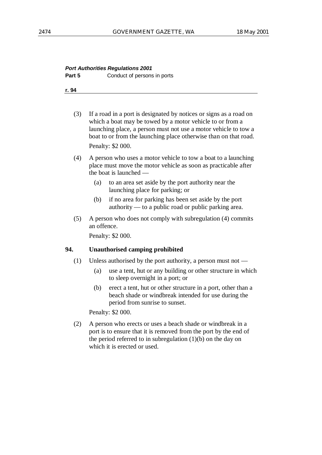# **Port Authorities Regulations 2001 Part 5** Conduct of persons in ports

**r. 94**

- (3) If a road in a port is designated by notices or signs as a road on which a boat may be towed by a motor vehicle to or from a launching place, a person must not use a motor vehicle to tow a boat to or from the launching place otherwise than on that road. Penalty: \$2 000.
- (4) A person who uses a motor vehicle to tow a boat to a launching place must move the motor vehicle as soon as practicable after the boat is launched —
	- (a) to an area set aside by the port authority near the launching place for parking; or
	- (b) if no area for parking has been set aside by the port authority — to a public road or public parking area.
- (5) A person who does not comply with subregulation (4) commits an offence.

Penalty: \$2 000.

# **94. Unauthorised camping prohibited**

- (1) Unless authorised by the port authority, a person must not
	- (a) use a tent, hut or any building or other structure in which to sleep overnight in a port; or
	- (b) erect a tent, hut or other structure in a port, other than a beach shade or windbreak intended for use during the period from sunrise to sunset.

Penalty: \$2 000.

(2) A person who erects or uses a beach shade or windbreak in a port is to ensure that it is removed from the port by the end of the period referred to in subregulation  $(1)(b)$  on the day on which it is erected or used.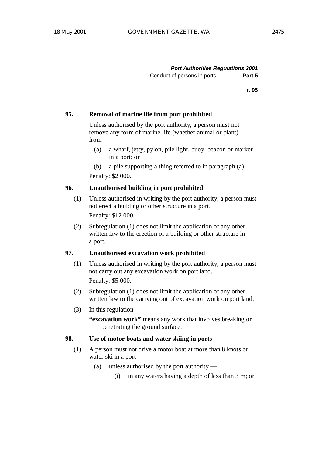| <b>Port Authorities Regulations 2001</b> |        |
|------------------------------------------|--------|
| Conduct of persons in ports              | Part 5 |

#### **95. Removal of marine life from port prohibited**

Unless authorised by the port authority, a person must not remove any form of marine life (whether animal or plant) from —

- (a) a wharf, jetty, pylon, pile light, buoy, beacon or marker in a port; or
- (b) a pile supporting a thing referred to in paragraph (a).

Penalty: \$2 000.

### **96. Unauthorised building in port prohibited**

- (1) Unless authorised in writing by the port authority, a person must not erect a building or other structure in a port. Penalty: \$12 000.
- (2) Subregulation (1) does not limit the application of any other written law to the erection of a building or other structure in a port.

#### **97. Unauthorised excavation work prohibited**

- (1) Unless authorised in writing by the port authority, a person must not carry out any excavation work on port land. Penalty: \$5 000.
- (2) Subregulation (1) does not limit the application of any other written law to the carrying out of excavation work on port land.
- (3) In this regulation  $-$

**"excavation work"** means any work that involves breaking or penetrating the ground surface.

#### **98. Use of motor boats and water skiing in ports**

- (1) A person must not drive a motor boat at more than 8 knots or water ski in a port —
	- (a) unless authorised by the port authority
		- (i) in any waters having a depth of less than 3 m; or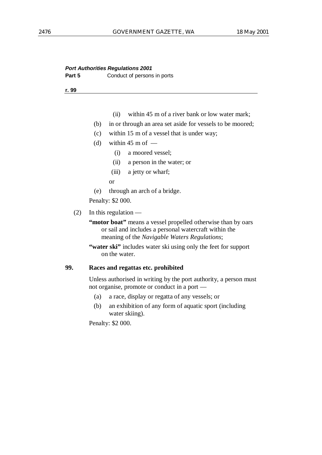# **Port Authorities Regulations 2001 Part 5** Conduct of persons in ports

**r. 99**

- (ii) within 45 m of a river bank or low water mark;
- (b) in or through an area set aside for vessels to be moored;
- (c) within 15 m of a vessel that is under way;
- (d) within  $45 \text{ m of }$ 
	- (i) a moored vessel;
	- (ii) a person in the water; or
	- (iii) a jetty or wharf;

or

(e) through an arch of a bridge.

Penalty: \$2 000.

(2) In this regulation —

"motor boat" means a vessel propelled otherwise than by oars or sail and includes a personal watercraft within the meaning of the *Navigable Waters Regulations*;

**"water ski"** includes water ski using only the feet for support on the water.

# **99. Races and regattas etc. prohibited**

Unless authorised in writing by the port authority, a person must not organise, promote or conduct in a port —

- (a) a race, display or regatta of any vessels; or
- (b) an exhibition of any form of aquatic sport (including water skiing).

Penalty: \$2 000.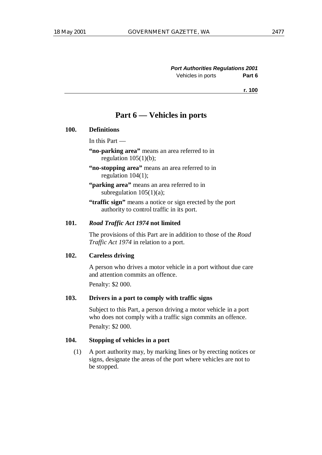# **Part 6 — Vehicles in ports**

#### **100. Definitions**

In this Part —

**"no-parking area"** means an area referred to in regulation  $105(1)(b)$ ;

**"no-stopping area"** means an area referred to in regulation 104(1);

**"parking area"** means an area referred to in subregulation  $105(1)(a)$ ;

**"traffic sign"** means a notice or sign erected by the port authority to control traffic in its port.

#### **101.** *Road Traffic Act 1974* **not limited**

The provisions of this Part are in addition to those of the *Road Traffic Act 1974* in relation to a port.

#### **102. Careless driving**

A person who drives a motor vehicle in a port without due care and attention commits an offence.

Penalty: \$2 000.

#### **103. Drivers in a port to comply with traffic signs**

Subject to this Part, a person driving a motor vehicle in a port who does not comply with a traffic sign commits an offence. Penalty: \$2 000.

# **104. Stopping of vehicles in a port**

(1) A port authority may, by marking lines or by erecting notices or signs, designate the areas of the port where vehicles are not to be stopped.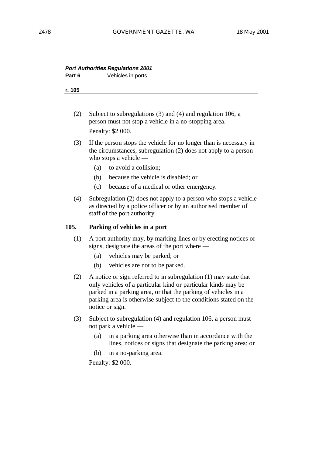# **Port Authorities Regulations 2001**

**Part 6** Vehicles in ports

**r. 105**

- (2) Subject to subregulations (3) and (4) and regulation 106, a person must not stop a vehicle in a no-stopping area. Penalty: \$2 000.
- (3) If the person stops the vehicle for no longer than is necessary in the circumstances, subregulation (2) does not apply to a person who stops a vehicle —
	- (a) to avoid a collision;
	- (b) because the vehicle is disabled; or
	- (c) because of a medical or other emergency.
- (4) Subregulation (2) does not apply to a person who stops a vehicle as directed by a police officer or by an authorised member of staff of the port authority.

#### **105. Parking of vehicles in a port**

- (1) A port authority may, by marking lines or by erecting notices or signs, designate the areas of the port where —
	- (a) vehicles may be parked; or
	- (b) vehicles are not to be parked.
- (2) A notice or sign referred to in subregulation (1) may state that only vehicles of a particular kind or particular kinds may be parked in a parking area, or that the parking of vehicles in a parking area is otherwise subject to the conditions stated on the notice or sign.
- (3) Subject to subregulation (4) and regulation 106, a person must not park a vehicle —
	- (a) in a parking area otherwise than in accordance with the lines, notices or signs that designate the parking area; or
	- (b) in a no-parking area.

Penalty: \$2 000.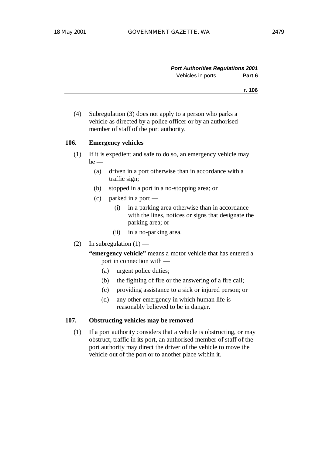| <b>Port Authorities Regulations 2001</b> |        |
|------------------------------------------|--------|
| Vehicles in ports                        | Part 6 |

(4) Subregulation (3) does not apply to a person who parks a vehicle as directed by a police officer or by an authorised member of staff of the port authority.

#### **106. Emergency vehicles**

- (1) If it is expedient and safe to do so, an emergency vehicle may  $be$  —
	- (a) driven in a port otherwise than in accordance with a traffic sign;
	- (b) stopped in a port in a no-stopping area; or
	- (c) parked in a port
		- (i) in a parking area otherwise than in accordance with the lines, notices or signs that designate the parking area; or
		- (ii) in a no-parking area.
- (2) In subregulation  $(1)$ 
	- **"emergency vehicle"** means a motor vehicle that has entered a port in connection with —
		- (a) urgent police duties;
		- (b) the fighting of fire or the answering of a fire call;
		- (c) providing assistance to a sick or injured person; or
		- (d) any other emergency in which human life is reasonably believed to be in danger.

#### **107. Obstructing vehicles may be removed**

(1) If a port authority considers that a vehicle is obstructing, or may obstruct, traffic in its port, an authorised member of staff of the port authority may direct the driver of the vehicle to move the vehicle out of the port or to another place within it.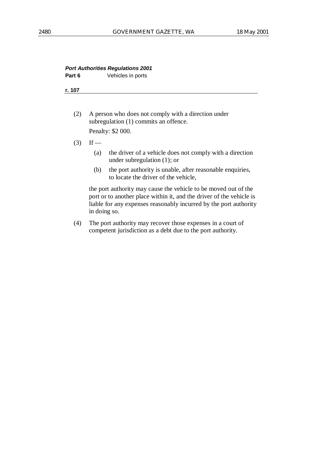#### **Port Authorities Regulations 2001 Part 6** Vehicles in ports

**r. 107**

- (2) A person who does not comply with a direction under subregulation (1) commits an offence. Penalty: \$2 000.
- $(3)$  If
	- (a) the driver of a vehicle does not comply with a direction under subregulation (1); or
	- (b) the port authority is unable, after reasonable enquiries, to locate the driver of the vehicle,

the port authority may cause the vehicle to be moved out of the port or to another place within it, and the driver of the vehicle is liable for any expenses reasonably incurred by the port authority in doing so.

(4) The port authority may recover those expenses in a court of competent jurisdiction as a debt due to the port authority.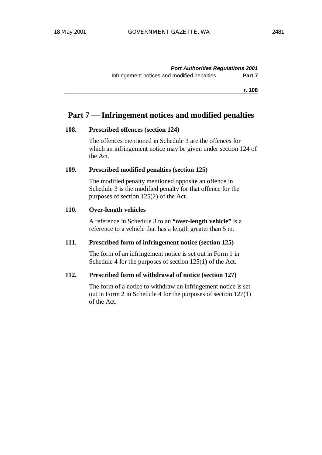**Port Authorities Regulations 2001** Infringement notices and modified penalties **Part 7**

**r. 108**

# **Part 7 — Infringement notices and modified penalties**

#### **108. Prescribed offences (section 124)**

The offences mentioned in Schedule 3 are the offences for which an infringement notice may be given under section 124 of the Act.

## **109. Prescribed modified penalties (section 125)**

The modified penalty mentioned opposite an offence in Schedule 3 is the modified penalty for that offence for the purposes of section 125(2) of the Act.

# **110. Over-length vehicles**

A reference in Schedule 3 to an **"over-length vehicle"** is a reference to a vehicle that has a length greater than 5 m.

#### **111. Prescribed form of infringement notice (section 125)**

The form of an infringement notice is set out in Form 1 in Schedule 4 for the purposes of section 125(1) of the Act.

#### **112. Prescribed form of withdrawal of notice (section 127)**

The form of a notice to withdraw an infringement notice is set out in Form 2 in Schedule 4 for the purposes of section 127(1) of the Act.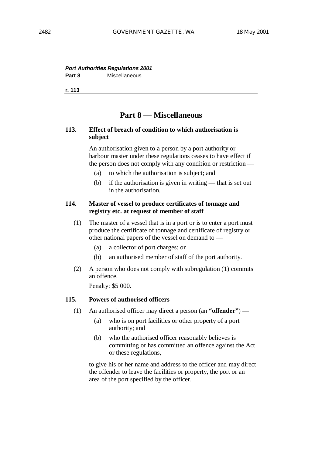# **Port Authorities Regulations 2001 Part 8** Miscellaneous

**r. 113**

# **Part 8 — Miscellaneous**

## **113. Effect of breach of condition to which authorisation is subject**

An authorisation given to a person by a port authority or harbour master under these regulations ceases to have effect if the person does not comply with any condition or restriction —

- (a) to which the authorisation is subject; and
- (b) if the authorisation is given in writing that is set out in the authorisation.

# **114. Master of vessel to produce certificates of tonnage and registry etc. at request of member of staff**

- (1) The master of a vessel that is in a port or is to enter a port must produce the certificate of tonnage and certificate of registry or other national papers of the vessel on demand to —
	- (a) a collector of port charges; or
	- (b) an authorised member of staff of the port authority.
- (2) A person who does not comply with subregulation (1) commits an offence.

Penalty: \$5 000.

# **115. Powers of authorised officers**

- (1) An authorised officer may direct a person (an **"offender"**)
	- (a) who is on port facilities or other property of a port authority; and
	- (b) who the authorised officer reasonably believes is committing or has committed an offence against the Act or these regulations,

to give his or her name and address to the officer and may direct the offender to leave the facilities or property, the port or an area of the port specified by the officer.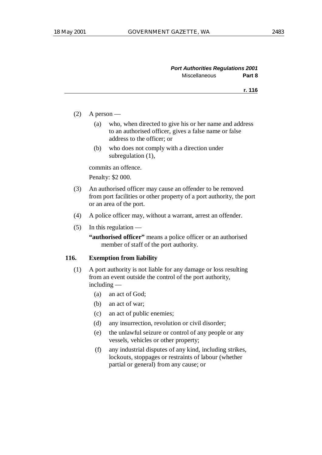- $(2)$  A person
	- (a) who, when directed to give his or her name and address to an authorised officer, gives a false name or false address to the officer; or
	- (b) who does not comply with a direction under subregulation (1),

commits an offence.

Penalty: \$2 000.

- (3) An authorised officer may cause an offender to be removed from port facilities or other property of a port authority, the port or an area of the port.
- (4) A police officer may, without a warrant, arrest an offender.
- $(5)$  In this regulation —

**"authorised officer"** means a police officer or an authorised member of staff of the port authority.

#### **116. Exemption from liability**

- (1) A port authority is not liable for any damage or loss resulting from an event outside the control of the port authority, including —
	- (a) an act of God;
	- (b) an act of war;
	- (c) an act of public enemies;
	- (d) any insurrection, revolution or civil disorder;
	- (e) the unlawful seizure or control of any people or any vessels, vehicles or other property;
	- (f) any industrial disputes of any kind, including strikes, lockouts, stoppages or restraints of labour (whether partial or general) from any cause; or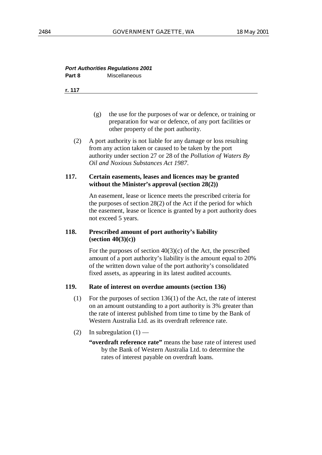## **Port Authorities Regulations 2001 Part 8** Miscellaneous

#### **r. 117**

- (g) the use for the purposes of war or defence, or training or preparation for war or defence, of any port facilities or other property of the port authority.
- (2) A port authority is not liable for any damage or loss resulting from any action taken or caused to be taken by the port authority under section 27 or 28 of the *Pollution of Waters By Oil and Noxious Substances Act 1987*.

# **117. Certain easements, leases and licences may be granted without the Minister's approval (section 28(2))**

An easement, lease or licence meets the prescribed criteria for the purposes of section 28(2) of the Act if the period for which the easement, lease or licence is granted by a port authority does not exceed 5 years.

# **118. Prescribed amount of port authority's liability (section 40(3)(c))**

For the purposes of section  $40(3)(c)$  of the Act, the prescribed amount of a port authority's liability is the amount equal to 20% of the written down value of the port authority's consolidated fixed assets, as appearing in its latest audited accounts.

#### **119. Rate of interest on overdue amounts (section 136)**

- (1) For the purposes of section 136(1) of the Act, the rate of interest on an amount outstanding to a port authority is 3% greater than the rate of interest published from time to time by the Bank of Western Australia Ltd. as its overdraft reference rate.
- (2) In subregulation  $(1)$ 
	- **"overdraft reference rate"** means the base rate of interest used by the Bank of Western Australia Ltd. to determine the rates of interest payable on overdraft loans.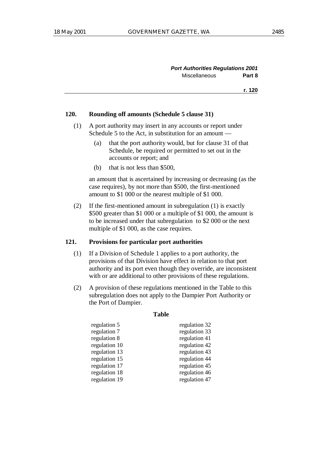| <b>Port Authorities Regulations 2001</b> |        |
|------------------------------------------|--------|
| <b>Miscellaneous</b>                     | Part 8 |

#### **120. Rounding off amounts (Schedule 5 clause 31)**

- (1) A port authority may insert in any accounts or report under Schedule 5 to the Act, in substitution for an amount —
	- (a) that the port authority would, but for clause 31 of that Schedule, be required or permitted to set out in the accounts or report; and
	- (b) that is not less than \$500,

an amount that is ascertained by increasing or decreasing (as the case requires), by not more than \$500, the first-mentioned amount to \$1 000 or the nearest multiple of \$1 000.

(2) If the first-mentioned amount in subregulation (1) is exactly \$500 greater than \$1 000 or a multiple of \$1 000, the amount is to be increased under that subregulation to \$2 000 or the next multiple of \$1 000, as the case requires.

### **121. Provisions for particular port authorities**

- (1) If a Division of Schedule 1 applies to a port authority, the provisions of that Division have effect in relation to that port authority and its port even though they override, are inconsistent with or are additional to other provisions of these regulations.
- (2) A provision of these regulations mentioned in the Table to this subregulation does not apply to the Dampier Port Authority or the Port of Dampier.

#### **Table**

| regulation 5  | regulation 32 |
|---------------|---------------|
| regulation 7  | regulation 33 |
| regulation 8  | regulation 41 |
| regulation 10 | regulation 42 |
| regulation 13 | regulation 43 |
| regulation 15 | regulation 44 |
| regulation 17 | regulation 45 |
| regulation 18 | regulation 46 |
| regulation 19 | regulation 47 |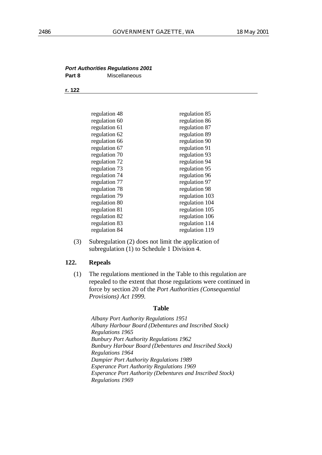#### **Port Authorities Regulations 2001 Part 8** Miscellaneous

#### **r. 122**

| regulation 48 | regulation 85  |
|---------------|----------------|
| regulation 60 | regulation 86  |
| regulation 61 | regulation 87  |
| regulation 62 | regulation 89  |
| regulation 66 | regulation 90  |
| regulation 67 | regulation 91  |
| regulation 70 | regulation 93  |
| regulation 72 | regulation 94  |
| regulation 73 | regulation 95  |
| regulation 74 | regulation 96  |
| regulation 77 | regulation 97  |
| regulation 78 | regulation 98  |
| regulation 79 | regulation 103 |
| regulation 80 | regulation 104 |
| regulation 81 | regulation 105 |
| regulation 82 | regulation 106 |
| regulation 83 | regulation 114 |
| regulation 84 | regulation 119 |

(3) Subregulation (2) does not limit the application of subregulation (1) to Schedule 1 Division 4.

#### **122. Repeals**

(1) The regulations mentioned in the Table to this regulation are repealed to the extent that those regulations were continued in force by section 20 of the *Port Authorities (Consequential Provisions) Act 1999*.

#### **Table**

*Albany Port Authority Regulations 1951 Albany Harbour Board (Debentures and Inscribed Stock) Regulations 1965 Bunbury Port Authority Regulations 1962 Bunbury Harbour Board (Debentures and Inscribed Stock) Regulations 1964 Dampier Port Authority Regulations 1989 Esperance Port Authority Regulations 1969 Esperance Port Authority (Debentures and Inscribed Stock) Regulations 1969*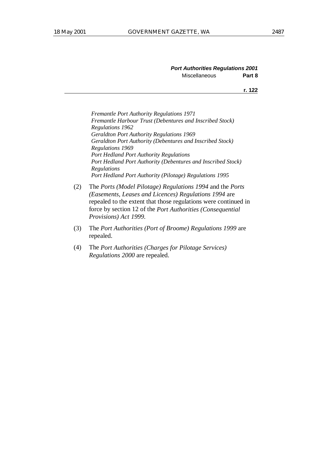| <b>Port Authorities Regulations 2001</b> |        |
|------------------------------------------|--------|
| <b>Miscellaneous</b>                     | Part 8 |

*Fremantle Port Authority Regulations 1971 Fremantle Harbour Trust (Debentures and Inscribed Stock) Regulations 1962 Geraldton Port Authority Regulations 1969 Geraldton Port Authority (Debentures and Inscribed Stock) Regulations 1969 Port Hedland Port Authority Regulations Port Hedland Port Authority (Debentures and Inscribed Stock) Regulations Port Hedland Port Authority (Pilotage) Regulations 1995*

- (2) The *Ports (Model Pilotage) Regulations 1994* and the *Ports (Easements, Leases and Licences) Regulations 1994* are repealed to the extent that those regulations were continued in force by section 12 of the *Port Authorities (Consequential Provisions) Act 1999*.
- (3) The *Port Authorities (Port of Broome) Regulations 1999* are repealed.
- (4) The *Port Authorities (Charges for Pilotage Services) Regulations 2000* are repealed.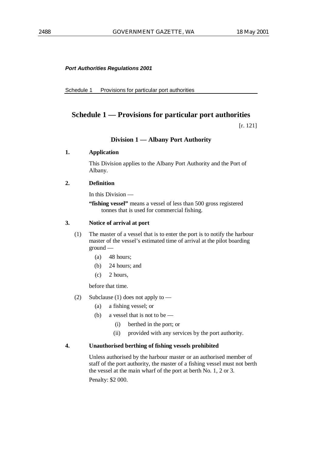#### **Port Authorities Regulations 2001**

Schedule 1 Provisions for particular port authorities

# **Schedule 1 — Provisions for particular port authorities**

[r. 121]

#### **Division 1 — Albany Port Authority**

#### **1. Application**

This Division applies to the Albany Port Authority and the Port of Albany.

#### **2. Definition**

In this Division —

**"fishing vessel"** means a vessel of less than 500 gross registered tonnes that is used for commercial fishing.

#### **3. Notice of arrival at port**

- (1) The master of a vessel that is to enter the port is to notify the harbour master of the vessel's estimated time of arrival at the pilot boarding ground —
	- (a) 48 hours;
	- (b) 24 hours; and
	- (c) 2 hours,

before that time.

- (2) Subclause (1) does not apply to
	- (a) a fishing vessel; or
	- (b) a vessel that is not to be
		- (i) berthed in the port; or
		- (ii) provided with any services by the port authority.

#### **4. Unauthorised berthing of fishing vessels prohibited**

Unless authorised by the harbour master or an authorised member of staff of the port authority, the master of a fishing vessel must not berth the vessel at the main wharf of the port at berth No. 1, 2 or 3. Penalty: \$2 000.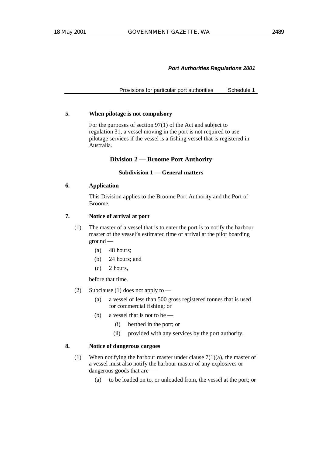Provisions for particular port authorities Schedule 1

### **5. When pilotage is not compulsory**

For the purposes of section 97(1) of the Act and subject to regulation 31, a vessel moving in the port is not required to use pilotage services if the vessel is a fishing vessel that is registered in Australia.

# **Division 2 — Broome Port Authority**

### **Subdivision 1 — General matters**

# **6. Application**

This Division applies to the Broome Port Authority and the Port of Broome.

# **7. Notice of arrival at port**

- (1) The master of a vessel that is to enter the port is to notify the harbour master of the vessel's estimated time of arrival at the pilot boarding ground —
	- (a) 48 hours;
	- (b) 24 hours; and
	- (c) 2 hours,

before that time.

- (2) Subclause (1) does not apply to
	- (a) a vessel of less than 500 gross registered tonnes that is used for commercial fishing; or
	- (b) a vessel that is not to be
		- (i) berthed in the port; or
		- (ii) provided with any services by the port authority.

# **8. Notice of dangerous cargoes**

- (1) When notifying the harbour master under clause  $7(1)(a)$ , the master of a vessel must also notify the harbour master of any explosives or dangerous goods that are —
	- (a) to be loaded on to, or unloaded from, the vessel at the port; or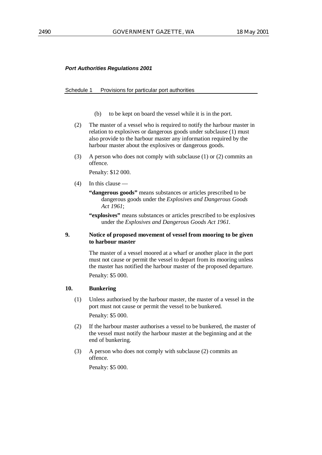# Schedule 1 Provisions for particular port authorities

- (b) to be kept on board the vessel while it is in the port.
- (2) The master of a vessel who is required to notify the harbour master in relation to explosives or dangerous goods under subclause (1) must also provide to the harbour master any information required by the harbour master about the explosives or dangerous goods.
- (3) A person who does not comply with subclause (1) or (2) commits an offence.

Penalty: \$12 000.

- (4) In this clause
	- **"dangerous goods"** means substances or articles prescribed to be dangerous goods under the *Explosives and Dangerous Goods Act 1961*;
	- **"explosives"** means substances or articles prescribed to be explosives under the *Explosives and Dangerous Goods Act 1961*.

# **9. Notice of proposed movement of vessel from mooring to be given to harbour master**

The master of a vessel moored at a wharf or another place in the port must not cause or permit the vessel to depart from its mooring unless the master has notified the harbour master of the proposed departure. Penalty: \$5 000.

# **10. Bunkering**

- (1) Unless authorised by the harbour master, the master of a vessel in the port must not cause or permit the vessel to be bunkered. Penalty: \$5 000.
- (2) If the harbour master authorises a vessel to be bunkered, the master of the vessel must notify the harbour master at the beginning and at the end of bunkering.
- (3) A person who does not comply with subclause (2) commits an offence.

Penalty: \$5 000.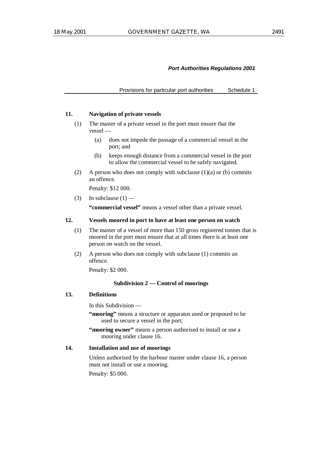Provisions for particular port authorities Schedule 1

### **11. Navigation of private vessels**

- (1) The master of a private vessel in the port must ensure that the vessel —
	- (a) does not impede the passage of a commercial vessel in the port; and
	- (b) keeps enough distance from a commercial vessel in the port to allow the commercial vessel to be safely navigated.
- (2) A person who does not comply with subclause  $(1)(a)$  or  $(b)$  commits an offence.

Penalty: \$12 000.

(3) In subclause  $(1)$  —

**"commercial vessel"** means a vessel other than a private vessel.

### **12. Vessels moored in port to have at least one person on watch**

- (1) The master of a vessel of more than 150 gross registered tonnes that is moored in the port must ensure that at all times there is at least one person on watch on the vessel.
- (2) A person who does not comply with subclause (1) commits an offence.

Penalty: \$2 000.

### **Subdivision 2 — Control of moorings**

# **13. Definitions**

In this Subdivision —

- **"mooring"** means a structure or apparatus used or proposed to be used to secure a vessel in the port;
- "mooring owner" means a person authorised to install or use a mooring under clause 16.

# **14. Installation and use of moorings**

Unless authorised by the harbour master under clause 16, a person must not install or use a mooring.

Penalty: \$5 000.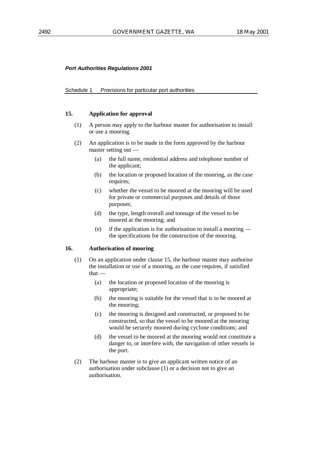#### Schedule 1 Provisions for particular port authorities

# **15. Application for approval**

- (1) A person may apply to the harbour master for authorisation to install or use a mooring.
- (2) An application is to be made in the form approved by the harbour master setting out —
	- (a) the full name, residential address and telephone number of the applicant;
	- (b) the location or proposed location of the mooring, as the case requires;
	- (c) whether the vessel to be moored at the mooring will be used for private or commercial purposes and details of those purposes;
	- (d) the type, length overall and tonnage of the vessel to be moored at the mooring; and
	- (e) if the application is for authorisation to install a mooring the specifications for the construction of the mooring.

# **16. Authorisation of mooring**

- (1) On an application under clause 15, the harbour master may authorise the installation or use of a mooring, as the case requires, if satisfied that —
	- (a) the location or proposed location of the mooring is appropriate;
	- (b) the mooring is suitable for the vessel that is to be moored at the mooring;
	- (c) the mooring is designed and constructed, or proposed to be constructed, so that the vessel to be moored at the mooring would be securely moored during cyclone conditions; and
	- (d) the vessel to be moored at the mooring would not constitute a danger to, or interfere with, the navigation of other vessels in the port.
- (2) The harbour master is to give an applicant written notice of an authorisation under subclause (1) or a decision not to give an authorisation.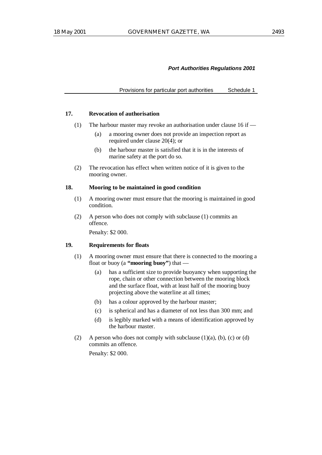Provisions for particular port authorities Schedule 1

### **17. Revocation of authorisation**

- (1) The harbour master may revoke an authorisation under clause 16 if
	- (a) a mooring owner does not provide an inspection report as required under clause 20(4); or
	- (b) the harbour master is satisfied that it is in the interests of marine safety at the port do so.
- (2) The revocation has effect when written notice of it is given to the mooring owner.

### **18. Mooring to be maintained in good condition**

- (1) A mooring owner must ensure that the mooring is maintained in good condition.
- (2) A person who does not comply with subclause (1) commits an offence.

Penalty: \$2 000.

# **19. Requirements for floats**

- (1) A mooring owner must ensure that there is connected to the mooring a float or buoy (a **"mooring buoy"**) that —
	- (a) has a sufficient size to provide buoyancy when supporting the rope, chain or other connection between the mooring block and the surface float, with at least half of the mooring buoy projecting above the waterline at all times;
	- (b) has a colour approved by the harbour master;
	- (c) is spherical and has a diameter of not less than 300 mm; and
	- (d) is legibly marked with a means of identification approved by the harbour master.
- (2) A person who does not comply with subclause  $(1)(a)$ ,  $(b)$ ,  $(c)$  or  $(d)$ commits an offence.

Penalty: \$2 000.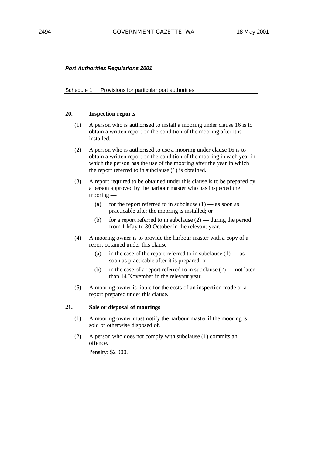#### Schedule 1 Provisions for particular port authorities

# **20. Inspection reports**

- (1) A person who is authorised to install a mooring under clause 16 is to obtain a written report on the condition of the mooring after it is installed.
- (2) A person who is authorised to use a mooring under clause 16 is to obtain a written report on the condition of the mooring in each year in which the person has the use of the mooring after the year in which the report referred to in subclause (1) is obtained.
- (3) A report required to be obtained under this clause is to be prepared by a person approved by the harbour master who has inspected the mooring —
	- (a) for the report referred to in subclause  $(1)$  as soon as practicable after the mooring is installed; or
	- (b) for a report referred to in subclause  $(2)$  during the period from 1 May to 30 October in the relevant year.
- (4) A mooring owner is to provide the harbour master with a copy of a report obtained under this clause —
	- (a) in the case of the report referred to in subclause  $(1)$  as soon as practicable after it is prepared; or
	- (b) in the case of a report referred to in subclause  $(2)$  not later than 14 November in the relevant year.
- (5) A mooring owner is liable for the costs of an inspection made or a report prepared under this clause.

# **21. Sale or disposal of moorings**

- (1) A mooring owner must notify the harbour master if the mooring is sold or otherwise disposed of.
- (2) A person who does not comply with subclause (1) commits an offence.

Penalty: \$2 000.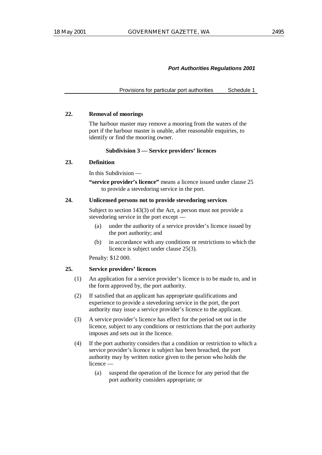Provisions for particular port authorities Schedule 1

### **22. Removal of moorings**

The harbour master may remove a mooring from the waters of the port if the harbour master is unable, after reasonable enquiries, to identify or find the mooring owner.

# **Subdivision 3 — Service providers' licences**

# **23. Definition**

In this Subdivision —

**"service provider's licence"** means a licence issued under clause 25 to provide a stevedoring service in the port.

#### **24. Unlicensed persons not to provide stevedoring services**

Subject to section 143(3) of the Act, a person must not provide a stevedoring service in the port except —

- (a) under the authority of a service provider's licence issued by the port authority; and
- (b) in accordance with any conditions or restrictions to which the licence is subject under clause 25(3).

Penalty: \$12 000.

# **25. Service providers' licences**

- (1) An application for a service provider's licence is to be made to, and in the form approved by, the port authority.
- (2) If satisfied that an applicant has appropriate qualifications and experience to provide a stevedoring service in the port, the port authority may issue a service provider's licence to the applicant.
- (3) A service provider's licence has effect for the period set out in the licence, subject to any conditions or restrictions that the port authority imposes and sets out in the licence.
- (4) If the port authority considers that a condition or restriction to which a service provider's licence is subject has been breached, the port authority may by written notice given to the person who holds the licence —
	- (a) suspend the operation of the licence for any period that the port authority considers appropriate; or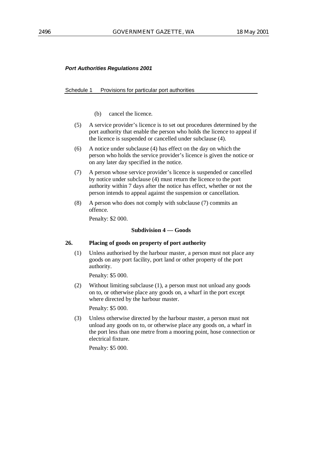# Schedule 1 Provisions for particular port authorities

- (b) cancel the licence.
- (5) A service provider's licence is to set out procedures determined by the port authority that enable the person who holds the licence to appeal if the licence is suspended or cancelled under subclause (4).
- (6) A notice under subclause (4) has effect on the day on which the person who holds the service provider's licence is given the notice or on any later day specified in the notice.
- (7) A person whose service provider's licence is suspended or cancelled by notice under subclause (4) must return the licence to the port authority within 7 days after the notice has effect, whether or not the person intends to appeal against the suspension or cancellation.
- (8) A person who does not comply with subclause (7) commits an offence.

Penalty: \$2 000.

# **Subdivision 4 — Goods**

# **26. Placing of goods on property of port authority**

(1) Unless authorised by the harbour master, a person must not place any goods on any port facility, port land or other property of the port authority.

Penalty: \$5 000.

(2) Without limiting subclause (1), a person must not unload any goods on to, or otherwise place any goods on, a wharf in the port except where directed by the harbour master.

Penalty: \$5 000.

(3) Unless otherwise directed by the harbour master, a person must not unload any goods on to, or otherwise place any goods on, a wharf in the port less than one metre from a mooring point, hose connection or electrical fixture.

Penalty: \$5 000.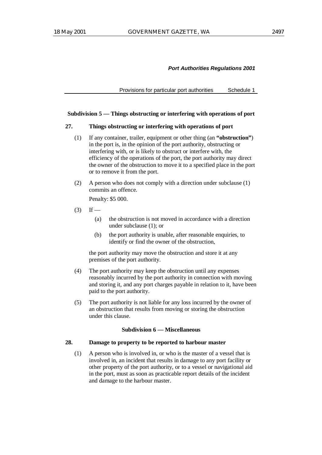Provisions for particular port authorities Schedule 1

### **Subdivision 5 — Things obstructing or interfering with operations of port**

#### **27. Things obstructing or interfering with operations of port**

- (1) If any container, trailer, equipment or other thing (an **"obstruction"**) in the port is, in the opinion of the port authority, obstructing or interfering with, or is likely to obstruct or interfere with, the efficiency of the operations of the port, the port authority may direct the owner of the obstruction to move it to a specified place in the port or to remove it from the port.
- (2) A person who does not comply with a direction under subclause (1) commits an offence.

Penalty: \$5 000.

- $(3)$  If
	- (a) the obstruction is not moved in accordance with a direction under subclause (1); or
	- (b) the port authority is unable, after reasonable enquiries, to identify or find the owner of the obstruction,

the port authority may move the obstruction and store it at any premises of the port authority.

- (4) The port authority may keep the obstruction until any expenses reasonably incurred by the port authority in connection with moving and storing it, and any port charges payable in relation to it, have been paid to the port authority.
- (5) The port authority is not liable for any loss incurred by the owner of an obstruction that results from moving or storing the obstruction under this clause.

# **Subdivision 6 — Miscellaneous**

### **28. Damage to property to be reported to harbour master**

(1) A person who is involved in, or who is the master of a vessel that is involved in, an incident that results in damage to any port facility or other property of the port authority, or to a vessel or navigational aid in the port, must as soon as practicable report details of the incident and damage to the harbour master.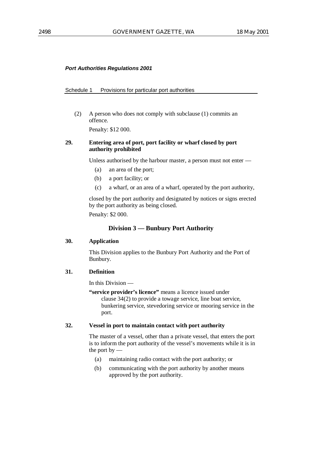#### Schedule 1 Provisions for particular port authorities

(2) A person who does not comply with subclause (1) commits an offence.

Penalty: \$12 000.

# **29. Entering area of port, port facility or wharf closed by port authority prohibited**

Unless authorised by the harbour master, a person must not enter —

- (a) an area of the port;
- (b) a port facility; or
- (c) a wharf, or an area of a wharf, operated by the port authority,

closed by the port authority and designated by notices or signs erected by the port authority as being closed.

Penalty: \$2 000.

# **Division 3 — Bunbury Port Authority**

### **30. Application**

This Division applies to the Bunbury Port Authority and the Port of Bunbury.

# **31. Definition**

In this Division —

**"service provider's licence"** means a licence issued under clause 34(2) to provide a towage service, line boat service, bunkering service, stevedoring service or mooring service in the port.

# **32. Vessel in port to maintain contact with port authority**

The master of a vessel, other than a private vessel, that enters the port is to inform the port authority of the vessel's movements while it is in the port by  $-$ 

- (a) maintaining radio contact with the port authority; or
- (b) communicating with the port authority by another means approved by the port authority.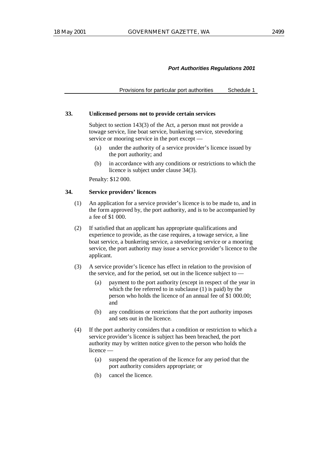Provisions for particular port authorities Schedule 1

### **33. Unlicensed persons not to provide certain services**

Subject to section 143(3) of the Act, a person must not provide a towage service, line boat service, bunkering service, stevedoring service or mooring service in the port except —

- (a) under the authority of a service provider's licence issued by the port authority; and
- (b) in accordance with any conditions or restrictions to which the licence is subject under clause 34(3).

Penalty: \$12 000.

# **34. Service providers' licences**

- (1) An application for a service provider's licence is to be made to, and in the form approved by, the port authority, and is to be accompanied by a fee of \$1 000.
- (2) If satisfied that an applicant has appropriate qualifications and experience to provide, as the case requires, a towage service, a line boat service, a bunkering service, a stevedoring service or a mooring service, the port authority may issue a service provider's licence to the applicant.
- (3) A service provider's licence has effect in relation to the provision of the service, and for the period, set out in the licence subject to —
	- (a) payment to the port authority (except in respect of the year in which the fee referred to in subclause (1) is paid) by the person who holds the licence of an annual fee of \$1 000.00; and
	- (b) any conditions or restrictions that the port authority imposes and sets out in the licence.
- (4) If the port authority considers that a condition or restriction to which a service provider's licence is subject has been breached, the port authority may by written notice given to the person who holds the licence —
	- (a) suspend the operation of the licence for any period that the port authority considers appropriate; or
	- (b) cancel the licence.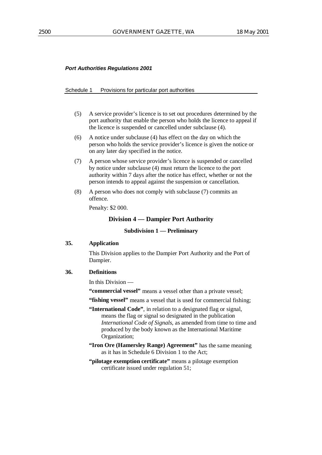#### Schedule 1 Provisions for particular port authorities

- (5) A service provider's licence is to set out procedures determined by the port authority that enable the person who holds the licence to appeal if the licence is suspended or cancelled under subclause (4).
- (6) A notice under subclause (4) has effect on the day on which the person who holds the service provider's licence is given the notice or on any later day specified in the notice.
- (7) A person whose service provider's licence is suspended or cancelled by notice under subclause (4) must return the licence to the port authority within 7 days after the notice has effect, whether or not the person intends to appeal against the suspension or cancellation.
- (8) A person who does not comply with subclause (7) commits an offence.

Penalty: \$2 000.

# **Division 4 — Dampier Port Authority**

# **Subdivision 1 — Preliminary**

#### **35. Application**

This Division applies to the Dampier Port Authority and the Port of Dampier.

# **36. Definitions**

In this Division —

**"commercial vessel"** means a vessel other than a private vessel;

**"fishing vessel"** means a vessel that is used for commercial fishing;

- **"International Code"**, in relation to a designated flag or signal, means the flag or signal so designated in the publication *International Code of Signals*, as amended from time to time and produced by the body known as the International Maritime Organization;
- **"Iron Ore (Hamersley Range) Agreement"** has the same meaning as it has in Schedule 6 Division 1 to the Act;
- **"pilotage exemption certificate"** means a pilotage exemption certificate issued under regulation 51;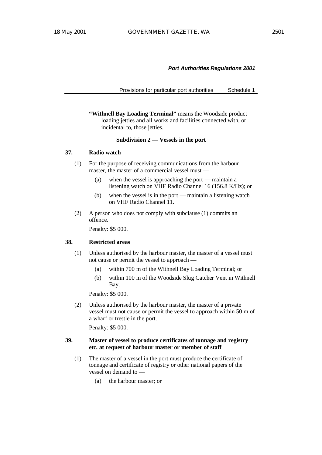Provisions for particular port authorities Schedule 1

**"Withnell Bay Loading Terminal"** means the Woodside product loading jetties and all works and facilities connected with, or incidental to, those jetties.

# **Subdivision 2 — Vessels in the port**

# **37. Radio watch**

- (1) For the purpose of receiving communications from the harbour master, the master of a commercial vessel must —
	- (a) when the vessel is approaching the port maintain a listening watch on VHF Radio Channel 16 (156.8 K/Hz); or
	- (b) when the vessel is in the port maintain a listening watch on VHF Radio Channel 11.
- (2) A person who does not comply with subclause (1) commits an offence.

Penalty: \$5 000.

# **38. Restricted areas**

- (1) Unless authorised by the harbour master, the master of a vessel must not cause or permit the vessel to approach —
	- (a) within 700 m of the Withnell Bay Loading Terminal; or
	- (b) within 100 m of the Woodside Slug Catcher Vent in Withnell Bay.

Penalty: \$5 000.

(2) Unless authorised by the harbour master, the master of a private vessel must not cause or permit the vessel to approach within 50 m of a wharf or trestle in the port.

Penalty: \$5 000.

# **39. Master of vessel to produce certificates of tonnage and registry etc. at request of harbour master or member of staff**

- (1) The master of a vessel in the port must produce the certificate of tonnage and certificate of registry or other national papers of the vessel on demand to —
	- (a) the harbour master; or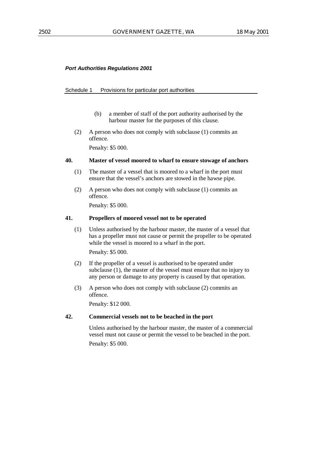# Schedule 1 Provisions for particular port authorities

- (b) a member of staff of the port authority authorised by the harbour master for the purposes of this clause.
- (2) A person who does not comply with subclause (1) commits an offence.

Penalty: \$5 000.

# **40. Master of vessel moored to wharf to ensure stowage of anchors**

- (1) The master of a vessel that is moored to a wharf in the port must ensure that the vessel's anchors are stowed in the hawse pipe.
- (2) A person who does not comply with subclause (1) commits an offence.

Penalty: \$5 000.

# **41. Propellers of moored vessel not to be operated**

(1) Unless authorised by the harbour master, the master of a vessel that has a propeller must not cause or permit the propeller to be operated while the vessel is moored to a wharf in the port.

Penalty: \$5 000.

- (2) If the propeller of a vessel is authorised to be operated under subclause (1), the master of the vessel must ensure that no injury to any person or damage to any property is caused by that operation.
- (3) A person who does not comply with subclause (2) commits an offence.

Penalty: \$12 000.

# **42. Commercial vessels not to be beached in the port**

Unless authorised by the harbour master, the master of a commercial vessel must not cause or permit the vessel to be beached in the port. Penalty: \$5 000.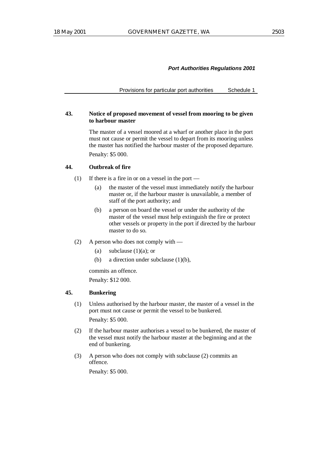Provisions for particular port authorities Schedule 1

# **43. Notice of proposed movement of vessel from mooring to be given to harbour master**

The master of a vessel moored at a wharf or another place in the port must not cause or permit the vessel to depart from its mooring unless the master has notified the harbour master of the proposed departure. Penalty: \$5 000.

# **44. Outbreak of fire**

- (1) If there is a fire in or on a vessel in the port
	- (a) the master of the vessel must immediately notify the harbour master or, if the harbour master is unavailable, a member of staff of the port authority; and
	- (b) a person on board the vessel or under the authority of the master of the vessel must help extinguish the fire or protect other vessels or property in the port if directed by the harbour master to do so.
- (2) A person who does not comply with
	- (a) subclause  $(1)(a)$ ; or
	- (b) a direction under subclause (1)(b),

commits an offence.

Penalty: \$12 000.

### **45. Bunkering**

(1) Unless authorised by the harbour master, the master of a vessel in the port must not cause or permit the vessel to be bunkered. Penalty: \$5 000.

(2) If the harbour master authorises a vessel to be bunkered, the master of the vessel must notify the harbour master at the beginning and at the end of bunkering.

(3) A person who does not comply with subclause (2) commits an offence.

Penalty: \$5 000.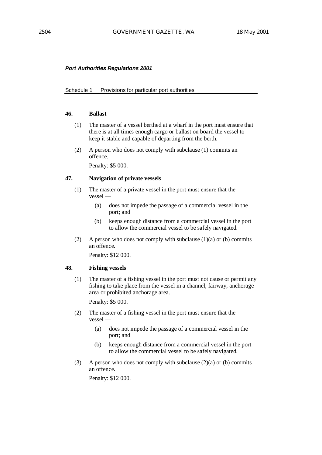# Schedule 1 Provisions for particular port authorities

# **46. Ballast**

- (1) The master of a vessel berthed at a wharf in the port must ensure that there is at all times enough cargo or ballast on board the vessel to keep it stable and capable of departing from the berth.
- (2) A person who does not comply with subclause (1) commits an offence.

Penalty: \$5 000.

# **47. Navigation of private vessels**

- (1) The master of a private vessel in the port must ensure that the vessel —
	- (a) does not impede the passage of a commercial vessel in the port; and
	- (b) keeps enough distance from a commercial vessel in the port to allow the commercial vessel to be safely navigated.
- (2) A person who does not comply with subclause  $(1)(a)$  or  $(b)$  commits an offence.

Penalty: \$12 000.

# **48. Fishing vessels**

(1) The master of a fishing vessel in the port must not cause or permit any fishing to take place from the vessel in a channel, fairway, anchorage area or prohibited anchorage area.

Penalty: \$5 000.

- (2) The master of a fishing vessel in the port must ensure that the vessel —
	- (a) does not impede the passage of a commercial vessel in the port; and
	- (b) keeps enough distance from a commercial vessel in the port to allow the commercial vessel to be safely navigated.
- (3) A person who does not comply with subclause  $(2)(a)$  or (b) commits an offence.

Penalty: \$12 000.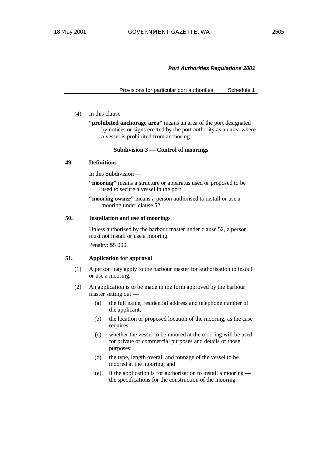Provisions for particular port authorities Schedule 1

#### (4) In this clause —

**"prohibited anchorage area"** means an area of the port designated by notices or signs erected by the port authority as an area where a vessel is prohibited from anchoring.

#### **Subdivision 3 — Control of moorings**

# **49. Definitions**

In this Subdivision —

**"mooring"** means a structure or apparatus used or proposed to be used to secure a vessel in the port;

**"mooring owner"** means a person authorised to install or use a mooring under clause 52.

# **50. Installation and use of moorings**

Unless authorised by the harbour master under clause 52, a person must not install or use a mooring. Penalty: \$5 000.

# **51. Application for approval**

- (1) A person may apply to the harbour master for authorisation to install or use a mooring.
- (2) An application is to be made in the form approved by the harbour master setting out —
	- (a) the full name, residential address and telephone number of the applicant;
	- (b) the location or proposed location of the mooring, as the case requires;
	- (c) whether the vessel to be moored at the mooring will be used for private or commercial purposes and details of those purposes;
	- (d) the type, length overall and tonnage of the vessel to be moored at the mooring; and
	- (e) if the application is for authorisation to install a mooring the specifications for the construction of the mooring.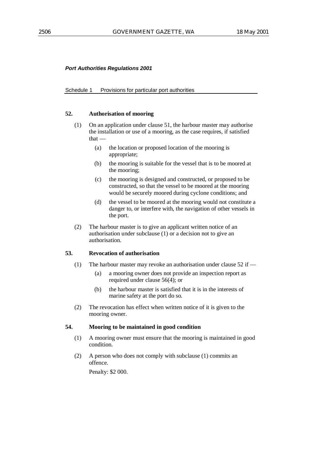#### Schedule 1 Provisions for particular port authorities

### **52. Authorisation of mooring**

- (1) On an application under clause 51, the harbour master may authorise the installation or use of a mooring, as the case requires, if satisfied that —
	- (a) the location or proposed location of the mooring is appropriate;
	- (b) the mooring is suitable for the vessel that is to be moored at the mooring;
	- (c) the mooring is designed and constructed, or proposed to be constructed, so that the vessel to be moored at the mooring would be securely moored during cyclone conditions; and
	- (d) the vessel to be moored at the mooring would not constitute a danger to, or interfere with, the navigation of other vessels in the port.
- (2) The harbour master is to give an applicant written notice of an authorisation under subclause (1) or a decision not to give an authorisation.

# **53. Revocation of authorisation**

- (1) The harbour master may revoke an authorisation under clause 52 if
	- (a) a mooring owner does not provide an inspection report as required under clause 56(4); or
	- (b) the harbour master is satisfied that it is in the interests of marine safety at the port do so.
- (2) The revocation has effect when written notice of it is given to the mooring owner.

# **54. Mooring to be maintained in good condition**

- (1) A mooring owner must ensure that the mooring is maintained in good condition.
- (2) A person who does not comply with subclause (1) commits an offence.

Penalty: \$2 000.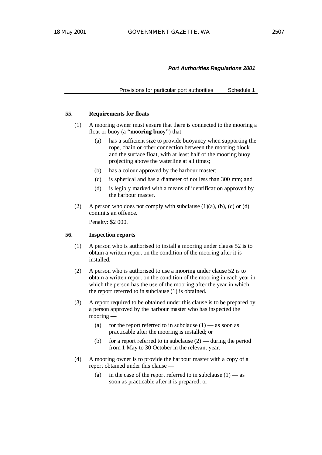Provisions for particular port authorities Schedule 1

# **55. Requirements for floats**

- (1) A mooring owner must ensure that there is connected to the mooring a float or buoy (a **"mooring buoy"**) that —
	- (a) has a sufficient size to provide buoyancy when supporting the rope, chain or other connection between the mooring block and the surface float, with at least half of the mooring buoy projecting above the waterline at all times;
	- (b) has a colour approved by the harbour master;
	- (c) is spherical and has a diameter of not less than 300 mm; and
	- (d) is legibly marked with a means of identification approved by the harbour master.
- (2) A person who does not comply with subclause  $(1)(a)$ ,  $(b)$ ,  $(c)$  or  $(d)$ commits an offence.

Penalty: \$2 000.

# **56. Inspection reports**

- (1) A person who is authorised to install a mooring under clause 52 is to obtain a written report on the condition of the mooring after it is installed.
- (2) A person who is authorised to use a mooring under clause 52 is to obtain a written report on the condition of the mooring in each year in which the person has the use of the mooring after the year in which the report referred to in subclause (1) is obtained.
- (3) A report required to be obtained under this clause is to be prepared by a person approved by the harbour master who has inspected the mooring —
	- (a) for the report referred to in subclause  $(1)$  as soon as practicable after the mooring is installed; or
	- (b) for a report referred to in subclause  $(2)$  during the period from 1 May to 30 October in the relevant year.
- (4) A mooring owner is to provide the harbour master with a copy of a report obtained under this clause —
	- (a) in the case of the report referred to in subclause  $(1)$  as soon as practicable after it is prepared; or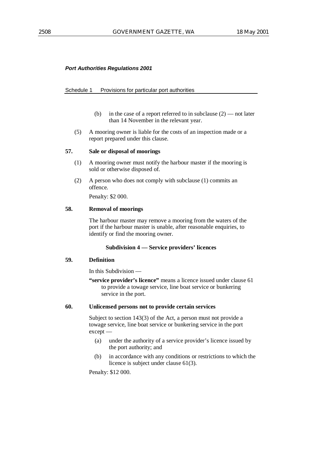# Schedule 1 Provisions for particular port authorities

- (b) in the case of a report referred to in subclause  $(2)$  not later than 14 November in the relevant year.
- (5) A mooring owner is liable for the costs of an inspection made or a report prepared under this clause.

# **57. Sale or disposal of moorings**

- (1) A mooring owner must notify the harbour master if the mooring is sold or otherwise disposed of.
- (2) A person who does not comply with subclause (1) commits an offence.

Penalty: \$2 000.

# **58. Removal of moorings**

The harbour master may remove a mooring from the waters of the port if the harbour master is unable, after reasonable enquiries, to identify or find the mooring owner.

# **Subdivision 4 — Service providers' licences**

# **59. Definition**

In this Subdivision —

**"service provider's licence"** means a licence issued under clause 61 to provide a towage service, line boat service or bunkering service in the port.

# **60. Unlicensed persons not to provide certain services**

Subject to section 143(3) of the Act, a person must not provide a towage service, line boat service or bunkering service in the port except —

- (a) under the authority of a service provider's licence issued by the port authority; and
- (b) in accordance with any conditions or restrictions to which the licence is subject under clause 61(3).

Penalty: \$12 000.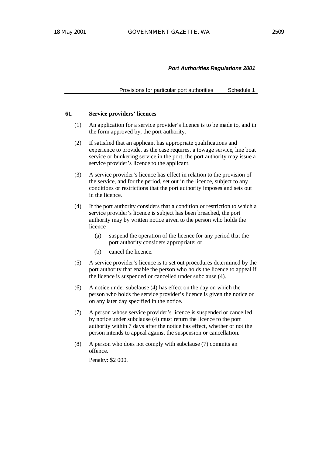Provisions for particular port authorities Schedule 1

#### **61. Service providers' licences**

- (1) An application for a service provider's licence is to be made to, and in the form approved by, the port authority.
- (2) If satisfied that an applicant has appropriate qualifications and experience to provide, as the case requires, a towage service, line boat service or bunkering service in the port, the port authority may issue a service provider's licence to the applicant.
- (3) A service provider's licence has effect in relation to the provision of the service, and for the period, set out in the licence, subject to any conditions or restrictions that the port authority imposes and sets out in the licence.
- (4) If the port authority considers that a condition or restriction to which a service provider's licence is subject has been breached, the port authority may by written notice given to the person who holds the licence —
	- (a) suspend the operation of the licence for any period that the port authority considers appropriate; or
	- (b) cancel the licence.
- (5) A service provider's licence is to set out procedures determined by the port authority that enable the person who holds the licence to appeal if the licence is suspended or cancelled under subclause (4).
- (6) A notice under subclause (4) has effect on the day on which the person who holds the service provider's licence is given the notice or on any later day specified in the notice.
- (7) A person whose service provider's licence is suspended or cancelled by notice under subclause (4) must return the licence to the port authority within 7 days after the notice has effect, whether or not the person intends to appeal against the suspension or cancellation.
- (8) A person who does not comply with subclause (7) commits an offence.

Penalty: \$2 000.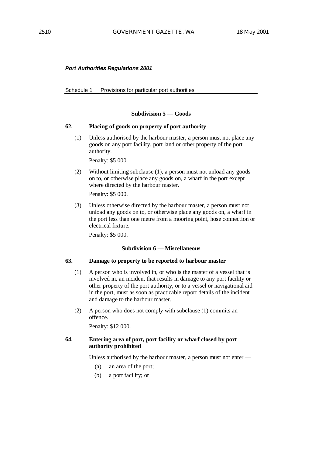Schedule 1 Provisions for particular port authorities

# **Subdivision 5 — Goods**

# **62. Placing of goods on property of port authority**

(1) Unless authorised by the harbour master, a person must not place any goods on any port facility, port land or other property of the port authority.

Penalty: \$5 000.

(2) Without limiting subclause (1), a person must not unload any goods on to, or otherwise place any goods on, a wharf in the port except where directed by the harbour master.

Penalty: \$5 000.

(3) Unless otherwise directed by the harbour master, a person must not unload any goods on to, or otherwise place any goods on, a wharf in the port less than one metre from a mooring point, hose connection or electrical fixture.

Penalty: \$5 000.

# **Subdivision 6 — Miscellaneous**

# **63. Damage to property to be reported to harbour master**

- (1) A person who is involved in, or who is the master of a vessel that is involved in, an incident that results in damage to any port facility or other property of the port authority, or to a vessel or navigational aid in the port, must as soon as practicable report details of the incident and damage to the harbour master.
- (2) A person who does not comply with subclause (1) commits an offence.

Penalty: \$12 000.

# **64. Entering area of port, port facility or wharf closed by port authority prohibited**

Unless authorised by the harbour master, a person must not enter —

- (a) an area of the port;
- (b) a port facility; or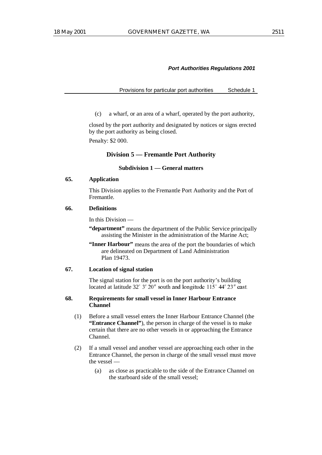Provisions for particular port authorities Schedule 1

(c) a wharf, or an area of a wharf, operated by the port authority,

closed by the port authority and designated by notices or signs erected by the port authority as being closed. Penalty: \$2 000.

# **Division 5 — Fremantle Port Authority**

# **Subdivision 1 — General matters**

### **65. Application**

This Division applies to the Fremantle Port Authority and the Port of Fremantle.

### **66. Definitions**

In this Division —

**"department"** means the department of the Public Service principally assisting the Minister in the administration of the Marine Act;

**"Inner Harbour"** means the area of the port the boundaries of which are delineated on Department of Land Administration Plan 19473.

# **67. Location of signal station**

The signal station for the port is on the port authority's building located at latitude  $32^{\circ}$  3'  $20^{\prime\prime}$  south and longitude  $115^{\circ}$  44'  $23^{\prime\prime}$  east.

# **68. Requirements for small vessel in Inner Harbour Entrance Channel**

- (1) Before a small vessel enters the Inner Harbour Entrance Channel (the **"Entrance Channel"**), the person in charge of the vessel is to make certain that there are no other vessels in or approaching the Entrance Channel.
- (2) If a small vessel and another vessel are approaching each other in the Entrance Channel, the person in charge of the small vessel must move the vessel —
	- (a) as close as practicable to the side of the Entrance Channel on the starboard side of the small vessel;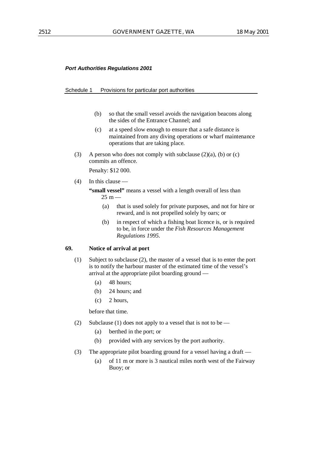#### Schedule 1 Provisions for particular port authorities

- (b) so that the small vessel avoids the navigation beacons along the sides of the Entrance Channel; and
- (c) at a speed slow enough to ensure that a safe distance is maintained from any diving operations or wharf maintenance operations that are taking place.
- (3) A person who does not comply with subclause  $(2)(a)$ , (b) or (c) commits an offence.

Penalty: \$12 000.

# (4) In this clause —

"small vessel" means a vessel with a length overall of less than  $25 m -$ 

- (a) that is used solely for private purposes, and not for hire or reward, and is not propelled solely by oars; or
- (b) in respect of which a fishing boat licence is, or is required to be, in force under the *Fish Resources Management Regulations 1995*.

# **69. Notice of arrival at port**

- (1) Subject to subclause (2), the master of a vessel that is to enter the port is to notify the harbour master of the estimated time of the vessel's arrival at the appropriate pilot boarding ground —
	- (a) 48 hours;
	- (b) 24 hours; and
	- $(c)$  2 hours.

before that time.

- (2) Subclause (1) does not apply to a vessel that is not to be
	- (a) berthed in the port; or
	- (b) provided with any services by the port authority.
- (3) The appropriate pilot boarding ground for a vessel having a draft
	- (a) of 11 m or more is 3 nautical miles north west of the Fairway Buoy; or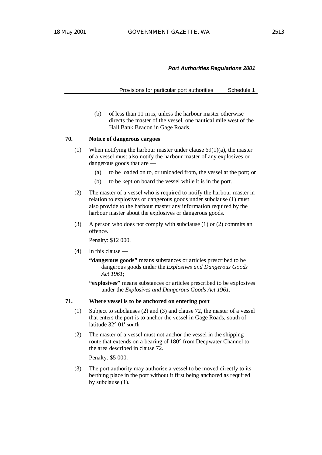Provisions for particular port authorities Schedule 1

(b) of less than 11 m is, unless the harbour master otherwise directs the master of the vessel, one nautical mile west of the Hall Bank Beacon in Gage Roads.

# **70. Notice of dangerous cargoes**

- (1) When notifying the harbour master under clause  $69(1)(a)$ , the master of a vessel must also notify the harbour master of any explosives or dangerous goods that are —
	- (a) to be loaded on to, or unloaded from, the vessel at the port; or
	- (b) to be kept on board the vessel while it is in the port.
- (2) The master of a vessel who is required to notify the harbour master in relation to explosives or dangerous goods under subclause (1) must also provide to the harbour master any information required by the harbour master about the explosives or dangerous goods.
- (3) A person who does not comply with subclause (1) or (2) commits an offence.

Penalty: \$12 000.

- (4) In this clause
	- **"dangerous goods"** means substances or articles prescribed to be dangerous goods under the *Explosives and Dangerous Goods Act 1961*;
	- **"explosives"** means substances or articles prescribed to be explosives under the *Explosives and Dangerous Goods Act 1961*.

# **71. Where vessel is to be anchored on entering port**

- (1) Subject to subclauses (2) and (3) and clause 72, the master of a vessel that enters the port is to anchor the vessel in Gage Roads, south of latitude  $32^{\circ}$  01' south.
- (2) The master of a vessel must not anchor the vessel in the shipping route that extends on a bearing of 180° from Deepwater Channel to the area described in clause 72.

Penalty: \$5 000.

(3) The port authority may authorise a vessel to be moved directly to its berthing place in the port without it first being anchored as required by subclause (1).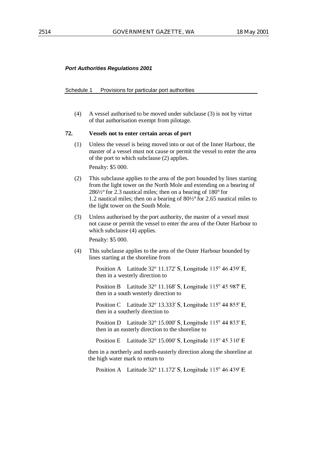#### Schedule 1 Provisions for particular port authorities

(4) A vessel authorised to be moved under subclause (3) is not by virtue of that authorisation exempt from pilotage.

# **72. Vessels not to enter certain areas of port**

(1) Unless the vessel is being moved into or out of the Inner Harbour, the master of a vessel must not cause or permit the vessel to enter the area of the port to which subclause (2) applies.

Penalty: \$5 000.

- (2) This subclause applies to the area of the port bounded by lines starting from the light tower on the North Mole and extending on a bearing of  $286\frac{1}{2}$ ° for 2.3 nautical miles; then on a bearing of 180° for 1.2 nautical miles; then on a bearing of 80½° for 2.65 nautical miles to the light tower on the South Mole.
- (3) Unless authorised by the port authority, the master of a vessel must not cause or permit the vessel to enter the area of the Outer Harbour to which subclause (4) applies.

Penalty: \$5 000.

(4) This subclause applies to the area of the Outer Harbour bounded by lines starting at the shoreline from

> Position A Latitude  $32^{\circ}$  11.172' S, Longitude 115 $^{\circ}$  46.439' E, then in a westerly direction to

> Position B Latitude  $32^{\circ}$  11.168' S, Longitude 115 $^{\circ}$  45.987' E, then in a south westerly direction to

> Position C Latitude  $32^{\circ}$  13.333' S, Longitude  $115^{\circ}$  44.855' E, then in a southerly direction to

> Position D Latitude  $32^{\circ}$  15.000' S. Longitude  $115^{\circ}$  44.833' E. then in an easterly direction to the shoreline to

Position E Latitude  $32^{\circ}$  15.000' S, Longitude  $115^{\circ}$  45.310' E

then in a northerly and north-easterly direction along the shoreline at the high water mark to return to

Position A Latitude  $32^{\circ}$  11.172' S, Longitude 115 $^{\circ}$  46.439' E.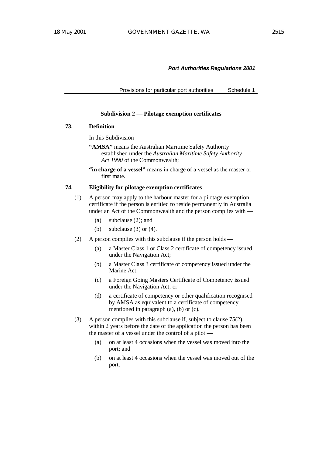Provisions for particular port authorities Schedule 1

### **Subdivision 2 — Pilotage exemption certificates**

### **73. Definition**

In this Subdivision —

- **"AMSA"** means the Australian Maritime Safety Authority established under the *Australian Maritime Safety Authority Act 1990* of the Commonwealth;
- **"in charge of a vessel"** means in charge of a vessel as the master or first mate.

# **74. Eligibility for pilotage exemption certificates**

- (1) A person may apply to the harbour master for a pilotage exemption certificate if the person is entitled to reside permanently in Australia under an Act of the Commonwealth and the person complies with -
	- (a) subclause (2); and
	- (b) subclause  $(3)$  or  $(4)$ .
- (2) A person complies with this subclause if the person holds
	- (a) a Master Class 1 or Class 2 certificate of competency issued under the Navigation Act;
	- (b) a Master Class 3 certificate of competency issued under the Marine Act;
	- (c) a Foreign Going Masters Certificate of Competency issued under the Navigation Act; or
	- (d) a certificate of competency or other qualification recognised by AMSA as equivalent to a certificate of competency mentioned in paragraph (a), (b) or (c).
- (3) A person complies with this subclause if, subject to clause 75(2), within 2 years before the date of the application the person has been the master of a vessel under the control of a pilot —
	- (a) on at least 4 occasions when the vessel was moved into the port; and
	- (b) on at least 4 occasions when the vessel was moved out of the port.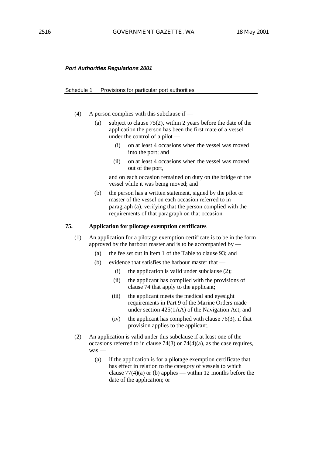#### Schedule 1 Provisions for particular port authorities

- (4) A person complies with this subclause if
	- (a) subject to clause 75(2), within 2 years before the date of the application the person has been the first mate of a vessel under the control of a pilot —
		- (i) on at least 4 occasions when the vessel was moved into the port; and
		- (ii) on at least 4 occasions when the vessel was moved out of the port,

and on each occasion remained on duty on the bridge of the vessel while it was being moved; and

(b) the person has a written statement, signed by the pilot or master of the vessel on each occasion referred to in paragraph (a), verifying that the person complied with the requirements of that paragraph on that occasion.

#### **75. Application for pilotage exemption certificates**

- (1) An application for a pilotage exemption certificate is to be in the form approved by the harbour master and is to be accompanied by  $-$ 
	- (a) the fee set out in item 1 of the Table to clause 93; and
	- (b) evidence that satisfies the harbour master that
		- (i) the application is valid under subclause  $(2)$ :
		- (ii) the applicant has complied with the provisions of clause 74 that apply to the applicant;
		- (iii) the applicant meets the medical and eyesight requirements in Part 9 of the Marine Orders made under section 425(1AA) of the Navigation Act; and
		- (iv) the applicant has complied with clause  $76(3)$ , if that provision applies to the applicant.
- (2) An application is valid under this subclause if at least one of the occasions referred to in clause 74(3) or 74(4)(a), as the case requires, was —
	- (a) if the application is for a pilotage exemption certificate that has effect in relation to the category of vessels to which clause  $77(4)(a)$  or (b) applies — within 12 months before the date of the application; or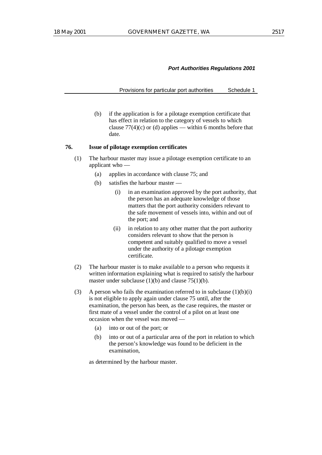Provisions for particular port authorities Schedule 1

(b) if the application is for a pilotage exemption certificate that has effect in relation to the category of vessels to which clause  $77(4)(c)$  or (d) applies — within 6 months before that date.

### **76. Issue of pilotage exemption certificates**

- (1) The harbour master may issue a pilotage exemption certificate to an applicant who —
	- (a) applies in accordance with clause 75; and
	- (b) satisfies the harbour master
		- (i) in an examination approved by the port authority, that the person has an adequate knowledge of those matters that the port authority considers relevant to the safe movement of vessels into, within and out of the port; and
		- (ii) in relation to any other matter that the port authority considers relevant to show that the person is competent and suitably qualified to move a vessel under the authority of a pilotage exemption certificate.
- (2) The harbour master is to make available to a person who requests it written information explaining what is required to satisfy the harbour master under subclause  $(1)(b)$  and clause  $75(1)(b)$ .
- (3) A person who fails the examination referred to in subclause  $(1)(b)(i)$ is not eligible to apply again under clause 75 until, after the examination, the person has been, as the case requires, the master or first mate of a vessel under the control of a pilot on at least one occasion when the vessel was moved —
	- (a) into or out of the port; or
	- (b) into or out of a particular area of the port in relation to which the person's knowledge was found to be deficient in the examination,

as determined by the harbour master.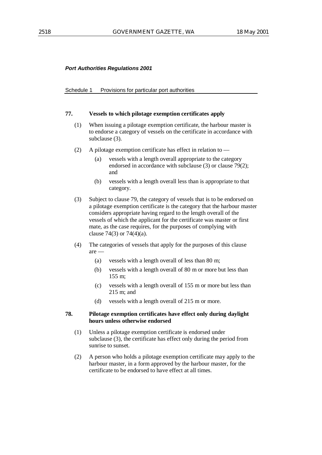#### Schedule 1 Provisions for particular port authorities

#### **77. Vessels to which pilotage exemption certificates apply**

- (1) When issuing a pilotage exemption certificate, the harbour master is to endorse a category of vessels on the certificate in accordance with subclause (3).
- (2) A pilotage exemption certificate has effect in relation to
	- (a) vessels with a length overall appropriate to the category endorsed in accordance with subclause (3) or clause 79(2); and
	- (b) vessels with a length overall less than is appropriate to that category.
- (3) Subject to clause 79, the category of vessels that is to be endorsed on a pilotage exemption certificate is the category that the harbour master considers appropriate having regard to the length overall of the vessels of which the applicant for the certificate was master or first mate, as the case requires, for the purposes of complying with clause 74(3) or 74(4)(a).
- (4) The categories of vessels that apply for the purposes of this clause are —
	- (a) vessels with a length overall of less than 80 m;
	- (b) vessels with a length overall of 80 m or more but less than 155 m;
	- (c) vessels with a length overall of 155 m or more but less than 215 m; and
	- (d) vessels with a length overall of 215 m or more.

# **78. Pilotage exemption certificates have effect only during daylight hours unless otherwise endorsed**

- (1) Unless a pilotage exemption certificate is endorsed under subclause (3), the certificate has effect only during the period from sunrise to sunset.
- (2) A person who holds a pilotage exemption certificate may apply to the harbour master, in a form approved by the harbour master, for the certificate to be endorsed to have effect at all times.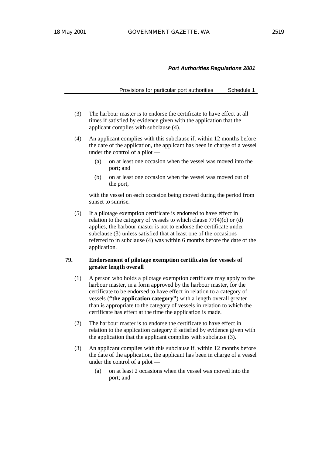Provisions for particular port authorities Schedule 1

- (3) The harbour master is to endorse the certificate to have effect at all times if satisfied by evidence given with the application that the applicant complies with subclause (4).
- (4) An applicant complies with this subclause if, within 12 months before the date of the application, the applicant has been in charge of a vessel under the control of a pilot —
	- (a) on at least one occasion when the vessel was moved into the port; and
	- (b) on at least one occasion when the vessel was moved out of the port,

with the vessel on each occasion being moved during the period from sunset to sunrise.

(5) If a pilotage exemption certificate is endorsed to have effect in relation to the category of vessels to which clause  $77(4)(c)$  or (d) applies, the harbour master is not to endorse the certificate under subclause (3) unless satisfied that at least one of the occasions referred to in subclause (4) was within 6 months before the date of the application.

# **79. Endorsement of pilotage exemption certificates for vessels of greater length overall**

- (1) A person who holds a pilotage exemption certificate may apply to the harbour master, in a form approved by the harbour master, for the certificate to be endorsed to have effect in relation to a category of vessels (**"the application category"**) with a length overall greater than is appropriate to the category of vessels in relation to which the certificate has effect at the time the application is made.
- (2) The harbour master is to endorse the certificate to have effect in relation to the application category if satisfied by evidence given with the application that the applicant complies with subclause (3).
- (3) An applicant complies with this subclause if, within 12 months before the date of the application, the applicant has been in charge of a vessel under the control of a pilot —
	- (a) on at least 2 occasions when the vessel was moved into the port; and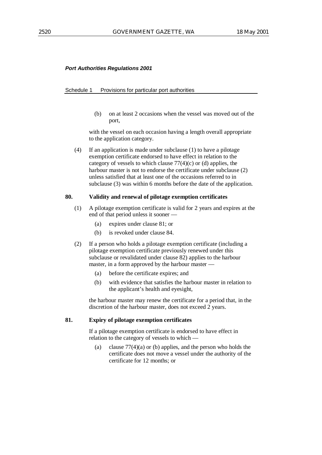#### Schedule 1 Provisions for particular port authorities

(b) on at least 2 occasions when the vessel was moved out of the port,

with the vessel on each occasion having a length overall appropriate to the application category.

(4) If an application is made under subclause (1) to have a pilotage exemption certificate endorsed to have effect in relation to the category of vessels to which clause  $77(4)(c)$  or (d) applies, the harbour master is not to endorse the certificate under subclause (2) unless satisfied that at least one of the occasions referred to in subclause (3) was within 6 months before the date of the application.

### **80. Validity and renewal of pilotage exemption certificates**

- (1) A pilotage exemption certificate is valid for 2 years and expires at the end of that period unless it sooner —
	- (a) expires under clause 81; or
	- (b) is revoked under clause 84.
- (2) If a person who holds a pilotage exemption certificate (including a pilotage exemption certificate previously renewed under this subclause or revalidated under clause 82) applies to the harbour master, in a form approved by the harbour master —
	- (a) before the certificate expires; and
	- (b) with evidence that satisfies the harbour master in relation to the applicant's health and eyesight,

the harbour master may renew the certificate for a period that, in the discretion of the harbour master, does not exceed 2 years.

### **81. Expiry of pilotage exemption certificates**

If a pilotage exemption certificate is endorsed to have effect in relation to the category of vessels to which —

(a) clause  $77(4)(a)$  or (b) applies, and the person who holds the certificate does not move a vessel under the authority of the certificate for 12 months; or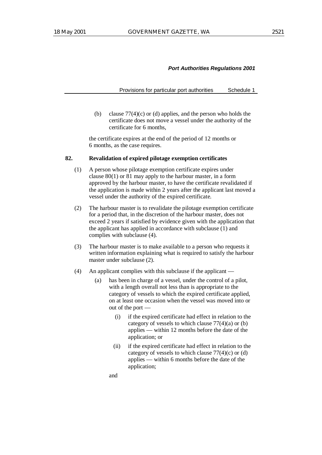Provisions for particular port authorities Schedule 1

(b) clause  $77(4)(c)$  or (d) applies, and the person who holds the certificate does not move a vessel under the authority of the certificate for 6 months,

the certificate expires at the end of the period of 12 months or 6 months, as the case requires.

# **82. Revalidation of expired pilotage exemption certificates**

- (1) A person whose pilotage exemption certificate expires under clause 80(1) or 81 may apply to the harbour master, in a form approved by the harbour master, to have the certificate revalidated if the application is made within 2 years after the applicant last moved a vessel under the authority of the expired certificate.
- (2) The harbour master is to revalidate the pilotage exemption certificate for a period that, in the discretion of the harbour master, does not exceed 2 years if satisfied by evidence given with the application that the applicant has applied in accordance with subclause (1) and complies with subclause (4).
- (3) The harbour master is to make available to a person who requests it written information explaining what is required to satisfy the harbour master under subclause (2).
- (4) An applicant complies with this subclause if the applicant
	- (a) has been in charge of a vessel, under the control of a pilot, with a length overall not less than is appropriate to the category of vessels to which the expired certificate applied, on at least one occasion when the vessel was moved into or out of the port —
		- (i) if the expired certificate had effect in relation to the category of vessels to which clause 77(4)(a) or (b) applies — within 12 months before the date of the application; or
		- (ii) if the expired certificate had effect in relation to the category of vessels to which clause  $77(4)(c)$  or (d) applies — within 6 months before the date of the application;

and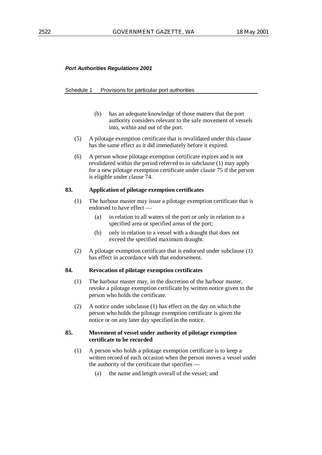#### Schedule 1 Provisions for particular port authorities

- (b) has an adequate knowledge of those matters that the port authority considers relevant to the safe movement of vessels into, within and out of the port.
- (5) A pilotage exemption certificate that is revalidated under this clause has the same effect as it did immediately before it expired.
- (6) A person whose pilotage exemption certificate expires and is not revalidated within the period referred to in subclause (1) may apply for a new pilotage exemption certificate under clause 75 if the person is eligible under clause 74.

#### **83. Application of pilotage exemption certificates**

- (1) The harbour master may issue a pilotage exemption certificate that is endorsed to have effect —
	- (a) in relation to all waters of the port or only in relation to a specified area or specified areas of the port;
	- (b) only in relation to a vessel with a draught that does not exceed the specified maximum draught.
- (2) A pilotage exemption certificate that is endorsed under subclause (1) has effect in accordance with that endorsement.

# **84. Revocation of pilotage exemption certificates**

- (1) The harbour master may, in the discretion of the harbour master, revoke a pilotage exemption certificate by written notice given to the person who holds the certificate.
- (2) A notice under subclause (1) has effect on the day on which the person who holds the pilotage exemption certificate is given the notice or on any later day specified in the notice.

# **85. Movement of vessel under authority of pilotage exemption certificate to be recorded**

- (1) A person who holds a pilotage exemption certificate is to keep a written record of each occasion when the person moves a vessel under the authority of the certificate that specifies —
	- (a) the name and length overall of the vessel; and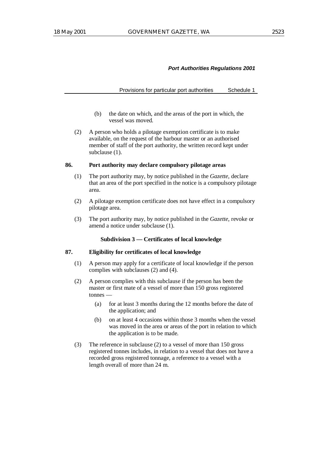Provisions for particular port authorities Schedule 1

- (b) the date on which, and the areas of the port in which, the vessel was moved.
- (2) A person who holds a pilotage exemption certificate is to make available, on the request of the harbour master or an authorised member of staff of the port authority, the written record kept under subclause (1).

#### **86. Port authority may declare compulsory pilotage areas**

- (1) The port authority may, by notice published in the *Gazette*, declare that an area of the port specified in the notice is a compulsory pilotage area.
- (2) A pilotage exemption certificate does not have effect in a compulsory pilotage area.
- (3) The port authority may, by notice published in the *Gazette*, revoke or amend a notice under subclause (1).

# **Subdivision 3 — Certificates of local knowledge**

# **87. Eligibility for certificates of local knowledge**

- (1) A person may apply for a certificate of local knowledge if the person complies with subclauses (2) and (4).
- (2) A person complies with this subclause if the person has been the master or first mate of a vessel of more than 150 gross registered tonnes —
	- (a) for at least 3 months during the 12 months before the date of the application; and
	- (b) on at least 4 occasions within those 3 months when the vessel was moved in the area or areas of the port in relation to which the application is to be made.
- (3) The reference in subclause (2) to a vessel of more than 150 gross registered tonnes includes, in relation to a vessel that does not have a recorded gross registered tonnage, a reference to a vessel with a length overall of more than 24 m.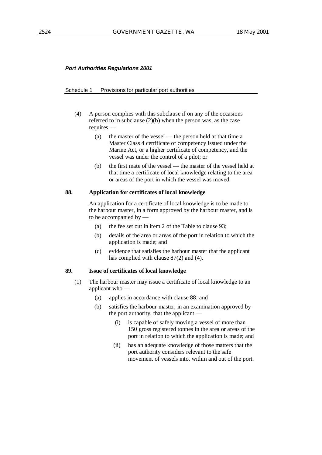#### Schedule 1 Provisions for particular port authorities

- (4) A person complies with this subclause if on any of the occasions referred to in subclause (2)(b) when the person was, as the case requires —
	- (a) the master of the vessel the person held at that time a Master Class 4 certificate of competency issued under the Marine Act, or a higher certificate of competency, and the vessel was under the control of a pilot; or
	- (b) the first mate of the vessel the master of the vessel held at that time a certificate of local knowledge relating to the area or areas of the port in which the vessel was moved.

# **88. Application for certificates of local knowledge**

An application for a certificate of local knowledge is to be made to the harbour master, in a form approved by the harbour master, and is to be accompanied by —

- (a) the fee set out in item 2 of the Table to clause 93;
- (b) details of the area or areas of the port in relation to which the application is made; and
- (c) evidence that satisfies the harbour master that the applicant has complied with clause 87(2) and (4).

# **89. Issue of certificates of local knowledge**

- (1) The harbour master may issue a certificate of local knowledge to an applicant who —
	- (a) applies in accordance with clause 88; and
	- (b) satisfies the harbour master, in an examination approved by the port authority, that the applicant —
		- (i) is capable of safely moving a vessel of more than 150 gross registered tonnes in the area or areas of the port in relation to which the application is made; and
		- (ii) has an adequate knowledge of those matters that the port authority considers relevant to the safe movement of vessels into, within and out of the port.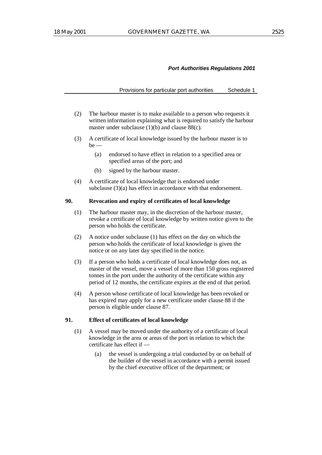Provisions for particular port authorities Schedule 1

- (2) The harbour master is to make available to a person who requests it written information explaining what is required to satisfy the harbour master under subclause  $(1)(b)$  and clause  $88(c)$ .
- (3) A certificate of local knowledge issued by the harbour master is to  $be$  —
	- (a) endorsed to have effect in relation to a specified area or specified areas of the port; and
	- (b) signed by the harbour master.
- (4) A certificate of local knowledge that is endorsed under subclause (3)(a) has effect in accordance with that endorsement.

## **90. Revocation and expiry of certificates of local knowledge**

- (1) The harbour master may, in the discretion of the harbour master, revoke a certificate of local knowledge by written notice given to the person who holds the certificate.
- (2) A notice under subclause (1) has effect on the day on which the person who holds the certificate of local knowledge is given the notice or on any later day specified in the notice.
- (3) If a person who holds a certificate of local knowledge does not, as master of the vessel, move a vessel of more than 150 gross registered tonnes in the port under the authority of the certificate within any period of 12 months, the certificate expires at the end of that period.
- (4) A person whose certificate of local knowledge has been revoked or has expired may apply for a new certificate under clause 88 if the person is eligible under clause 87.

#### **91. Effect of certificates of local knowledge**

- (1) A vessel may be moved under the authority of a certificate of local knowledge in the area or areas of the port in relation to which the certificate has effect if -
	- (a) the vessel is undergoing a trial conducted by or on behalf of the builder of the vessel in accordance with a permit issued by the chief executive officer of the department; or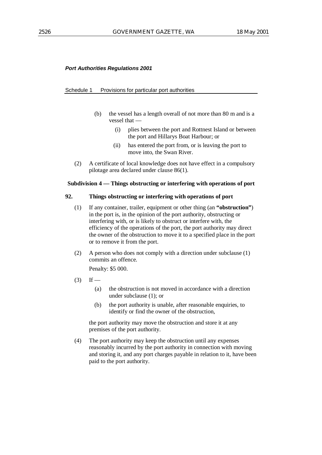#### Schedule 1 Provisions for particular port authorities

- (b) the vessel has a length overall of not more than 80 m and is a vessel that —
	- (i) plies between the port and Rottnest Island or between the port and Hillarys Boat Harbour; or
	- (ii) has entered the port from, or is leaving the port to move into, the Swan River.
- (2) A certificate of local knowledge does not have effect in a compulsory pilotage area declared under clause 86(1).

#### **Subdivision 4 — Things obstructing or interfering with operations of port**

## **92. Things obstructing or interfering with operations of port**

- (1) If any container, trailer, equipment or other thing (an **"obstruction"**) in the port is, in the opinion of the port authority, obstructing or interfering with, or is likely to obstruct or interfere with, the efficiency of the operations of the port, the port authority may direct the owner of the obstruction to move it to a specified place in the port or to remove it from the port.
- (2) A person who does not comply with a direction under subclause (1) commits an offence.

Penalty: \$5 000.

- $(3)$  If
	- (a) the obstruction is not moved in accordance with a direction under subclause (1); or
	- (b) the port authority is unable, after reasonable enquiries, to identify or find the owner of the obstruction,

the port authority may move the obstruction and store it at any premises of the port authority.

(4) The port authority may keep the obstruction until any expenses reasonably incurred by the port authority in connection with moving and storing it, and any port charges payable in relation to it, have been paid to the port authority.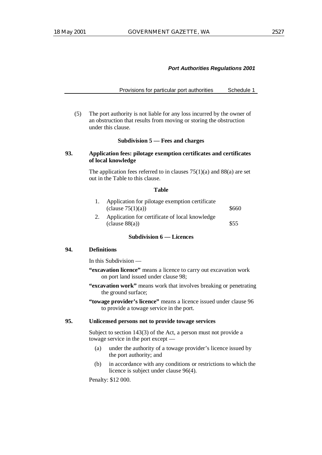Provisions for particular port authorities Schedule 1

(5) The port authority is not liable for any loss incurred by the owner of an obstruction that results from moving or storing the obstruction under this clause.

#### **Subdivision 5 — Fees and charges**

## **93. Application fees: pilotage exemption certificates and certificates of local knowledge**

The application fees referred to in clauses  $75(1)(a)$  and  $88(a)$  are set out in the Table to this clause.

#### **Table**

| Application for pilotage exemption certificate |       |
|------------------------------------------------|-------|
| (clause $75(1)(a)$ )                           | \$660 |
| Application for certificate of local knowledge |       |
| clause 88(a)                                   | \$55  |

#### **Subdivision 6 — Licences**

#### **94. Definitions**

In this Subdivision —

- **"excavation licence"** means a licence to carry out excavation work on port land issued under clause 98;
- **"excavation work"** means work that involves breaking or penetrating the ground surface;
- **"towage provider's licence"** means a licence issued under clause 96 to provide a towage service in the port.

#### **95. Unlicensed persons not to provide towage services**

Subject to section 143(3) of the Act, a person must not provide a towage service in the port except —

- (a) under the authority of a towage provider's licence issued by the port authority; and
- (b) in accordance with any conditions or restrictions to which the licence is subject under clause 96(4).

Penalty: \$12 000.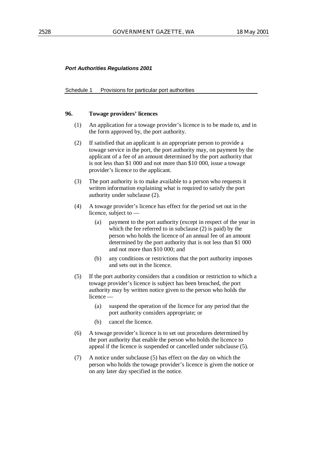#### Schedule 1 Provisions for particular port authorities

## **96. Towage providers' licences**

- (1) An application for a towage provider's licence is to be made to, and in the form approved by, the port authority.
- (2) If satisfied that an applicant is an appropriate person to provide a towage service in the port, the port authority may, on payment by the applicant of a fee of an amount determined by the port authority that is not less than \$1 000 and not more than \$10 000, issue a towage provider's licence to the applicant.
- (3) The port authority is to make available to a person who requests it written information explaining what is required to satisfy the port authority under subclause (2).
- (4) A towage provider's licence has effect for the period set out in the licence, subject to —
	- (a) payment to the port authority (except in respect of the year in which the fee referred to in subclause (2) is paid) by the person who holds the licence of an annual fee of an amount determined by the port authority that is not less than \$1 000 and not more than \$10 000; and
	- (b) any conditions or restrictions that the port authority imposes and sets out in the licence.
- (5) If the port authority considers that a condition or restriction to which a towage provider's licence is subject has been breached, the port authority may by written notice given to the person who holds the licence —
	- (a) suspend the operation of the licence for any period that the port authority considers appropriate; or
	- (b) cancel the licence.
- (6) A towage provider's licence is to set out procedures determined by the port authority that enable the person who holds the licence to appeal if the licence is suspended or cancelled under subclause (5).
- (7) A notice under subclause (5) has effect on the day on which the person who holds the towage provider's licence is given the notice or on any later day specified in the notice.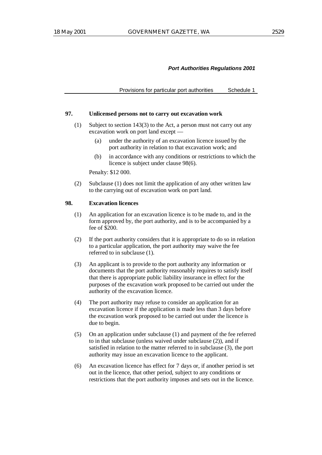Provisions for particular port authorities Schedule 1

#### **97. Unlicensed persons not to carry out excavation work**

- (1) Subject to section 143(3) to the Act, a person must not carry out any excavation work on port land except —
	- (a) under the authority of an excavation licence issued by the port authority in relation to that excavation work; and
	- (b) in accordance with any conditions or restrictions to which the licence is subject under clause 98(6).

Penalty: \$12 000.

(2) Subclause (1) does not limit the application of any other written law to the carrying out of excavation work on port land.

## **98. Excavation licences**

- (1) An application for an excavation licence is to be made to, and in the form approved by, the port authority, and is to be accompanied by a fee of \$200.
- (2) If the port authority considers that it is appropriate to do so in relation to a particular application, the port authority may waive the fee referred to in subclause (1).
- (3) An applicant is to provide to the port authority any information or documents that the port authority reasonably requires to satisfy itself that there is appropriate public liability insurance in effect for the purposes of the excavation work proposed to be carried out under the authority of the excavation licence.
- (4) The port authority may refuse to consider an application for an excavation licence if the application is made less than 3 days before the excavation work proposed to be carried out under the licence is due to begin.
- (5) On an application under subclause (1) and payment of the fee referred to in that subclause (unless waived under subclause (2)), and if satisfied in relation to the matter referred to in subclause (3), the port authority may issue an excavation licence to the applicant.
- (6) An excavation licence has effect for 7 days or, if another period is set out in the licence, that other period, subject to any conditions or restrictions that the port authority imposes and sets out in the licence.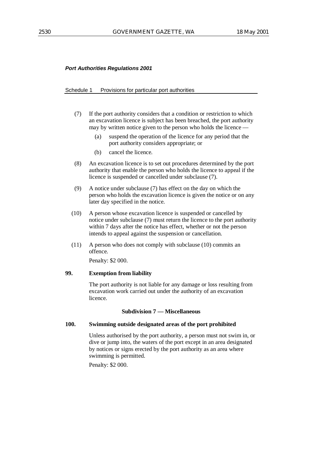#### Schedule 1 Provisions for particular port authorities

- (7) If the port authority considers that a condition or restriction to which an excavation licence is subject has been breached, the port authority may by written notice given to the person who holds the licence —
	- (a) suspend the operation of the licence for any period that the port authority considers appropriate; or
	- (b) cancel the licence.
- (8) An excavation licence is to set out procedures determined by the port authority that enable the person who holds the licence to appeal if the licence is suspended or cancelled under subclause (7).
- (9) A notice under subclause (7) has effect on the day on which the person who holds the excavation licence is given the notice or on any later day specified in the notice.
- (10) A person whose excavation licence is suspended or cancelled by notice under subclause (7) must return the licence to the port authority within 7 days after the notice has effect, whether or not the person intends to appeal against the suspension or cancellation.
- (11) A person who does not comply with subclause (10) commits an offence.

Penalty: \$2 000.

## **99. Exemption from liability**

The port authority is not liable for any damage or loss resulting from excavation work carried out under the authority of an excavation licence.

## **Subdivision 7 — Miscellaneous**

## **100. Swimming outside designated areas of the port prohibited**

Unless authorised by the port authority, a person must not swim in, or dive or jump into, the waters of the port except in an area designated by notices or signs erected by the port authority as an area where swimming is permitted.

Penalty: \$2 000.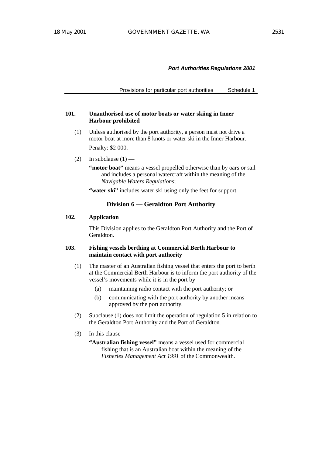Provisions for particular port authorities Schedule 1

#### **101. Unauthorised use of motor boats or water skiing in Inner Harbour prohibited**

- (1) Unless authorised by the port authority, a person must not drive a motor boat at more than 8 knots or water ski in the Inner Harbour. Penalty: \$2 000.
- (2) In subclause  $(1)$  —

**"motor boat"** means a vessel propelled otherwise than by oars or sail and includes a personal watercraft within the meaning of the *Navigable Waters Regulations*;

**"water ski"** includes water ski using only the feet for support.

## **Division 6 — Geraldton Port Authority**

## **102. Application**

This Division applies to the Geraldton Port Authority and the Port of Geraldton.

## **103. Fishing vessels berthing at Commercial Berth Harbour to maintain contact with port authority**

- (1) The master of an Australian fishing vessel that enters the port to berth at the Commercial Berth Harbour is to inform the port authority of the vessel's movements while it is in the port by —
	- (a) maintaining radio contact with the port authority; or
	- (b) communicating with the port authority by another means approved by the port authority.
- (2) Subclause (1) does not limit the operation of regulation 5 in relation to the Geraldton Port Authority and the Port of Geraldton.
- (3) In this clause
	- **"Australian fishing vessel"** means a vessel used for commercial fishing that is an Australian boat within the meaning of the *Fisheries Management Act 1991* of the Commonwealth.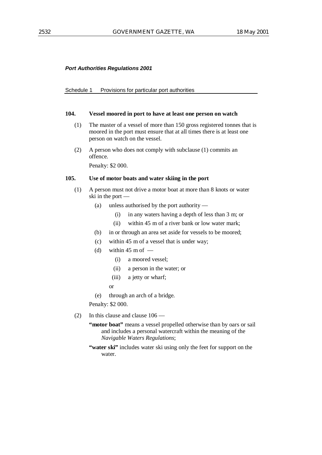#### Schedule 1 Provisions for particular port authorities

#### **104. Vessel moored in port to have at least one person on watch**

- (1) The master of a vessel of more than 150 gross registered tonnes that is moored in the port must ensure that at all times there is at least one person on watch on the vessel.
- (2) A person who does not comply with subclause (1) commits an offence.

Penalty: \$2 000.

## **105. Use of motor boats and water skiing in the port**

- (1) A person must not drive a motor boat at more than 8 knots or water ski in the port —
	- (a) unless authorised by the port authority
		- (i) in any waters having a depth of less than 3 m; or
		- (ii) within 45 m of a river bank or low water mark;
	- (b) in or through an area set aside for vessels to be moored;
	- (c) within 45 m of a vessel that is under way;
	- (d) within  $45 \text{ m of }$ 
		- (i) a moored vessel;
		- (ii) a person in the water; or
		- (iii) a jetty or wharf;
		- or
	- (e) through an arch of a bridge.

Penalty: \$2 000.

(2) In this clause and clause 106 —

"motor boat" means a vessel propelled otherwise than by oars or sail and includes a personal watercraft within the meaning of the *Navigable Waters Regulations*;

**"water ski"** includes water ski using only the feet for support on the water.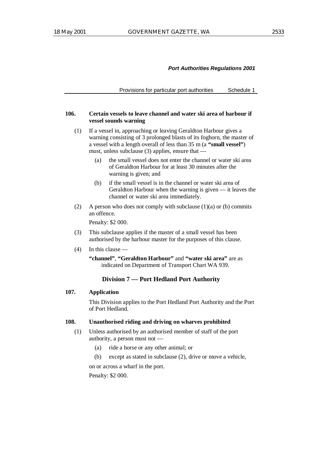Provisions for particular port authorities Schedule 1

#### **106. Certain vessels to leave channel and water ski area of harbour if vessel sounds warning**

- (1) If a vessel in, approaching or leaving Geraldton Harbour gives a warning consisting of 3 prolonged blasts of its foghorn, the master of a vessel with a length overall of less than 35 m (a **"small vessel"**) must, unless subclause (3) applies, ensure that —
	- (a) the small vessel does not enter the channel or water ski area of Geraldton Harbour for at least 30 minutes after the warning is given; and
	- (b) if the small vessel is in the channel or water ski area of Geraldton Harbour when the warning is given — it leaves the channel or water ski area immediately.
- (2) A person who does not comply with subclause  $(1)(a)$  or  $(b)$  commits an offence.

Penalty: \$2 000.

- (3) This subclause applies if the master of a small vessel has been authorised by the harbour master for the purposes of this clause.
- (4) In this clause —

**"channel"**, **"Geraldton Harbour"** and **"water ski area"** are as indicated on Department of Transport Chart WA 939.

## **Division 7 — Port Hedland Port Authority**

# **107. Application**

This Division applies to the Port Hedland Port Authority and the Port of Port Hedland.

#### **108. Unauthorised riding and driving on wharves prohibited**

- (1) Unless authorised by an authorised member of staff of the port authority, a person must not —
	- (a) ride a horse or any other animal; or
	- (b) except as stated in subclause (2), drive or move a vehicle,

on or across a wharf in the port.

Penalty: \$2 000.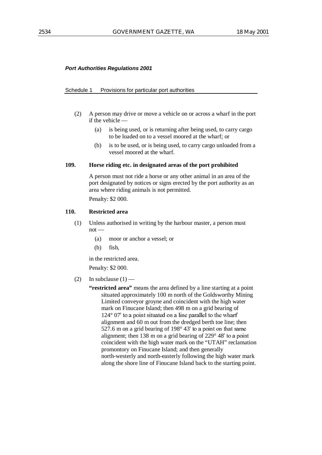#### Schedule 1 Provisions for particular port authorities

- (2) A person may drive or move a vehicle on or across a wharf in the port if the vehicle —
	- (a) is being used, or is returning after being used, to carry cargo to be loaded on to a vessel moored at the wharf; or
	- (b) is to be used, or is being used, to carry cargo unloaded from a vessel moored at the wharf.

#### **109. Horse riding etc. in designated areas of the port prohibited**

A person must not ride a horse or any other animal in an area of the port designated by notices or signs erected by the port authority as an area where riding animals is not permitted.

Penalty: \$2 000.

## **110. Restricted area**

- (1) Unless authorised in writing by the harbour master, a person must not —
	- (a) moor or anchor a vessel; or
	- (b) fish,

in the restricted area.

Penalty: \$2 000.

(2) In subclause  $(1)$  —

**"restricted area"** means the area defined by a line starting at a point situated approximately 100 m north of the Goldsworthy Mining Limited conveyor groyne and coincident with the high water mark on Finucane Island; then 498 m on a grid bearing of  $124^{\circ}$  07' to a point situated on a line parallel to the wharf alignment and 60 m out from the dredged berth toe line; then  $527.6$  m on a grid bearing of  $198^\circ 43'$  to a point on that same 527.6 m on a grid bearing of  $198^\circ 43'$  to a point on that same alignment; then 138 m on a grid bearing of  $229^\circ 48'$  to a point coincident with the high water mark on the "UTAH" reclamation promontory on Finucane Island; and then generally north-westerly and north-easterly following the high water mark along the shore line of Finucane Island back to the starting point.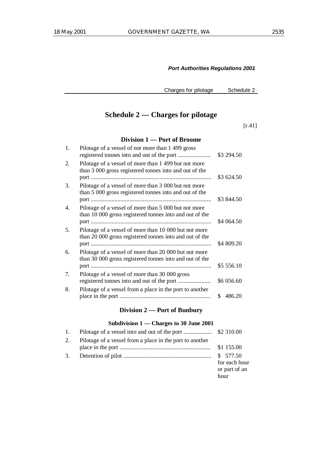Charges for pilotage Schedule 2

# **Schedule 2 — Charges for pilotage**

[r.41]

# **Division 1 — Port of Broome**

| 1.               | Pilotage of a vessel of not more than 1499 gross                                                                 | \$3 294.50   |
|------------------|------------------------------------------------------------------------------------------------------------------|--------------|
| 2.               | Pilotage of a vessel of more than 1 499 but not more<br>than 3 000 gross registered tonnes into and out of the   | \$3 624.50   |
| 3.               | Pilotage of a vessel of more than 3 000 but not more<br>than 5 000 gross registered tonnes into and out of the   | \$3 844.50   |
| $\overline{4}$ . | Pilotage of a vessel of more than 5 000 but not more<br>than 10 000 gross registered tonnes into and out of the  | \$4 064.50   |
| 5.               | Pilotage of a vessel of more than 10 000 but not more<br>than 20 000 gross registered tonnes into and out of the | \$4 809.20   |
| 6.               | Pilotage of a vessel of more than 20 000 but not more<br>than 30 000 gross registered tonnes into and out of the | \$5 556.10   |
| 7.               | Pilotage of a vessel of more than 30 000 gross<br>registered tonnes into and out of the port                     | \$6 056.60   |
| 8.               | Pilotage of a vessel from a place in the port to another                                                         | 486.20<br>S. |
|                  |                                                                                                                  |              |

# **Division 2 — Port of Bunbury**

# **Subdivision 1 — Charges to 30 June 2001**

| 2. | Pilotage of a vessel from a place in the port to another |                                        |
|----|----------------------------------------------------------|----------------------------------------|
|    |                                                          | \$1 155.00                             |
| 3. |                                                          | for each hour<br>or part of an<br>hour |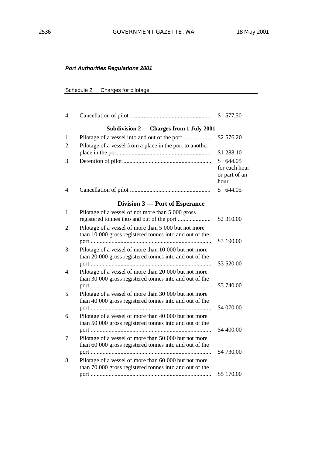# Schedule 2 Charges for pilotage

| 4.                    |                                                                                                                  | \$577.50                                           |
|-----------------------|------------------------------------------------------------------------------------------------------------------|----------------------------------------------------|
|                       | Subdivision 2 – Charges from 1 July 2001                                                                         |                                                    |
| 1.                    |                                                                                                                  | \$2 576.20                                         |
| 2.                    | Pilotage of a vessel from a place in the port to another                                                         | \$1 288.10                                         |
| 3.                    |                                                                                                                  | \$644.05<br>for each hour<br>or part of an<br>hour |
| $\mathcal{A}_{\cdot}$ |                                                                                                                  | \$644.05                                           |
|                       | Division 3 – Port of Esperance                                                                                   |                                                    |
| 1.                    | Pilotage of a vessel of not more than 5 000 gross<br>registered tonnes into and out of the port                  | \$2 310.00                                         |
| 2.                    | Pilotage of a vessel of more than 5 000 but not more<br>than 10 000 gross registered tonnes into and out of the  |                                                    |
| 3.                    | Pilotage of a vessel of more than 10 000 but not more<br>than 20 000 gross registered tonnes into and out of the | \$3 190.00<br>\$3 520.00                           |
| 4.                    | Pilotage of a vessel of more than 20 000 but not more<br>than 30 000 gross registered tonnes into and out of the | \$3 740.00                                         |
| 5.                    | Pilotage of a vessel of more than 30 000 but not more<br>than 40 000 gross registered tonnes into and out of the | \$4 070.00                                         |
| б.                    | Pilotage of a vessel of more than 40 000 but not more<br>than 50 000 gross registered tonnes into and out of the | \$4 400.00                                         |
| 7.                    | Pilotage of a vessel of more than 50 000 but not more<br>than 60 000 gross registered tonnes into and out of the | \$4 730.00                                         |
| 8.                    | Pilotage of a vessel of more than 60 000 but not more<br>than 70 000 gross registered tonnes into and out of the | \$5 170.00                                         |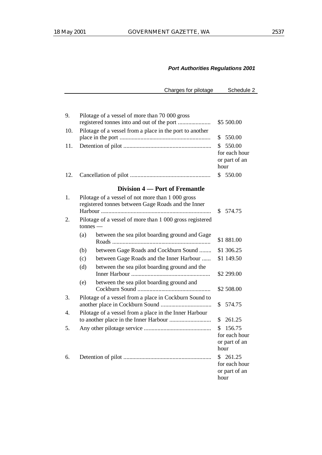Charges for pilotage Schedule 2

| 9.       |     | Pilotage of a vessel of more than 70 000 gross<br>registered tonnes into and out of the port                                                                        |            | \$5 500.00                               |
|----------|-----|---------------------------------------------------------------------------------------------------------------------------------------------------------------------|------------|------------------------------------------|
| 10.      |     | Pilotage of a vessel from a place in the port to another                                                                                                            | \$         | 550.00                                   |
| 11.      |     |                                                                                                                                                                     | \$<br>hour | 550.00<br>for each hour<br>or part of an |
| 12.      |     |                                                                                                                                                                     |            | \$550.00                                 |
|          |     | Division 4 – Port of Fremantle                                                                                                                                      |            |                                          |
| 1.<br>2. |     | Pilotage of a vessel of not more than 1 000 gross<br>registered tonnes between Gage Roads and the Inner<br>Pilotage of a vessel of more than 1 000 gross registered | \$         | 574.75                                   |
|          |     | $t$ onnes —                                                                                                                                                         |            |                                          |
|          | (a) | between the sea pilot boarding ground and Gage                                                                                                                      |            | \$1 881.00                               |
|          | (b) | between Gage Roads and Cockburn Sound                                                                                                                               |            | \$1 306.25                               |
|          | (c) | between Gage Roads and the Inner Harbour                                                                                                                            |            | \$1 149.50                               |
|          | (d) | between the sea pilot boarding ground and the                                                                                                                       |            | \$2 299.00                               |
|          | (e) | between the sea pilot boarding ground and                                                                                                                           |            | \$2 508.00                               |
| 3.       |     | Pilotage of a vessel from a place in Cockburn Sound to                                                                                                              | \$         | 574.75                                   |
| 4.       |     | Pilotage of a vessel from a place in the Inner Harbour                                                                                                              |            |                                          |
|          |     |                                                                                                                                                                     | \$         | 261.25                                   |
| 5.       |     |                                                                                                                                                                     | \$<br>hour | 156.75<br>for each hour<br>or part of an |
| 6.       |     |                                                                                                                                                                     | \$<br>hour | 261.25<br>for each hour<br>or part of an |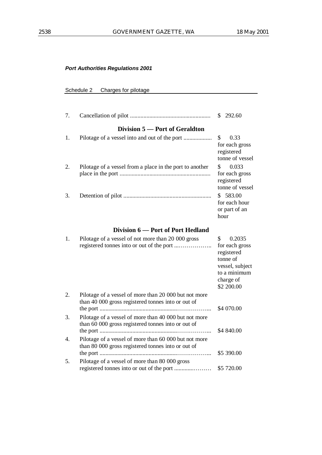# Schedule 2 Charges for pilotage

| 7. |                                                                                                             | 292.60<br>S.                                                                                                          |
|----|-------------------------------------------------------------------------------------------------------------|-----------------------------------------------------------------------------------------------------------------------|
|    | Division 5 – Port of Geraldton                                                                              |                                                                                                                       |
| 1. |                                                                                                             | \$<br>0.33<br>for each gross<br>registered<br>tonne of vessel                                                         |
| 2. | Pilotage of a vessel from a place in the port to another                                                    | \$<br>0.033<br>for each gross<br>registered<br>tonne of vessel                                                        |
| 3. |                                                                                                             | \$583.00<br>for each hour<br>or part of an<br>hour                                                                    |
|    | Division 6 – Port of Port Hedland                                                                           |                                                                                                                       |
| 1. | Pilotage of a vessel of not more than 20 000 gross                                                          | 0.2035<br>S<br>for each gross<br>registered<br>tonne of<br>vessel, subject<br>to a minimum<br>charge of<br>\$2 200.00 |
| 2. | Pilotage of a vessel of more than 20 000 but not more<br>than 40 000 gross registered tonnes into or out of | \$4 070.00                                                                                                            |
| 3. | Pilotage of a vessel of more than 40 000 but not more<br>than 60 000 gross registered tonnes into or out of | \$4 840.00                                                                                                            |
| 4. | Pilotage of a vessel of more than 60 000 but not more<br>than 80 000 gross registered tonnes into or out of | \$5 390.00                                                                                                            |
| 5. | Pilotage of a vessel of more than 80 000 gross                                                              |                                                                                                                       |

registered tonnes into or out of the port .............……… \$5 720.00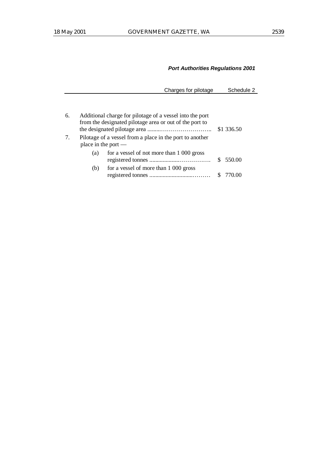Charges for pilotage Schedule 2

| 6. |                       | Additional charge for pilotage of a vessel into the port<br>from the designated pilotage area or out of the port to | \$1 336.50 |
|----|-----------------------|---------------------------------------------------------------------------------------------------------------------|------------|
| 7. | place in the port $-$ | Pilotage of a vessel from a place in the port to another                                                            |            |
|    | (a)                   | for a vessel of not more than 1 000 gross                                                                           | \$550.00   |
|    | (b)                   | for a vessel of more than 1 000 gross                                                                               |            |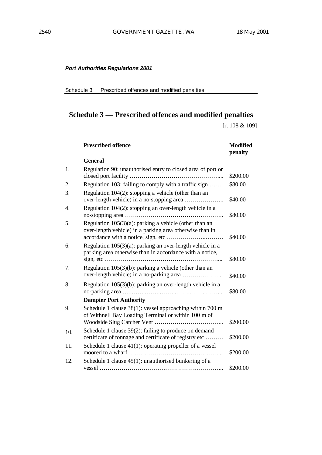Schedule 3 Prescribed offences and modified penalties

# **Schedule 3 — Prescribed offences and modified penalties**

[r. 108 & 109]

|     | <b>Prescribed offence</b>                                                                                                | <b>Modified</b><br>penalty |
|-----|--------------------------------------------------------------------------------------------------------------------------|----------------------------|
|     | <b>General</b>                                                                                                           |                            |
| 1.  | Regulation 90: unauthorised entry to closed area of port or                                                              | \$200.00                   |
| 2.  | Regulation 103: failing to comply with a traffic sign                                                                    | \$80.00                    |
| 3.  | Regulation $104(2)$ : stopping a vehicle (other than an                                                                  | \$40.00                    |
| 4.  | Regulation 104(2): stopping an over-length vehicle in a                                                                  | \$80.00                    |
| 5.  | Regulation $105(3)(a)$ : parking a vehicle (other than an<br>over-length vehicle) in a parking area otherwise than in    | \$40.00                    |
| 6.  | Regulation $105(3)(a)$ : parking an over-length vehicle in a<br>parking area otherwise than in accordance with a notice, | \$80.00                    |
| 7.  | Regulation $105(3)(b)$ : parking a vehicle (other than an                                                                | \$40.00                    |
| 8.  | Regulation $105(3)(b)$ : parking an over-length vehicle in a                                                             | \$80.00                    |
|     | <b>Dampier Port Authority</b>                                                                                            |                            |
| 9.  | Schedule 1 clause 38(1): vessel approaching within 700 m<br>of Withnell Bay Loading Terminal or within 100 m of          | \$200.00                   |
| 10. | Schedule 1 clause 39(2): failing to produce on demand<br>certificate of tonnage and certificate of registry etc          | \$200.00                   |
| 11. | Schedule 1 clause $41(1)$ : operating propeller of a vessel                                                              | \$200.00                   |
| 12. | Schedule 1 clause $45(1)$ : unauthorised bunkering of a                                                                  | \$200.00                   |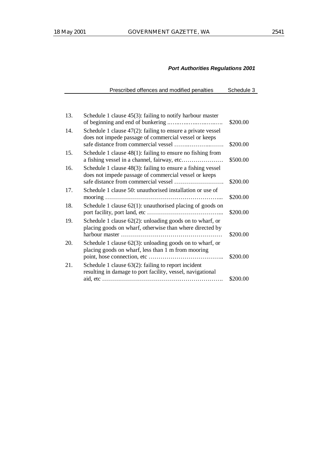| Prescribed offences and modified penalties | Schedule 3 |
|--------------------------------------------|------------|
|--------------------------------------------|------------|

| 13. | Schedule 1 clause $45(3)$ : failing to notify harbour master                                                            | \$200.00 |
|-----|-------------------------------------------------------------------------------------------------------------------------|----------|
| 14. | Schedule 1 clause $47(2)$ : failing to ensure a private vessel<br>does not impede passage of commercial vessel or keeps | \$200.00 |
| 15. | Schedule 1 clause $48(1)$ : failing to ensure no fishing from                                                           | \$500.00 |
| 16. | Schedule 1 clause 48(3): failing to ensure a fishing vessel<br>does not impede passage of commercial vessel or keeps    | \$200.00 |
| 17. | Schedule 1 clause 50: unauthorised installation or use of                                                               | \$200.00 |
| 18. | Schedule 1 clause 62(1): unauthorised placing of goods on                                                               | \$200.00 |
| 19. | Schedule 1 clause $62(2)$ : unloading goods on to wharf, or<br>placing goods on wharf, otherwise than where directed by | \$200.00 |
| 20. | Schedule 1 clause $62(3)$ : unloading goods on to wharf, or<br>placing goods on wharf, less than 1 m from mooring       | \$200.00 |
| 21. | Schedule 1 clause $63(2)$ : failing to report incident<br>resulting in damage to port facility, vessel, navigational    |          |
|     |                                                                                                                         | \$200.00 |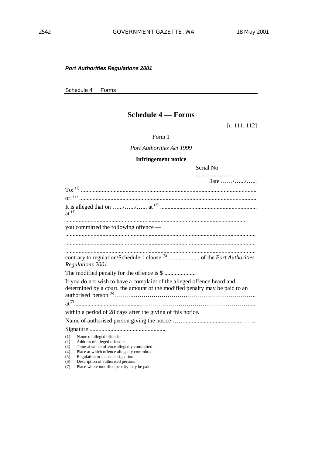Schedule 4 Forms

# **Schedule 4 — Forms**

[r. 111, 112]

Form 1

*Port Authorities Act 1999*

# **Infringement notice**

Serial No

| Date //                                                                                                                                                                                                                                                               |
|-----------------------------------------------------------------------------------------------------------------------------------------------------------------------------------------------------------------------------------------------------------------------|
|                                                                                                                                                                                                                                                                       |
|                                                                                                                                                                                                                                                                       |
| $at^{(4)}$                                                                                                                                                                                                                                                            |
| you committed the following offence —                                                                                                                                                                                                                                 |
|                                                                                                                                                                                                                                                                       |
|                                                                                                                                                                                                                                                                       |
| Regulations 2001.                                                                                                                                                                                                                                                     |
|                                                                                                                                                                                                                                                                       |
| If you do not wish to have a complaint of the alleged offence heard and<br>determined by a court, the amount of the modified penalty may be paid to an                                                                                                                |
|                                                                                                                                                                                                                                                                       |
| within a period of 28 days after the giving of this notice.                                                                                                                                                                                                           |
|                                                                                                                                                                                                                                                                       |
|                                                                                                                                                                                                                                                                       |
| Name of alleged offender<br>(1)<br>Address of alleged offender<br>(2)<br>Time at which offence allegedly committed<br>(3)<br>Place at which offence allegedly committed<br>(4)<br>Regulation or clause designation<br>(5)<br>Description of authorised persons<br>(6) |

(7) Place where modified penalty may be paid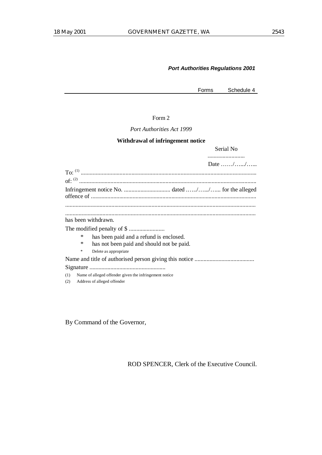Forms Schedule 4

Form 2

*Port Authorities Act 1999*

#### **Withdrawal of infringement notice**

Serial No ......................... Date  $\ldots$ /…../……... To: (1) ...................................................................................................................... of: (2) ....................................................................................................................... Infringement notice No. ............................... dated .…../….../…... for the alleged offence of ............................................................................................................... ................................................................................................................................ ................................................................................................................................ has been withdrawn. The modified penalty of \$ ........................ \* has been paid and a refund is enclosed. has not been paid and should not be paid. Delete as appropriate Name and title of authorised person giving this notice ........................................ Signature ................................................... (1) Name of alleged offender given the infringement notice (2) Address of alleged offender

By Command of the Governor,

ROD SPENCER, Clerk of the Executive Council.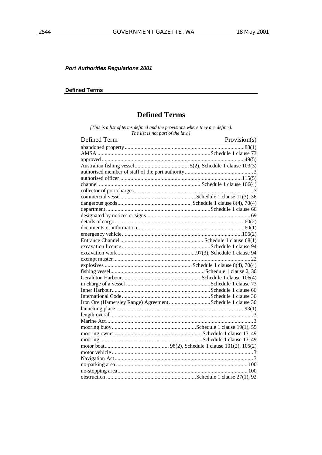## **Defined Terms**

# **Defined Terms**

[This is a list of terms defined and the provisions where they are defined.<br>The list is not part of the law.]

| Defined Term                                              | Provision(s) |
|-----------------------------------------------------------|--------------|
|                                                           |              |
|                                                           |              |
|                                                           |              |
|                                                           |              |
|                                                           |              |
|                                                           |              |
|                                                           |              |
|                                                           |              |
|                                                           |              |
|                                                           |              |
|                                                           |              |
|                                                           |              |
|                                                           |              |
|                                                           |              |
|                                                           |              |
|                                                           |              |
|                                                           |              |
|                                                           |              |
|                                                           |              |
|                                                           |              |
|                                                           |              |
|                                                           |              |
|                                                           |              |
|                                                           |              |
|                                                           |              |
| Iron Ore (Hamersley Range) Agreement Schedule 1 clause 36 |              |
|                                                           |              |
|                                                           |              |
|                                                           |              |
|                                                           |              |
|                                                           |              |
|                                                           |              |
|                                                           |              |
|                                                           |              |
|                                                           |              |
|                                                           |              |
|                                                           |              |
|                                                           |              |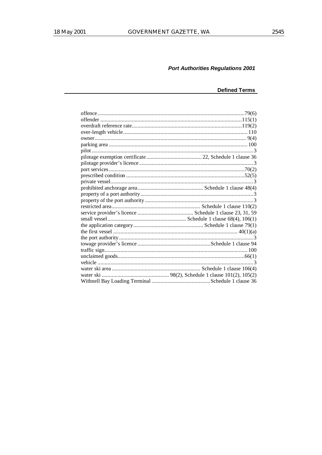# **Defined Terms**